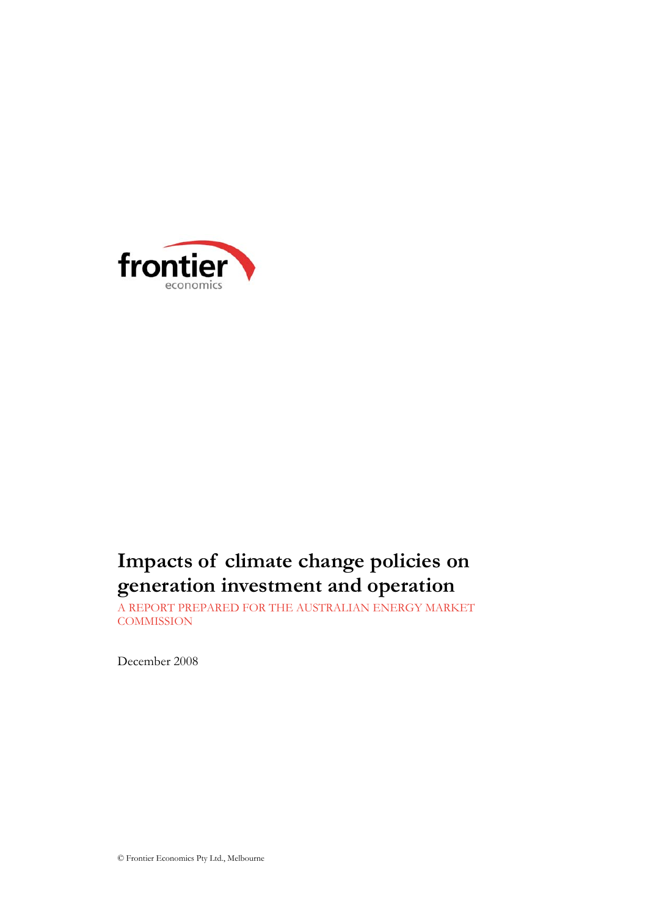

# **Impacts of climate change policies on generation investment and operation**

A REPORT PREPARED FOR THE AUSTRALIAN ENERGY MARKET **COMMISSION** 

December 2008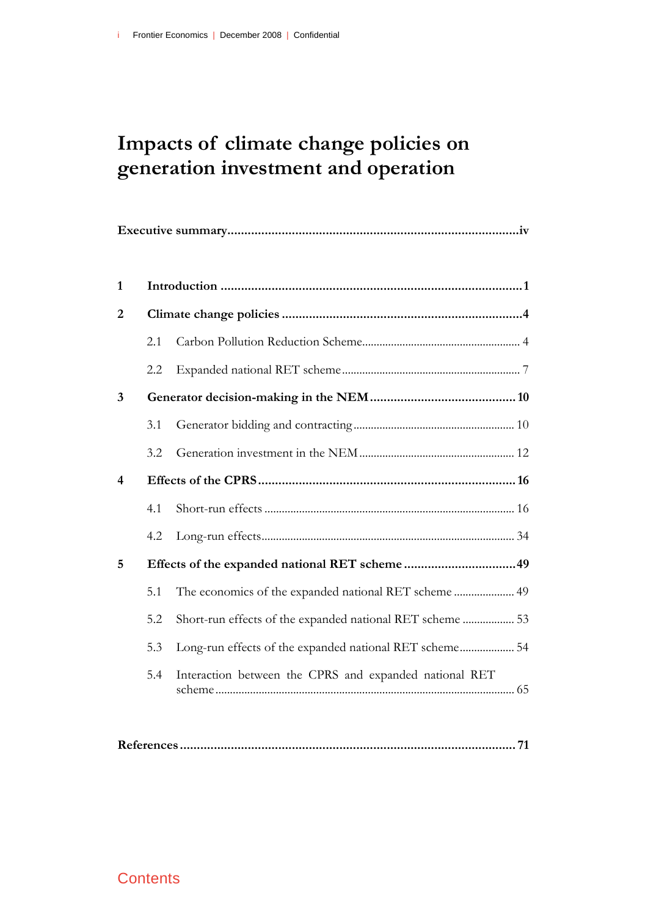# **Impacts of climate change policies on generation investment and operation**

| 1                       |     |                                                           |
|-------------------------|-----|-----------------------------------------------------------|
| $\overline{2}$          |     |                                                           |
|                         | 2.1 |                                                           |
|                         | 2.2 |                                                           |
| 3                       |     |                                                           |
|                         | 3.1 |                                                           |
|                         | 3.2 |                                                           |
| $\overline{\mathbf{4}}$ |     |                                                           |
|                         | 4.1 |                                                           |
|                         | 4.2 |                                                           |
| 5                       |     |                                                           |
|                         | 5.1 | The economics of the expanded national RET scheme  49     |
|                         | 5.2 | Short-run effects of the expanded national RET scheme  53 |
|                         | 5.3 | Long-run effects of the expanded national RET scheme 54   |
|                         | 5.4 | Interaction between the CPRS and expanded national RET    |

## **Contents**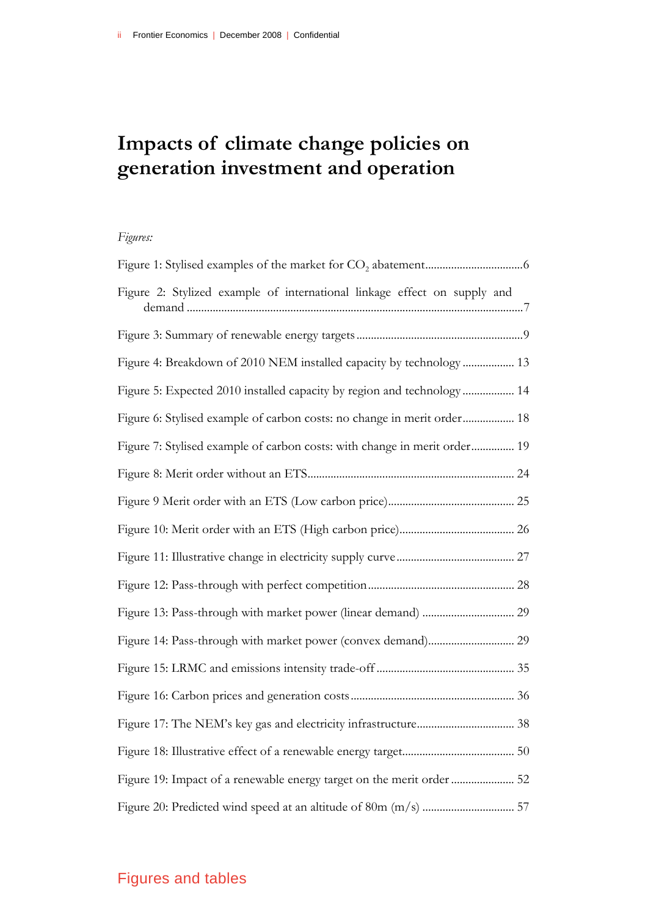# **Impacts of climate change policies on generation investment and operation**

### *Figures:*

| Figure 2: Stylized example of international linkage effect on supply and  |
|---------------------------------------------------------------------------|
|                                                                           |
| Figure 4: Breakdown of 2010 NEM installed capacity by technology 13       |
| Figure 5: Expected 2010 installed capacity by region and technology 14    |
| Figure 6: Stylised example of carbon costs: no change in merit order 18   |
| Figure 7: Stylised example of carbon costs: with change in merit order 19 |
|                                                                           |
|                                                                           |
|                                                                           |
|                                                                           |
|                                                                           |
|                                                                           |
| Figure 14: Pass-through with market power (convex demand) 29              |
|                                                                           |
|                                                                           |
|                                                                           |
|                                                                           |
| Figure 19: Impact of a renewable energy target on the merit order  52     |
|                                                                           |

# Figures and tables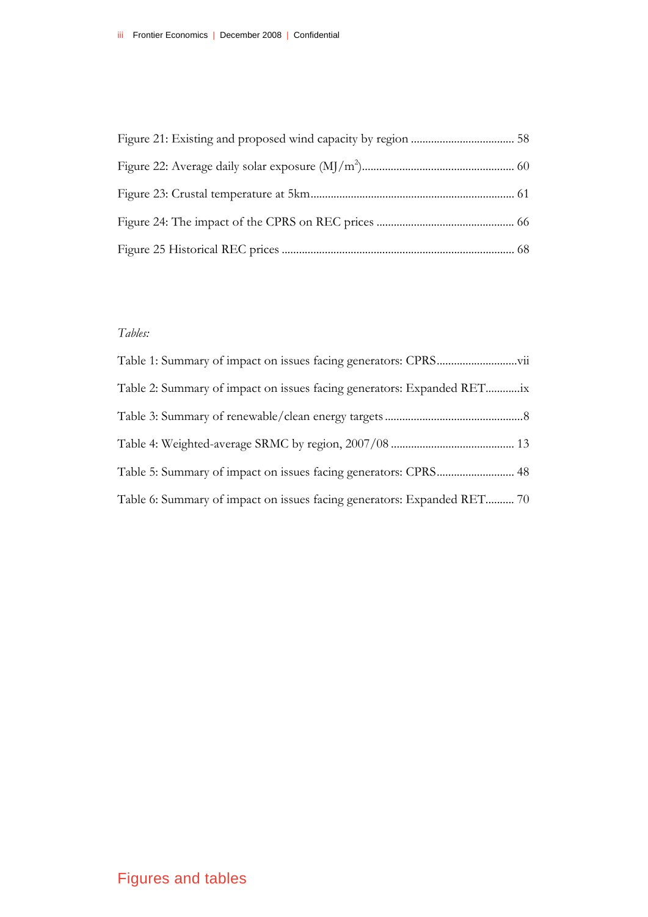### *Tables:*

| Table 2: Summary of impact on issues facing generators: Expanded RETix  |  |
|-------------------------------------------------------------------------|--|
|                                                                         |  |
|                                                                         |  |
| Table 5: Summary of impact on issues facing generators: CPRS 48         |  |
| Table 6: Summary of impact on issues facing generators: Expanded RET 70 |  |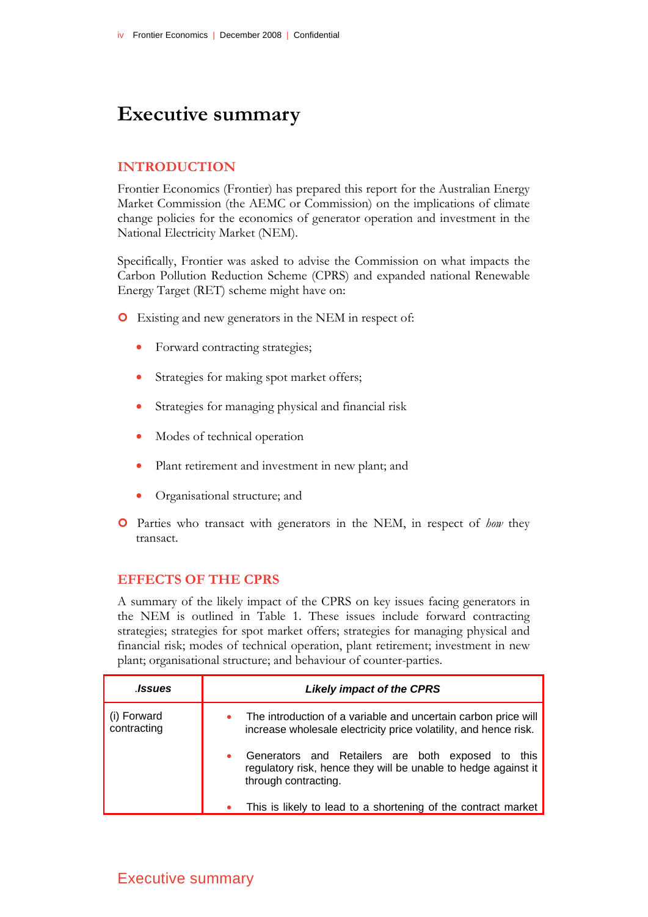# **Executive summary**

#### **INTRODUCTION**

Frontier Economics (Frontier) has prepared this report for the Australian Energy Market Commission (the AEMC or Commission) on the implications of climate change policies for the economics of generator operation and investment in the National Electricity Market (NEM).

Specifically, Frontier was asked to advise the Commission on what impacts the Carbon Pollution Reduction Scheme (CPRS) and expanded national Renewable Energy Target (RET) scheme might have on:

- | Existing and new generators in the NEM in respect of:
	- Forward contracting strategies;
	- Strategies for making spot market offers;
	- Strategies for managing physical and financial risk
	- Modes of technical operation
	- Plant retirement and investment in new plant; and
	- Organisational structure; and
- | Parties who transact with generators in the NEM, in respect of *how* they transact.

#### **EFFECTS OF THE CPRS**

A summary of the likely impact of the CPRS on key issues facing generators in the NEM is outlined in Table 1. These issues include forward contracting strategies; strategies for spot market offers; strategies for managing physical and financial risk; modes of technical operation, plant retirement; investment in new plant; organisational structure; and behaviour of counter-parties.

| <b>.Issues</b>             | <b>Likely impact of the CPRS</b>                                                                                                               |
|----------------------------|------------------------------------------------------------------------------------------------------------------------------------------------|
| (i) Forward<br>contracting | The introduction of a variable and uncertain carbon price will<br>increase wholesale electricity price volatility, and hence risk.             |
|                            | Generators and Retailers are both exposed to<br>this<br>regulatory risk, hence they will be unable to hedge against it<br>through contracting. |
|                            | This is likely to lead to a shortening of the contract market                                                                                  |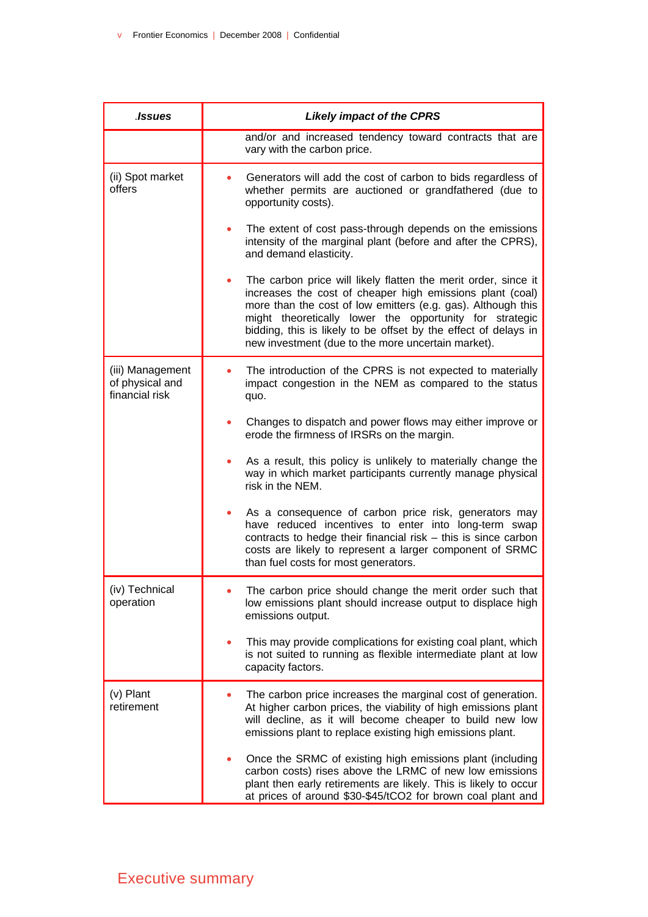| .Issues                                               | <b>Likely impact of the CPRS</b>                                                                                                                                                                                                                                                                                                                                                |
|-------------------------------------------------------|---------------------------------------------------------------------------------------------------------------------------------------------------------------------------------------------------------------------------------------------------------------------------------------------------------------------------------------------------------------------------------|
|                                                       | and/or and increased tendency toward contracts that are<br>vary with the carbon price.                                                                                                                                                                                                                                                                                          |
| (ii) Spot market<br>offers                            | Generators will add the cost of carbon to bids regardless of<br>whether permits are auctioned or grandfathered (due to<br>opportunity costs).                                                                                                                                                                                                                                   |
|                                                       | The extent of cost pass-through depends on the emissions<br>intensity of the marginal plant (before and after the CPRS),<br>and demand elasticity.                                                                                                                                                                                                                              |
|                                                       | The carbon price will likely flatten the merit order, since it<br>increases the cost of cheaper high emissions plant (coal)<br>more than the cost of low emitters (e.g. gas). Although this<br>might theoretically lower the opportunity for strategic<br>bidding, this is likely to be offset by the effect of delays in<br>new investment (due to the more uncertain market). |
| (iii) Management<br>of physical and<br>financial risk | The introduction of the CPRS is not expected to materially<br>impact congestion in the NEM as compared to the status<br>quo.                                                                                                                                                                                                                                                    |
|                                                       | Changes to dispatch and power flows may either improve or<br>erode the firmness of IRSRs on the margin.                                                                                                                                                                                                                                                                         |
|                                                       | As a result, this policy is unlikely to materially change the<br>way in which market participants currently manage physical<br>risk in the NEM.                                                                                                                                                                                                                                 |
|                                                       | As a consequence of carbon price risk, generators may<br>have reduced incentives to enter into long-term swap<br>contracts to hedge their financial risk - this is since carbon<br>costs are likely to represent a larger component of SRMC<br>than fuel costs for most generators.                                                                                             |
| (iv) Technical<br>operation                           | The carbon price should change the merit order such that<br>low emissions plant should increase output to displace high<br>emissions output.                                                                                                                                                                                                                                    |
|                                                       | This may provide complications for existing coal plant, which<br>is not suited to running as flexible intermediate plant at low<br>capacity factors.                                                                                                                                                                                                                            |
| (v) Plant<br>retirement                               | The carbon price increases the marginal cost of generation.<br>At higher carbon prices, the viability of high emissions plant<br>will decline, as it will become cheaper to build new low<br>emissions plant to replace existing high emissions plant.                                                                                                                          |
|                                                       | Once the SRMC of existing high emissions plant (including<br>carbon costs) rises above the LRMC of new low emissions<br>plant then early retirements are likely. This is likely to occur<br>at prices of around \$30-\$45/tCO2 for brown coal plant and                                                                                                                         |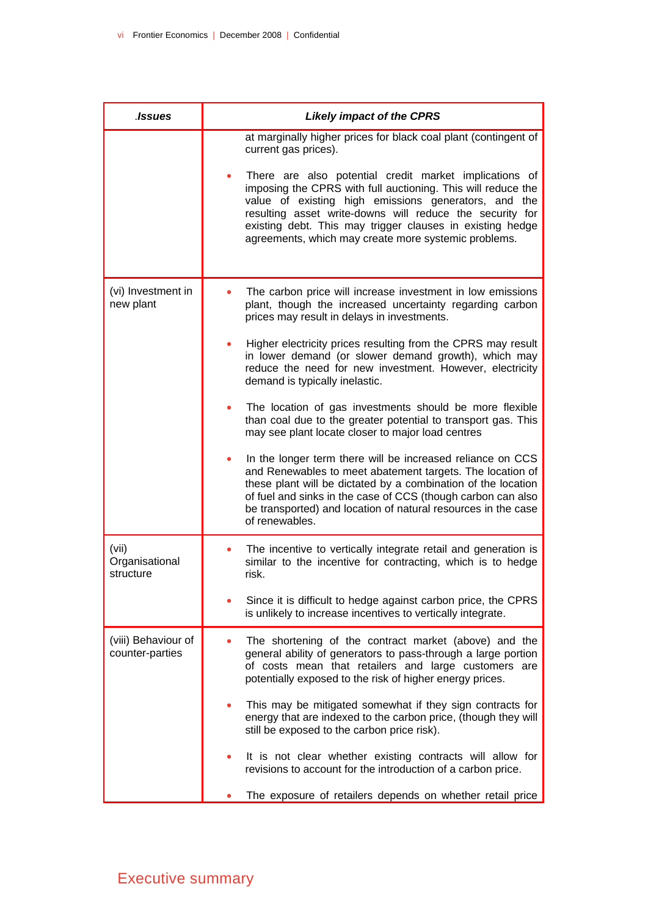| <b>Issues</b>                          | <b>Likely impact of the CPRS</b>                                                                                                                                                                                                                                                                                                                                                                                                                                                                                                                                                                                                                                                                                                                                         |
|----------------------------------------|--------------------------------------------------------------------------------------------------------------------------------------------------------------------------------------------------------------------------------------------------------------------------------------------------------------------------------------------------------------------------------------------------------------------------------------------------------------------------------------------------------------------------------------------------------------------------------------------------------------------------------------------------------------------------------------------------------------------------------------------------------------------------|
|                                        | at marginally higher prices for black coal plant (contingent of<br>current gas prices).<br>There are also potential credit market implications of<br>imposing the CPRS with full auctioning. This will reduce the<br>value of existing high emissions generators, and the<br>resulting asset write-downs will reduce the security for<br>existing debt. This may trigger clauses in existing hedge<br>agreements, which may create more systemic problems.                                                                                                                                                                                                                                                                                                               |
| (vi) Investment in<br>new plant        | The carbon price will increase investment in low emissions<br>plant, though the increased uncertainty regarding carbon<br>prices may result in delays in investments.<br>Higher electricity prices resulting from the CPRS may result<br>in lower demand (or slower demand growth), which may<br>reduce the need for new investment. However, electricity<br>demand is typically inelastic.<br>The location of gas investments should be more flexible<br>than coal due to the greater potential to transport gas. This<br>may see plant locate closer to major load centres<br>In the longer term there will be increased reliance on CCS<br>and Renewables to meet abatement targets. The location of<br>these plant will be dictated by a combination of the location |
|                                        | of fuel and sinks in the case of CCS (though carbon can also<br>be transported) and location of natural resources in the case<br>of renewables.                                                                                                                                                                                                                                                                                                                                                                                                                                                                                                                                                                                                                          |
| (vii)<br>Organisational<br>structure   | The incentive to vertically integrate retail and generation is<br>similar to the incentive for contracting, which is to hedge<br>risk.                                                                                                                                                                                                                                                                                                                                                                                                                                                                                                                                                                                                                                   |
|                                        | Since it is difficult to hedge against carbon price, the CPRS<br>is unlikely to increase incentives to vertically integrate.                                                                                                                                                                                                                                                                                                                                                                                                                                                                                                                                                                                                                                             |
| (viii) Behaviour of<br>counter-parties | The shortening of the contract market (above) and the<br>general ability of generators to pass-through a large portion<br>of costs mean that retailers and large customers are<br>potentially exposed to the risk of higher energy prices.                                                                                                                                                                                                                                                                                                                                                                                                                                                                                                                               |
|                                        | This may be mitigated somewhat if they sign contracts for<br>energy that are indexed to the carbon price, (though they will<br>still be exposed to the carbon price risk).                                                                                                                                                                                                                                                                                                                                                                                                                                                                                                                                                                                               |
|                                        | It is not clear whether existing contracts will allow for<br>revisions to account for the introduction of a carbon price.                                                                                                                                                                                                                                                                                                                                                                                                                                                                                                                                                                                                                                                |
|                                        | The exposure of retailers depends on whether retail price                                                                                                                                                                                                                                                                                                                                                                                                                                                                                                                                                                                                                                                                                                                |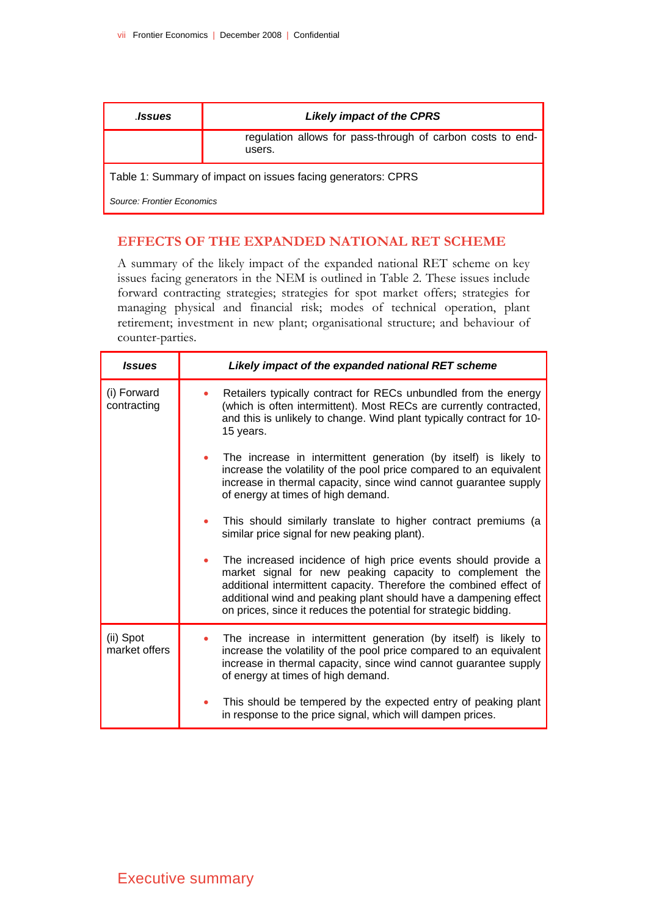| .Issues                                                      | <b>Likely impact of the CPRS</b>                                     |
|--------------------------------------------------------------|----------------------------------------------------------------------|
|                                                              | regulation allows for pass-through of carbon costs to end-<br>users. |
| Table 1: Summary of impact on issues facing generators: CPRS |                                                                      |
| Source: Frontier Fconomics                                   |                                                                      |

### **EFFECTS OF THE EXPANDED NATIONAL RET SCHEME**

A summary of the likely impact of the expanded national RET scheme on key issues facing generators in the NEM is outlined in Table 2. These issues include forward contracting strategies; strategies for spot market offers; strategies for managing physical and financial risk; modes of technical operation, plant retirement; investment in new plant; organisational structure; and behaviour of counter-parties.

| <b>Issues</b>              | Likely impact of the expanded national RET scheme                                                                                                                                                                                                                                                                                       |
|----------------------------|-----------------------------------------------------------------------------------------------------------------------------------------------------------------------------------------------------------------------------------------------------------------------------------------------------------------------------------------|
| (i) Forward<br>contracting | Retailers typically contract for RECs unbundled from the energy<br>(which is often intermittent). Most RECs are currently contracted,<br>and this is unlikely to change. Wind plant typically contract for 10-<br>15 years.                                                                                                             |
|                            | The increase in intermittent generation (by itself) is likely to<br>۰<br>increase the volatility of the pool price compared to an equivalent<br>increase in thermal capacity, since wind cannot guarantee supply<br>of energy at times of high demand.                                                                                  |
|                            | This should similarly translate to higher contract premiums (a<br>similar price signal for new peaking plant).                                                                                                                                                                                                                          |
|                            | The increased incidence of high price events should provide a<br>market signal for new peaking capacity to complement the<br>additional intermittent capacity. Therefore the combined effect of<br>additional wind and peaking plant should have a dampening effect<br>on prices, since it reduces the potential for strategic bidding. |
| (ii) Spot<br>market offers | The increase in intermittent generation (by itself) is likely to<br>increase the volatility of the pool price compared to an equivalent<br>increase in thermal capacity, since wind cannot guarantee supply<br>of energy at times of high demand.                                                                                       |
|                            | This should be tempered by the expected entry of peaking plant<br>in response to the price signal, which will dampen prices.                                                                                                                                                                                                            |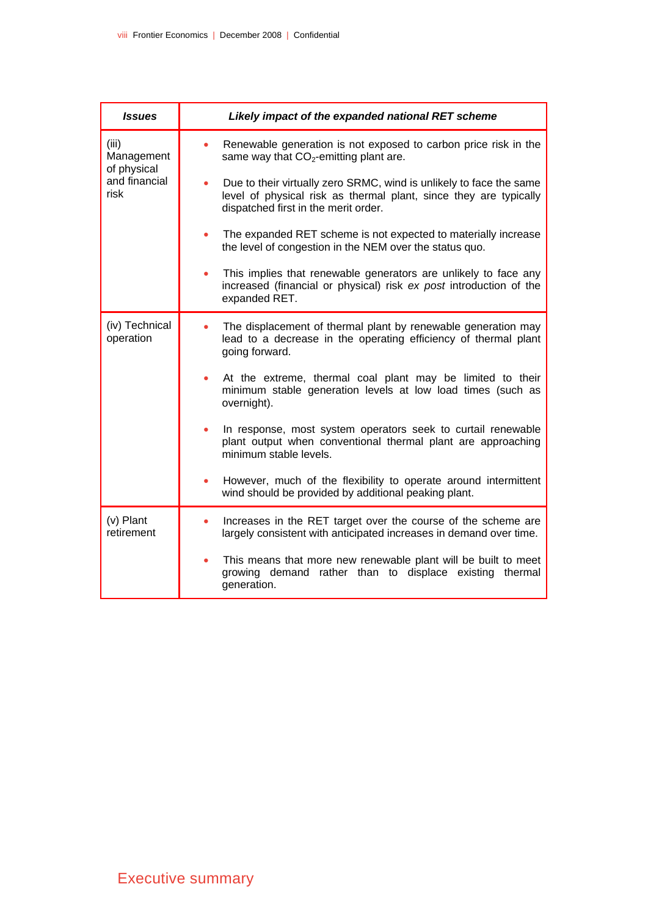| <b>Issues</b>                      | Likely impact of the expanded national RET scheme                                                                                                                                |
|------------------------------------|----------------------------------------------------------------------------------------------------------------------------------------------------------------------------------|
| (iii)<br>Management<br>of physical | Renewable generation is not exposed to carbon price risk in the<br>same way that $CO2$ -emitting plant are.                                                                      |
| and financial<br>risk              | Due to their virtually zero SRMC, wind is unlikely to face the same<br>level of physical risk as thermal plant, since they are typically<br>dispatched first in the merit order. |
|                                    | The expanded RET scheme is not expected to materially increase<br>the level of congestion in the NEM over the status quo.                                                        |
|                                    | This implies that renewable generators are unlikely to face any<br>increased (financial or physical) risk ex post introduction of the<br>expanded RET.                           |
| (iv) Technical<br>operation        | The displacement of thermal plant by renewable generation may<br>lead to a decrease in the operating efficiency of thermal plant<br>going forward.                               |
|                                    | At the extreme, thermal coal plant may be limited to their<br>minimum stable generation levels at low load times (such as<br>overnight).                                         |
|                                    | In response, most system operators seek to curtail renewable<br>plant output when conventional thermal plant are approaching<br>minimum stable levels.                           |
|                                    | However, much of the flexibility to operate around intermittent<br>wind should be provided by additional peaking plant.                                                          |
| (v) Plant<br>retirement            | Increases in the RET target over the course of the scheme are<br>largely consistent with anticipated increases in demand over time.                                              |
|                                    | This means that more new renewable plant will be built to meet<br>growing demand rather than to displace existing thermal<br>generation.                                         |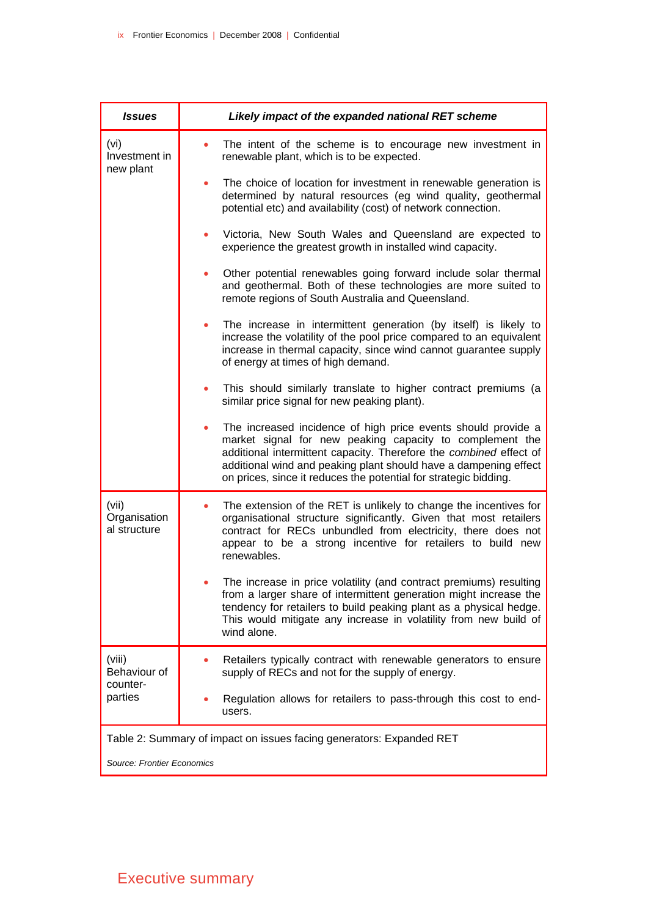| <b>Issues</b>                         | Likely impact of the expanded national RET scheme                                                                                                                                                                                                                                                                                                    |
|---------------------------------------|------------------------------------------------------------------------------------------------------------------------------------------------------------------------------------------------------------------------------------------------------------------------------------------------------------------------------------------------------|
| (vi)<br>Investment in<br>new plant    | The intent of the scheme is to encourage new investment in<br>$\bullet$<br>renewable plant, which is to be expected.                                                                                                                                                                                                                                 |
|                                       | The choice of location for investment in renewable generation is<br>٠<br>determined by natural resources (eg wind quality, geothermal<br>potential etc) and availability (cost) of network connection.                                                                                                                                               |
|                                       | Victoria, New South Wales and Queensland are expected to<br>۰<br>experience the greatest growth in installed wind capacity.                                                                                                                                                                                                                          |
|                                       | Other potential renewables going forward include solar thermal<br>۰<br>and geothermal. Both of these technologies are more suited to<br>remote regions of South Australia and Queensland.                                                                                                                                                            |
|                                       | The increase in intermittent generation (by itself) is likely to<br>۰<br>increase the volatility of the pool price compared to an equivalent<br>increase in thermal capacity, since wind cannot guarantee supply<br>of energy at times of high demand.                                                                                               |
|                                       | This should similarly translate to higher contract premiums (a<br>similar price signal for new peaking plant).                                                                                                                                                                                                                                       |
|                                       | The increased incidence of high price events should provide a<br>$\bullet$<br>market signal for new peaking capacity to complement the<br>additional intermittent capacity. Therefore the combined effect of<br>additional wind and peaking plant should have a dampening effect<br>on prices, since it reduces the potential for strategic bidding. |
| (vii)<br>Organisation<br>al structure | The extension of the RET is unlikely to change the incentives for<br>organisational structure significantly. Given that most retailers<br>contract for RECs unbundled from electricity, there does not<br>appear to be a strong incentive for retailers to build new<br>renewables.                                                                  |
|                                       | The increase in price volatility (and contract premiums) resulting<br>from a larger share of intermittent generation might increase the<br>tendency for retailers to build peaking plant as a physical hedge.<br>This would mitigate any increase in volatility from new build of<br>wind alone.                                                     |
| (viii)<br>Behaviour of                | Retailers typically contract with renewable generators to ensure<br>supply of RECs and not for the supply of energy.                                                                                                                                                                                                                                 |
| counter-<br>parties                   | Regulation allows for retailers to pass-through this cost to end-<br>users.                                                                                                                                                                                                                                                                          |
|                                       | Table 2: Summary of impact on issues facing generators: Expanded RET                                                                                                                                                                                                                                                                                 |
| Source: Frontier Economics            |                                                                                                                                                                                                                                                                                                                                                      |

# Executive summary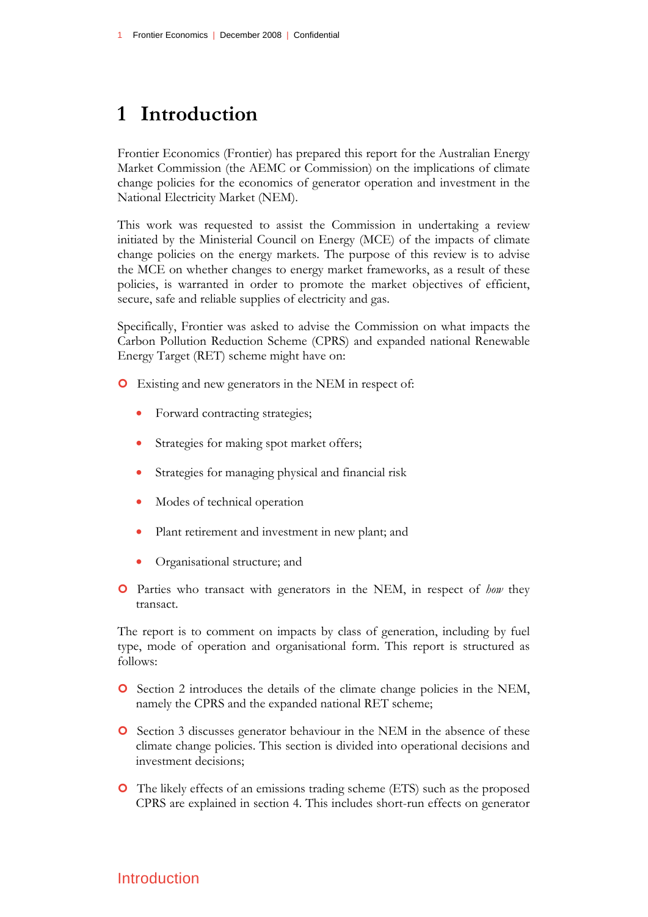# **1 Introduction**

Frontier Economics (Frontier) has prepared this report for the Australian Energy Market Commission (the AEMC or Commission) on the implications of climate change policies for the economics of generator operation and investment in the National Electricity Market (NEM).

This work was requested to assist the Commission in undertaking a review initiated by the Ministerial Council on Energy (MCE) of the impacts of climate change policies on the energy markets. The purpose of this review is to advise the MCE on whether changes to energy market frameworks, as a result of these policies, is warranted in order to promote the market objectives of efficient, secure, safe and reliable supplies of electricity and gas.

Specifically, Frontier was asked to advise the Commission on what impacts the Carbon Pollution Reduction Scheme (CPRS) and expanded national Renewable Energy Target (RET) scheme might have on:

- | Existing and new generators in the NEM in respect of:
	- Forward contracting strategies;
	- Strategies for making spot market offers;
	- Strategies for managing physical and financial risk
	- Modes of technical operation
	- Plant retirement and investment in new plant; and
	- Organisational structure; and
- | Parties who transact with generators in the NEM, in respect of *how* they transact.

The report is to comment on impacts by class of generation, including by fuel type, mode of operation and organisational form. This report is structured as follows:

- | Section 2 introduces the details of the climate change policies in the NEM, namely the CPRS and the expanded national RET scheme;
- **O** Section 3 discusses generator behaviour in the NEM in the absence of these climate change policies. This section is divided into operational decisions and investment decisions;
- | The likely effects of an emissions trading scheme (ETS) such as the proposed CPRS are explained in section 4. This includes short-run effects on generator

## Introduction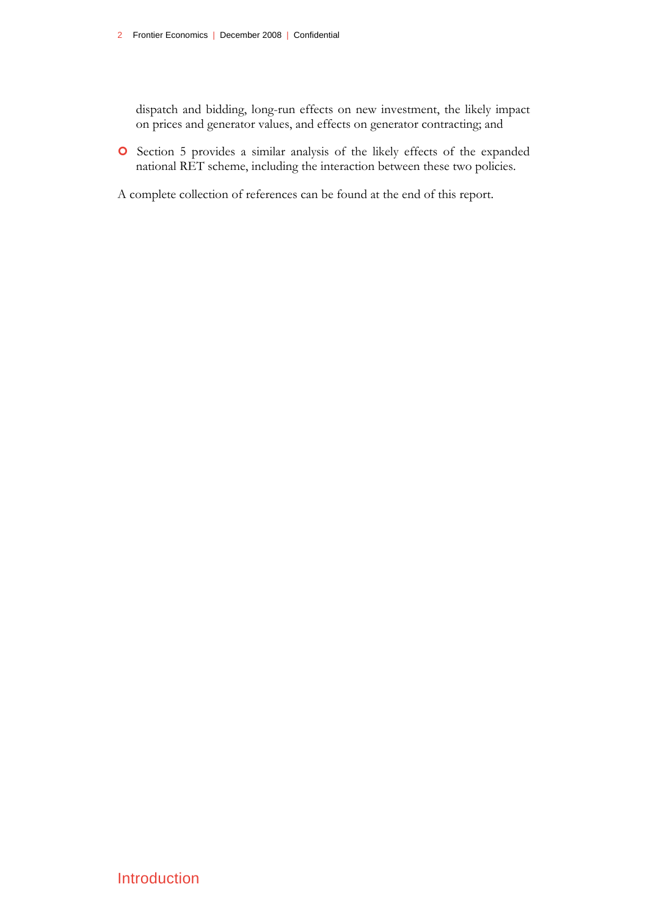dispatch and bidding, long-run effects on new investment, the likely impact on prices and generator values, and effects on generator contracting; and

| Section 5 provides a similar analysis of the likely effects of the expanded national RET scheme, including the interaction between these two policies.

A complete collection of references can be found at the end of this report.

Introduction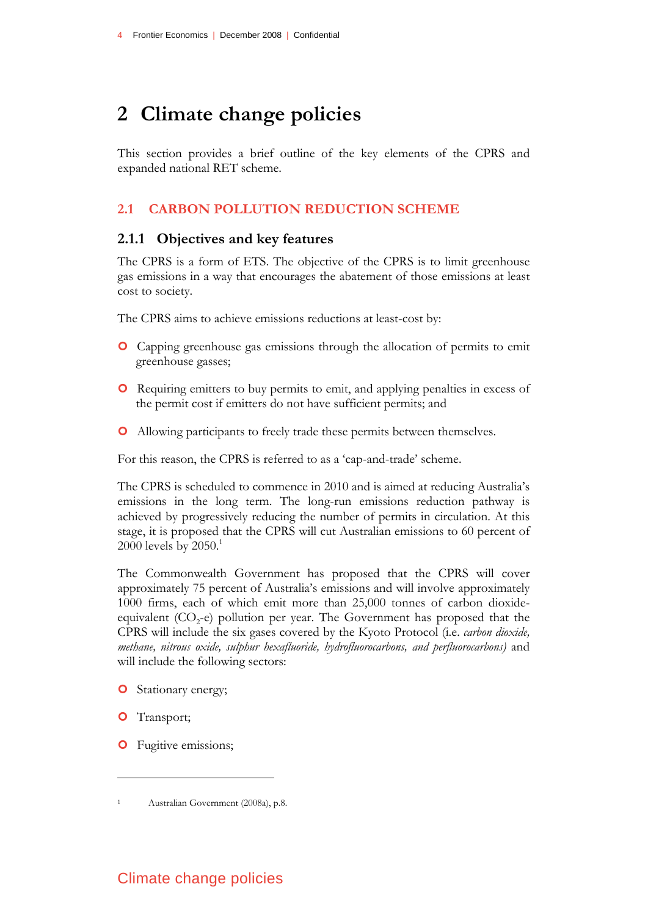# **2 Climate change policies**

This section provides a brief outline of the key elements of the CPRS and expanded national RET scheme.

### **2.1 CARBON POLLUTION REDUCTION SCHEME**

#### **2.1.1 Objectives and key features**

The CPRS is a form of ETS. The objective of the CPRS is to limit greenhouse gas emissions in a way that encourages the abatement of those emissions at least cost to society.

The CPRS aims to achieve emissions reductions at least-cost by:

- | Capping greenhouse gas emissions through the allocation of permits to emit greenhouse gasses;
- | Requiring emitters to buy permits to emit, and applying penalties in excess of the permit cost if emitters do not have sufficient permits; and
- | Allowing participants to freely trade these permits between themselves.

For this reason, the CPRS is referred to as a 'cap-and-trade' scheme.

The CPRS is scheduled to commence in 2010 and is aimed at reducing Australia's emissions in the long term. The long-run emissions reduction pathway is achieved by progressively reducing the number of permits in circulation. At this stage, it is proposed that the CPRS will cut Australian emissions to 60 percent of 2000 levels by  $2050<sup>1</sup>$ 

The Commonwealth Government has proposed that the CPRS will cover approximately 75 percent of Australia's emissions and will involve approximately 1000 firms, each of which emit more than 25,000 tonnes of carbon dioxideequivalent  $(CO<sub>2</sub>-e)$  pollution per year. The Government has proposed that the CPRS will include the six gases covered by the Kyoto Protocol (i.e. *carbon dioxide, methane, nitrous oxide, sulphur hexafluoride, hydrofluorocarbons, and perfluorocarbons)* and will include the following sectors:

- **O** Stationary energy;
- **O** Transport;

<u>.</u>

**O** Fugitive emissions;

<sup>1</sup> Australian Government (2008a), p.8.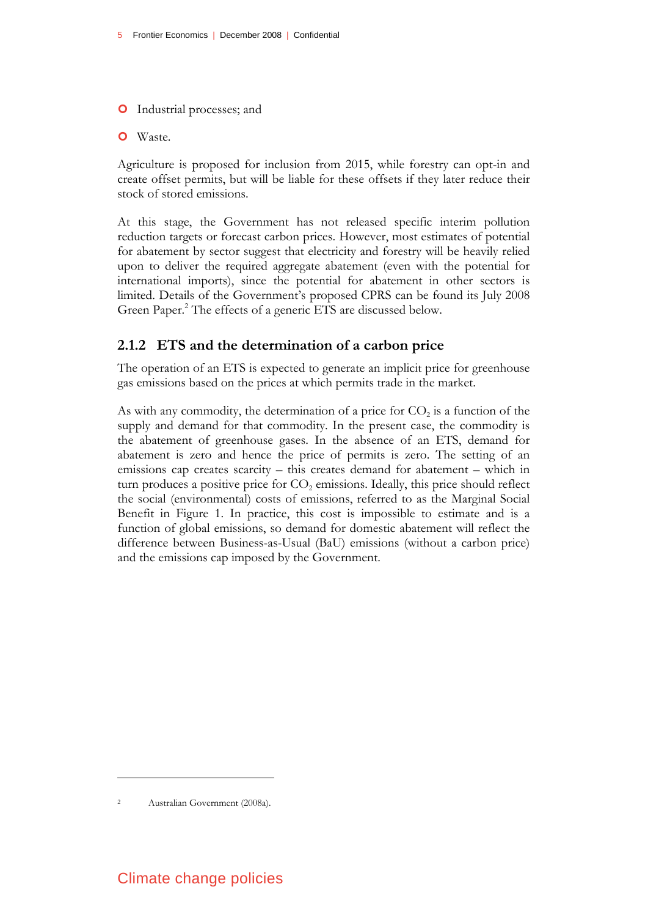- **O** Industrial processes; and
- O Waste.

Agriculture is proposed for inclusion from 2015, while forestry can opt-in and create offset permits, but will be liable for these offsets if they later reduce their stock of stored emissions.

At this stage, the Government has not released specific interim pollution reduction targets or forecast carbon prices. However, most estimates of potential for abatement by sector suggest that electricity and forestry will be heavily relied upon to deliver the required aggregate abatement (even with the potential for international imports), since the potential for abatement in other sectors is limited. Details of the Government's proposed CPRS can be found its July 2008 Green Paper.<sup>2</sup> The effects of a generic ETS are discussed below.

### **2.1.2 ETS and the determination of a carbon price**

The operation of an ETS is expected to generate an implicit price for greenhouse gas emissions based on the prices at which permits trade in the market.

As with any commodity, the determination of a price for  $CO<sub>2</sub>$  is a function of the supply and demand for that commodity. In the present case, the commodity is the abatement of greenhouse gases. In the absence of an ETS, demand for abatement is zero and hence the price of permits is zero. The setting of an emissions cap creates scarcity – this creates demand for abatement – which in turn produces a positive price for  $CO<sub>2</sub>$  emissions. Ideally, this price should reflect the social (environmental) costs of emissions, referred to as the Marginal Social Benefit in Figure 1. In practice, this cost is impossible to estimate and is a function of global emissions, so demand for domestic abatement will reflect the difference between Business-as-Usual (BaU) emissions (without a carbon price) and the emissions cap imposed by the Government.

<sup>2</sup> Australian Government (2008a).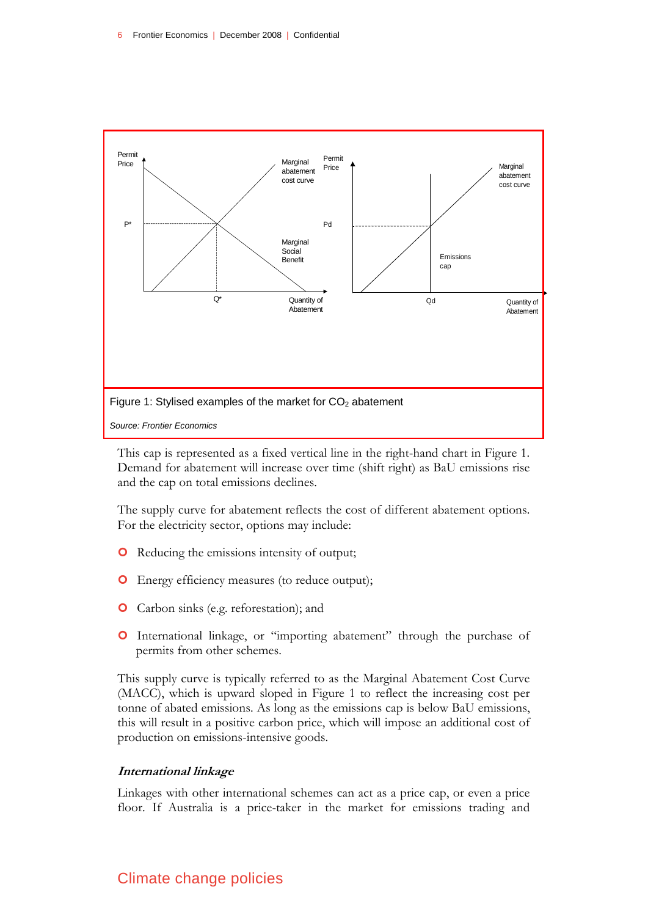

This cap is represented as a fixed vertical line in the right-hand chart in Figure 1. Demand for abatement will increase over time (shift right) as BaU emissions rise and the cap on total emissions declines.

The supply curve for abatement reflects the cost of different abatement options. For the electricity sector, options may include:

- **O** Reducing the emissions intensity of output;
- | Energy efficiency measures (to reduce output);
- **O** Carbon sinks (e.g. reforestation); and
- | International linkage, or "importing abatement" through the purchase of permits from other schemes.

This supply curve is typically referred to as the Marginal Abatement Cost Curve (MACC), which is upward sloped in Figure 1 to reflect the increasing cost per tonne of abated emissions. As long as the emissions cap is below BaU emissions, this will result in a positive carbon price, which will impose an additional cost of production on emissions-intensive goods.

#### **International linkage**

Linkages with other international schemes can act as a price cap, or even a price floor. If Australia is a price-taker in the market for emissions trading and

## Climate change policies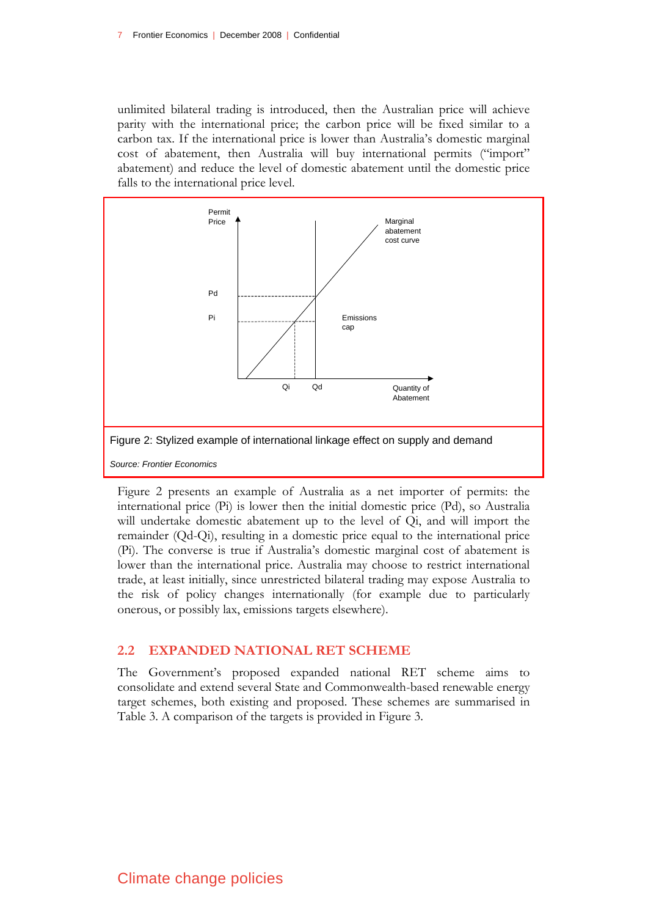unlimited bilateral trading is introduced, then the Australian price will achieve parity with the international price; the carbon price will be fixed similar to a carbon tax. If the international price is lower than Australia's domestic marginal cost of abatement, then Australia will buy international permits ("import" abatement) and reduce the level of domestic abatement until the domestic price falls to the international price level.



Figure 2 presents an example of Australia as a net importer of permits: the international price (Pi) is lower then the initial domestic price (Pd), so Australia will undertake domestic abatement up to the level of Qi, and will import the remainder (Qd-Qi), resulting in a domestic price equal to the international price (Pi). The converse is true if Australia's domestic marginal cost of abatement is lower than the international price. Australia may choose to restrict international trade, at least initially, since unrestricted bilateral trading may expose Australia to the risk of policy changes internationally (for example due to particularly onerous, or possibly lax, emissions targets elsewhere).

#### **2.2 EXPANDED NATIONAL RET SCHEME**

The Government's proposed expanded national RET scheme aims to consolidate and extend several State and Commonwealth-based renewable energy target schemes, both existing and proposed. These schemes are summarised in Table 3. A comparison of the targets is provided in Figure 3.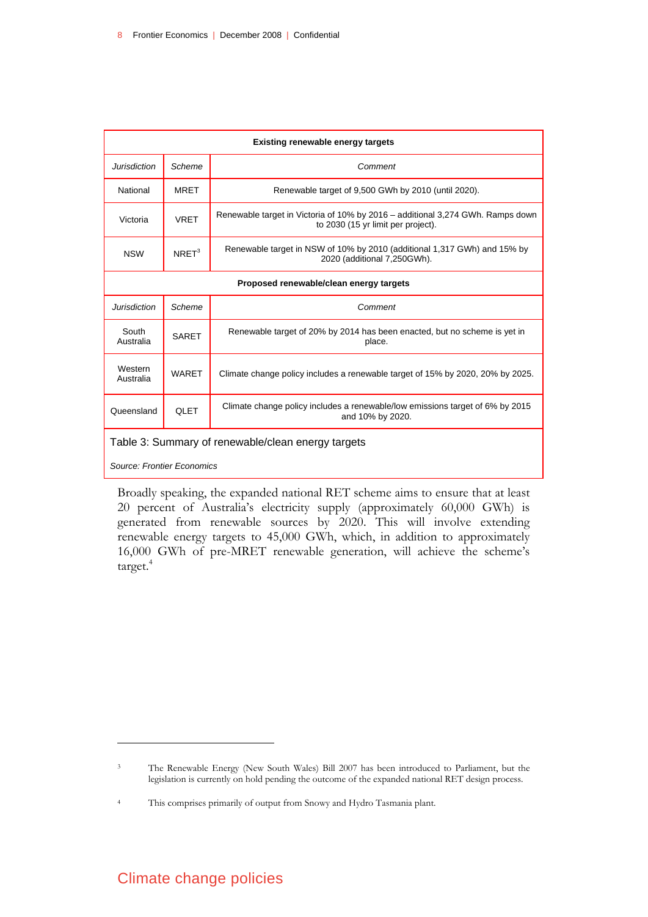| <b>Existing renewable energy targets</b>           |                   |                                                                                                                      |  |  |  |  |  |
|----------------------------------------------------|-------------------|----------------------------------------------------------------------------------------------------------------------|--|--|--|--|--|
| Jurisdiction                                       | Scheme            | Comment                                                                                                              |  |  |  |  |  |
| National                                           | MRET              | Renewable target of 9,500 GWh by 2010 (until 2020).                                                                  |  |  |  |  |  |
| Victoria                                           | <b>VRET</b>       | Renewable target in Victoria of 10% by 2016 – additional 3,274 GWh. Ramps down<br>to 2030 (15 yr limit per project). |  |  |  |  |  |
| <b>NSW</b>                                         | NRFT <sup>3</sup> | Renewable target in NSW of 10% by 2010 (additional 1,317 GWh) and 15% by<br>2020 (additional 7,250GWh).              |  |  |  |  |  |
| Proposed renewable/clean energy targets            |                   |                                                                                                                      |  |  |  |  |  |
| Jurisdiction                                       | Scheme            | Comment                                                                                                              |  |  |  |  |  |
| South<br>Australia                                 | <b>SARET</b>      | Renewable target of 20% by 2014 has been enacted, but no scheme is yet in<br>place.                                  |  |  |  |  |  |
| Western<br>Australia                               | <b>WARET</b>      | Climate change policy includes a renewable target of 15% by 2020, 20% by 2025.                                       |  |  |  |  |  |
| Queensland                                         | <b>QLET</b>       | Climate change policy includes a renewable/low emissions target of 6% by 2015<br>and 10% by 2020.                    |  |  |  |  |  |
| Table 3: Summary of renewable/clean energy targets |                   |                                                                                                                      |  |  |  |  |  |
| Source: Frontier Economics                         |                   |                                                                                                                      |  |  |  |  |  |

Broadly speaking, the expanded national RET scheme aims to ensure that at least 20 percent of Australia's electricity supply (approximately 60,000 GWh) is generated from renewable sources by 2020. This will involve extending renewable energy targets to 45,000 GWh, which, in addition to approximately 16,000 GWh of pre-MRET renewable generation, will achieve the scheme's target.<sup>4</sup>

## Climate change policies

<sup>3</sup> The Renewable Energy (New South Wales) Bill 2007 has been introduced to Parliament, but the legislation is currently on hold pending the outcome of the expanded national RET design process.

<sup>4</sup> This comprises primarily of output from Snowy and Hydro Tasmania plant.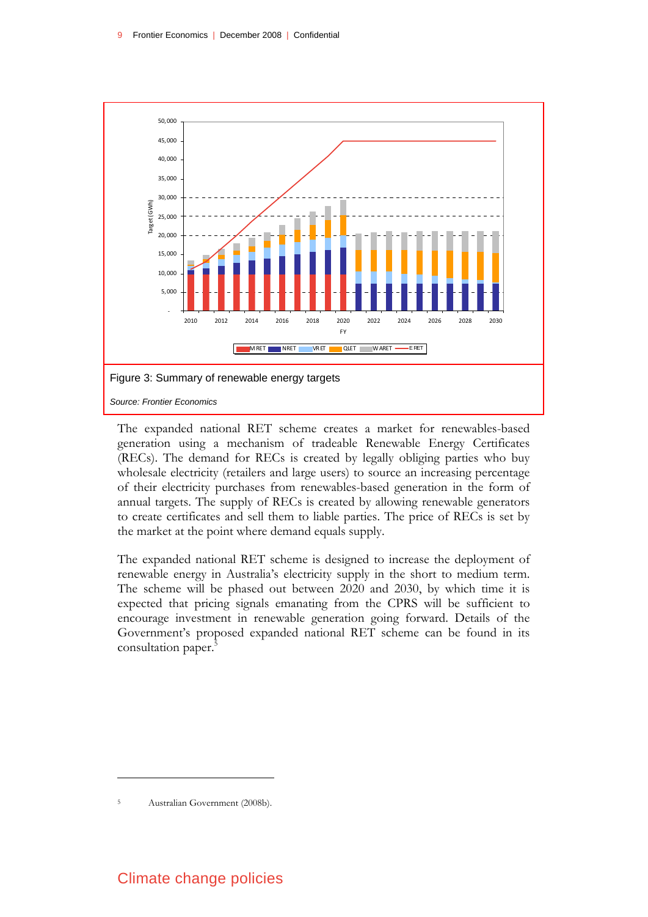

The expanded national RET scheme creates a market for renewables-based generation using a mechanism of tradeable Renewable Energy Certificates (RECs). The demand for RECs is created by legally obliging parties who buy wholesale electricity (retailers and large users) to source an increasing percentage of their electricity purchases from renewables-based generation in the form of annual targets. The supply of RECs is created by allowing renewable generators to create certificates and sell them to liable parties. The price of RECs is set by the market at the point where demand equals supply.

The expanded national RET scheme is designed to increase the deployment of renewable energy in Australia's electricity supply in the short to medium term. The scheme will be phased out between 2020 and 2030, by which time it is expected that pricing signals emanating from the CPRS will be sufficient to encourage investment in renewable generation going forward. Details of the Government's proposed expanded national RET scheme can be found in its consultation paper.<sup>5</sup>

Australian Government (2008b).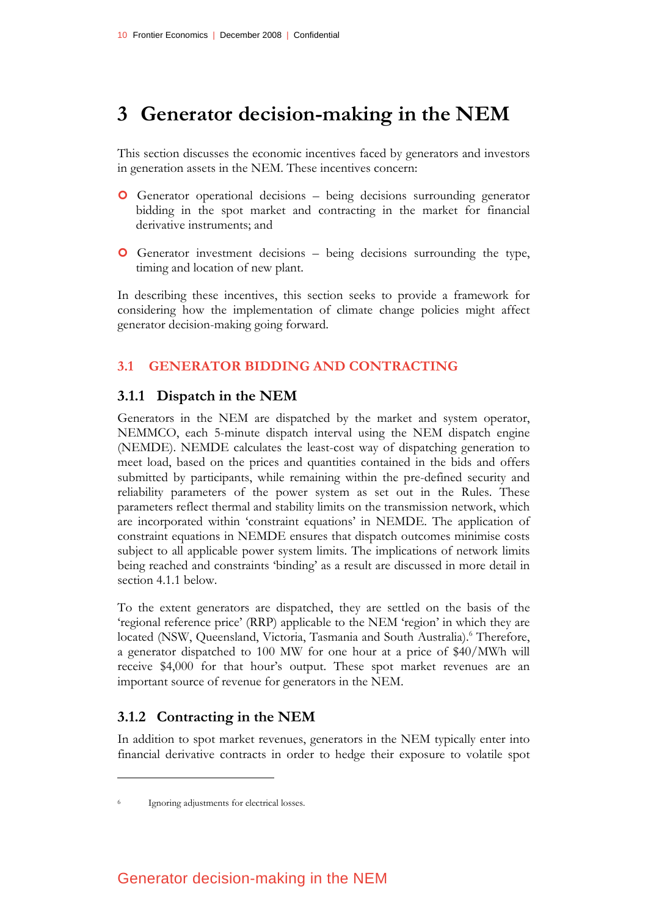# **3 Generator decision-making in the NEM**

This section discusses the economic incentives faced by generators and investors in generation assets in the NEM. These incentives concern:

- | Generator operational decisions being decisions surrounding generator bidding in the spot market and contracting in the market for financial derivative instruments; and
- | Generator investment decisions being decisions surrounding the type, timing and location of new plant.

In describing these incentives, this section seeks to provide a framework for considering how the implementation of climate change policies might affect generator decision-making going forward.

### **3.1 GENERATOR BIDDING AND CONTRACTING**

### **3.1.1 Dispatch in the NEM**

Generators in the NEM are dispatched by the market and system operator, NEMMCO, each 5-minute dispatch interval using the NEM dispatch engine (NEMDE). NEMDE calculates the least-cost way of dispatching generation to meet load, based on the prices and quantities contained in the bids and offers submitted by participants, while remaining within the pre-defined security and reliability parameters of the power system as set out in the Rules. These parameters reflect thermal and stability limits on the transmission network, which are incorporated within 'constraint equations' in NEMDE. The application of constraint equations in NEMDE ensures that dispatch outcomes minimise costs subject to all applicable power system limits. The implications of network limits being reached and constraints 'binding' as a result are discussed in more detail in section 4.1.1 below.

To the extent generators are dispatched, they are settled on the basis of the 'regional reference price' (RRP) applicable to the NEM 'region' in which they are located (NSW, Queensland, Victoria, Tasmania and South Australia).<sup>6</sup> Therefore, a generator dispatched to 100 MW for one hour at a price of \$40/MWh will receive \$4,000 for that hour's output. These spot market revenues are an important source of revenue for generators in the NEM.

## **3.1.2 Contracting in the NEM**

In addition to spot market revenues, generators in the NEM typically enter into financial derivative contracts in order to hedge their exposure to volatile spot

<sup>6</sup> Ignoring adjustments for electrical losses.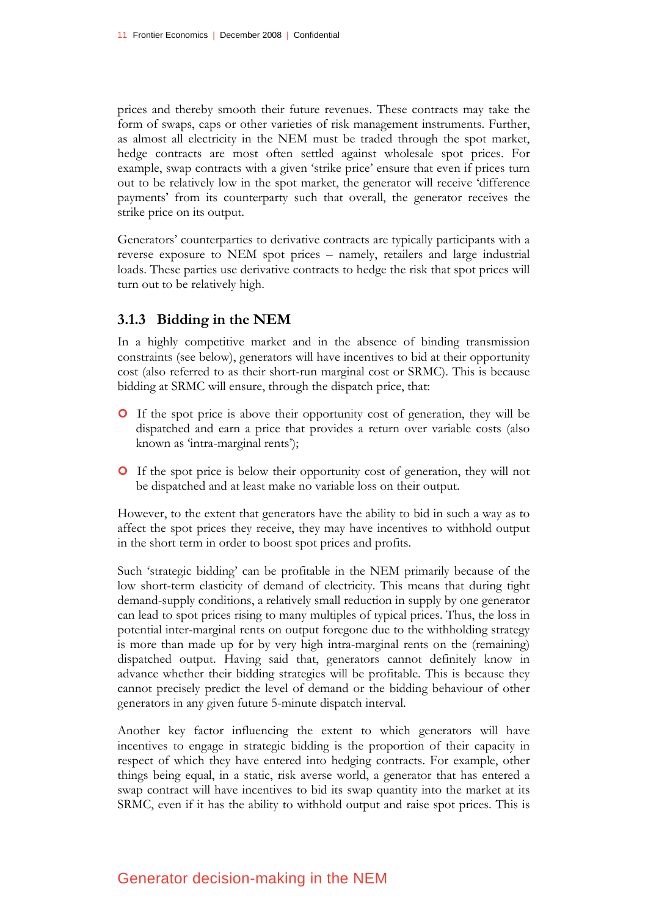prices and thereby smooth their future revenues. These contracts may take the form of swaps, caps or other varieties of risk management instruments. Further, as almost all electricity in the NEM must be traded through the spot market, hedge contracts are most often settled against wholesale spot prices. For example, swap contracts with a given 'strike price' ensure that even if prices turn out to be relatively low in the spot market, the generator will receive 'difference payments' from its counterparty such that overall, the generator receives the strike price on its output.

Generators' counterparties to derivative contracts are typically participants with a reverse exposure to NEM spot prices – namely, retailers and large industrial loads. These parties use derivative contracts to hedge the risk that spot prices will turn out to be relatively high.

## **3.1.3 Bidding in the NEM**

In a highly competitive market and in the absence of binding transmission constraints (see below), generators will have incentives to bid at their opportunity cost (also referred to as their short-run marginal cost or SRMC). This is because bidding at SRMC will ensure, through the dispatch price, that:

- | If the spot price is above their opportunity cost of generation, they will be dispatched and earn a price that provides a return over variable costs (also known as 'intra-marginal rents');
- | If the spot price is below their opportunity cost of generation, they will not be dispatched and at least make no variable loss on their output.

However, to the extent that generators have the ability to bid in such a way as to affect the spot prices they receive, they may have incentives to withhold output in the short term in order to boost spot prices and profits.

Such 'strategic bidding' can be profitable in the NEM primarily because of the low short-term elasticity of demand of electricity. This means that during tight demand-supply conditions, a relatively small reduction in supply by one generator can lead to spot prices rising to many multiples of typical prices. Thus, the loss in potential inter-marginal rents on output foregone due to the withholding strategy is more than made up for by very high intra-marginal rents on the (remaining) dispatched output. Having said that, generators cannot definitely know in advance whether their bidding strategies will be profitable. This is because they cannot precisely predict the level of demand or the bidding behaviour of other generators in any given future 5-minute dispatch interval.

Another key factor influencing the extent to which generators will have incentives to engage in strategic bidding is the proportion of their capacity in respect of which they have entered into hedging contracts. For example, other things being equal, in a static, risk averse world, a generator that has entered a swap contract will have incentives to bid its swap quantity into the market at its SRMC, even if it has the ability to withhold output and raise spot prices. This is

## Generator decision-making in the NEM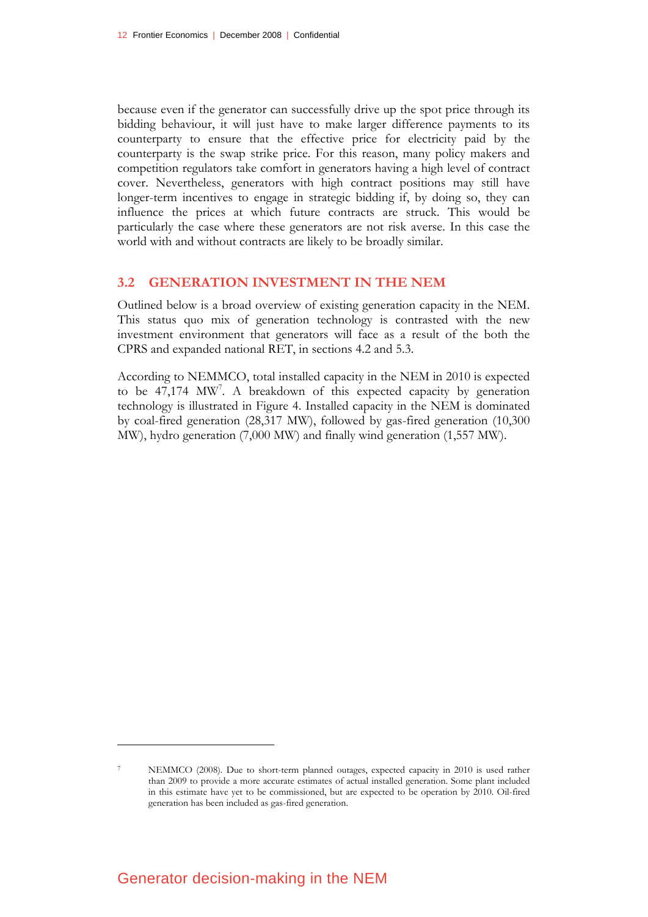because even if the generator can successfully drive up the spot price through its bidding behaviour, it will just have to make larger difference payments to its counterparty to ensure that the effective price for electricity paid by the counterparty is the swap strike price. For this reason, many policy makers and competition regulators take comfort in generators having a high level of contract cover. Nevertheless, generators with high contract positions may still have longer-term incentives to engage in strategic bidding if, by doing so, they can influence the prices at which future contracts are struck. This would be particularly the case where these generators are not risk averse. In this case the world with and without contracts are likely to be broadly similar.

#### **3.2 GENERATION INVESTMENT IN THE NEM**

Outlined below is a broad overview of existing generation capacity in the NEM. This status quo mix of generation technology is contrasted with the new investment environment that generators will face as a result of the both the CPRS and expanded national RET, in sections 4.2 and 5.3.

According to NEMMCO, total installed capacity in the NEM in 2010 is expected to be 47,174 MW<sup>7</sup>. A breakdown of this expected capacity by generation technology is illustrated in Figure 4. Installed capacity in the NEM is dominated by coal-fired generation (28,317 MW), followed by gas-fired generation (10,300 MW), hydro generation (7,000 MW) and finally wind generation (1,557 MW).

NEMMCO (2008). Due to short-term planned outages, expected capacity in 2010 is used rather than 2009 to provide a more accurate estimates of actual installed generation. Some plant included in this estimate have yet to be commissioned, but are expected to be operation by 2010. Oil-fired generation has been included as gas-fired generation.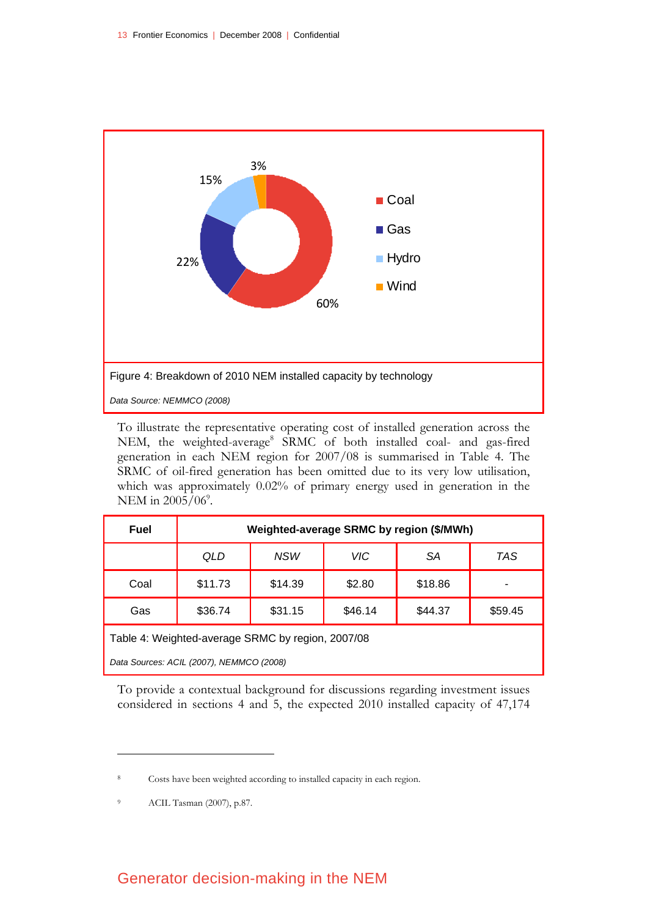

To illustrate the representative operating cost of installed generation across the NEM, the weighted-average<sup>8</sup> SRMC of both installed coal- and gas-fired generation in each NEM region for 2007/08 is summarised in Table 4. The SRMC of oil-fired generation has been omitted due to its very low utilisation, which was approximately 0.02% of primary energy used in generation in the NEM in  $2005/06^9$ .

| Fuel                                              | Weighted-average SRMC by region (\$/MWh) |            |         |         |         |  |  |  |
|---------------------------------------------------|------------------------------------------|------------|---------|---------|---------|--|--|--|
|                                                   | QLD                                      | <b>NSW</b> | VIC     | SА      | TAS     |  |  |  |
| Coal                                              | \$11.73                                  | \$14.39    | \$2.80  | \$18.86 |         |  |  |  |
| Gas                                               | \$36.74                                  | \$31.15    | \$46.14 | \$44.37 | \$59.45 |  |  |  |
| Table 4: Weighted-average SRMC by region, 2007/08 |                                          |            |         |         |         |  |  |  |

*Data Sources: ACIL (2007), NEMMCO (2008)* 

To provide a contextual background for discussions regarding investment issues considered in sections 4 and 5, the expected 2010 installed capacity of 47,174

<u>.</u>

## Generator decision-making in the NEM

Costs have been weighted according to installed capacity in each region.

<sup>9</sup> ACIL Tasman (2007), p.87.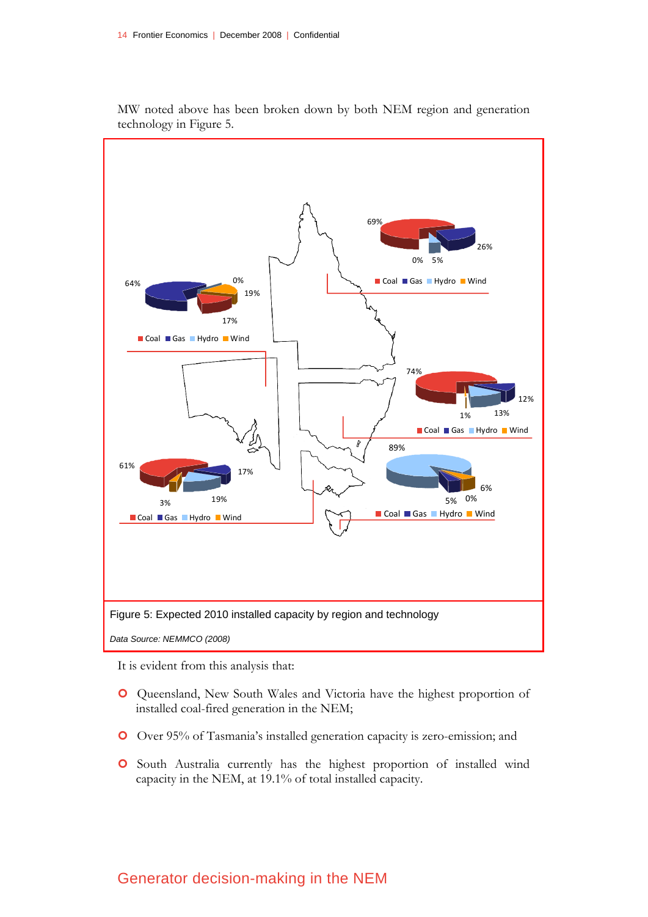

MW noted above has been broken down by both NEM region and generation technology in Figure 5.

It is evident from this analysis that:

- | Queensland, New South Wales and Victoria have the highest proportion of installed coal-fired generation in the NEM;
- | Over 95% of Tasmania's installed generation capacity is zero-emission; and
- | South Australia currently has the highest proportion of installed wind capacity in the NEM, at 19.1% of total installed capacity.

## Generator decision-making in the NEM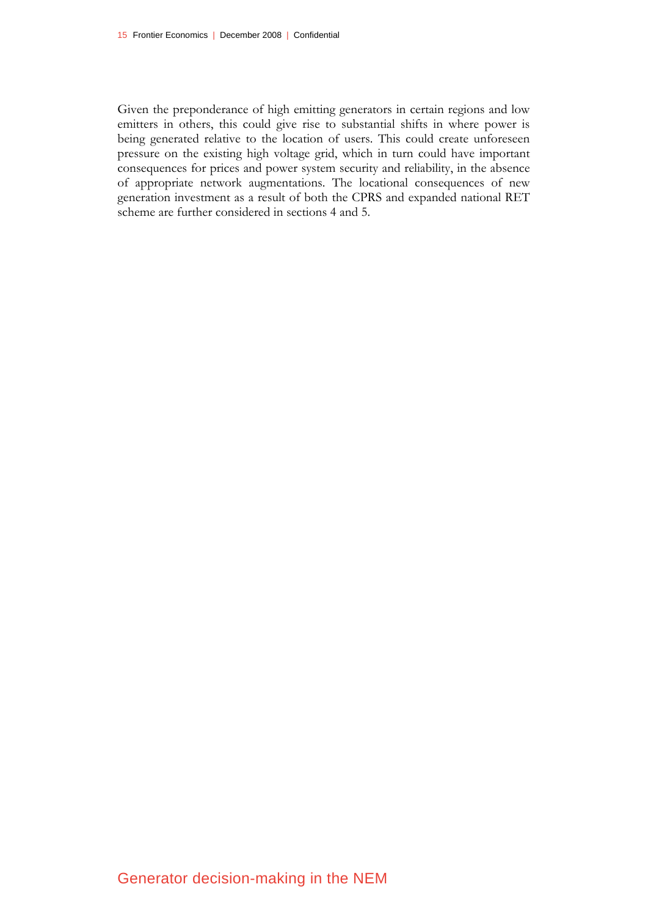Given the preponderance of high emitting generators in certain regions and low emitters in others, this could give rise to substantial shifts in where power is being generated relative to the location of users. This could create unforeseen pressure on the existing high voltage grid, which in turn could have important consequences for prices and power system security and reliability, in the absence of appropriate network augmentations. The locational consequences of new generation investment as a result of both the CPRS and expanded national RET scheme are further considered in sections 4 and 5.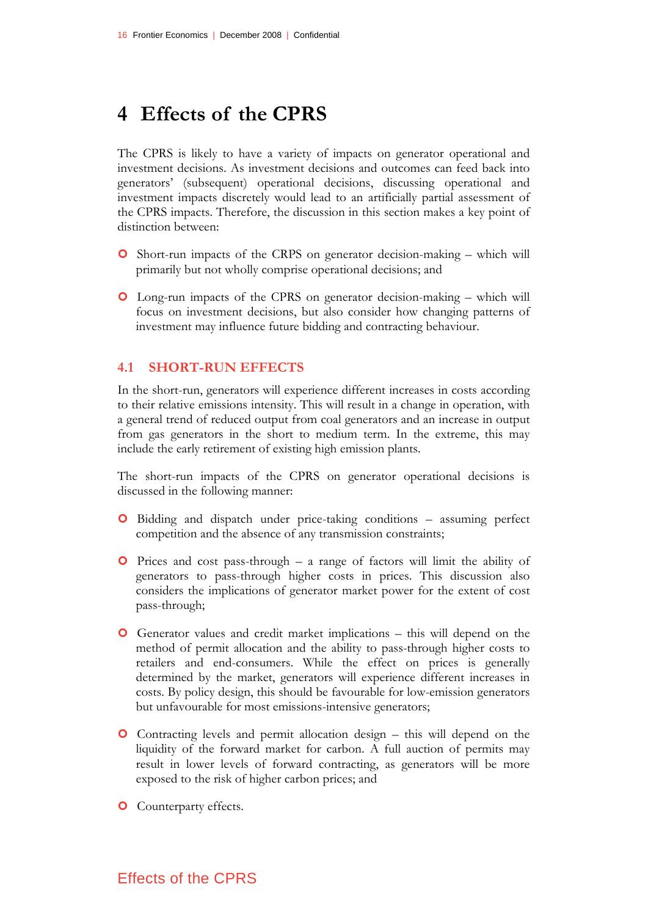# **4 Effects of the CPRS**

The CPRS is likely to have a variety of impacts on generator operational and investment decisions. As investment decisions and outcomes can feed back into generators' (subsequent) operational decisions, discussing operational and investment impacts discretely would lead to an artificially partial assessment of the CPRS impacts. Therefore, the discussion in this section makes a key point of distinction between:

- | Short-run impacts of the CRPS on generator decision-making which will primarily but not wholly comprise operational decisions; and
- | Long-run impacts of the CPRS on generator decision-making which will focus on investment decisions, but also consider how changing patterns of investment may influence future bidding and contracting behaviour.

#### **4.1 SHORT-RUN EFFECTS**

In the short-run, generators will experience different increases in costs according to their relative emissions intensity. This will result in a change in operation, with a general trend of reduced output from coal generators and an increase in output from gas generators in the short to medium term. In the extreme, this may include the early retirement of existing high emission plants.

The short-run impacts of the CPRS on generator operational decisions is discussed in the following manner:

- | Bidding and dispatch under price-taking conditions assuming perfect competition and the absence of any transmission constraints;
- $\bullet$  Prices and cost pass-through a range of factors will limit the ability of generators to pass-through higher costs in prices. This discussion also considers the implications of generator market power for the extent of cost pass-through;
- | Generator values and credit market implications this will depend on the method of permit allocation and the ability to pass-through higher costs to retailers and end-consumers. While the effect on prices is generally determined by the market, generators will experience different increases in costs. By policy design, this should be favourable for low-emission generators but unfavourable for most emissions-intensive generators;
- | Contracting levels and permit allocation design this will depend on the liquidity of the forward market for carbon. A full auction of permits may result in lower levels of forward contracting, as generators will be more exposed to the risk of higher carbon prices; and
- **O** Counterparty effects.

## Effects of the CPRS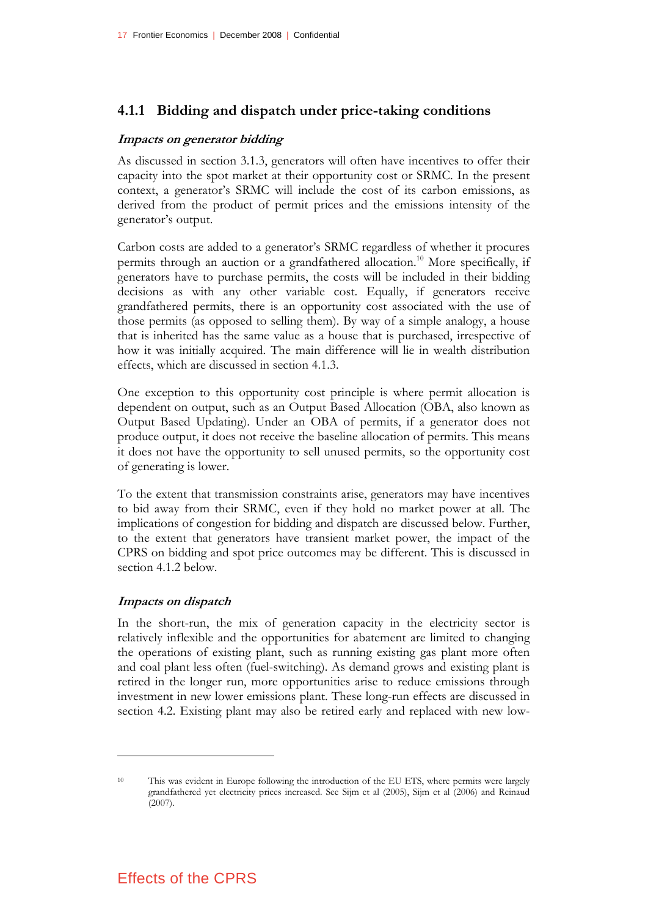## **4.1.1 Bidding and dispatch under price-taking conditions**

#### **Impacts on generator bidding**

As discussed in section 3.1.3, generators will often have incentives to offer their capacity into the spot market at their opportunity cost or SRMC. In the present context, a generator's SRMC will include the cost of its carbon emissions, as derived from the product of permit prices and the emissions intensity of the generator's output.

Carbon costs are added to a generator's SRMC regardless of whether it procures permits through an auction or a grandfathered allocation.<sup>10</sup> More specifically, if generators have to purchase permits, the costs will be included in their bidding decisions as with any other variable cost. Equally, if generators receive grandfathered permits, there is an opportunity cost associated with the use of those permits (as opposed to selling them). By way of a simple analogy, a house that is inherited has the same value as a house that is purchased, irrespective of how it was initially acquired. The main difference will lie in wealth distribution effects, which are discussed in section 4.1.3.

One exception to this opportunity cost principle is where permit allocation is dependent on output, such as an Output Based Allocation (OBA, also known as Output Based Updating). Under an OBA of permits, if a generator does not produce output, it does not receive the baseline allocation of permits. This means it does not have the opportunity to sell unused permits, so the opportunity cost of generating is lower.

To the extent that transmission constraints arise, generators may have incentives to bid away from their SRMC, even if they hold no market power at all. The implications of congestion for bidding and dispatch are discussed below. Further, to the extent that generators have transient market power, the impact of the CPRS on bidding and spot price outcomes may be different. This is discussed in section 4.1.2 below.

#### **Impacts on dispatch**

<u>.</u>

In the short-run, the mix of generation capacity in the electricity sector is relatively inflexible and the opportunities for abatement are limited to changing the operations of existing plant, such as running existing gas plant more often and coal plant less often (fuel-switching). As demand grows and existing plant is retired in the longer run, more opportunities arise to reduce emissions through investment in new lower emissions plant. These long-run effects are discussed in section 4.2. Existing plant may also be retired early and replaced with new low-

<sup>10</sup> This was evident in Europe following the introduction of the EU ETS, where permits were largely grandfathered yet electricity prices increased. See Sijm et al (2005), Sijm et al (2006) and Reinaud (2007).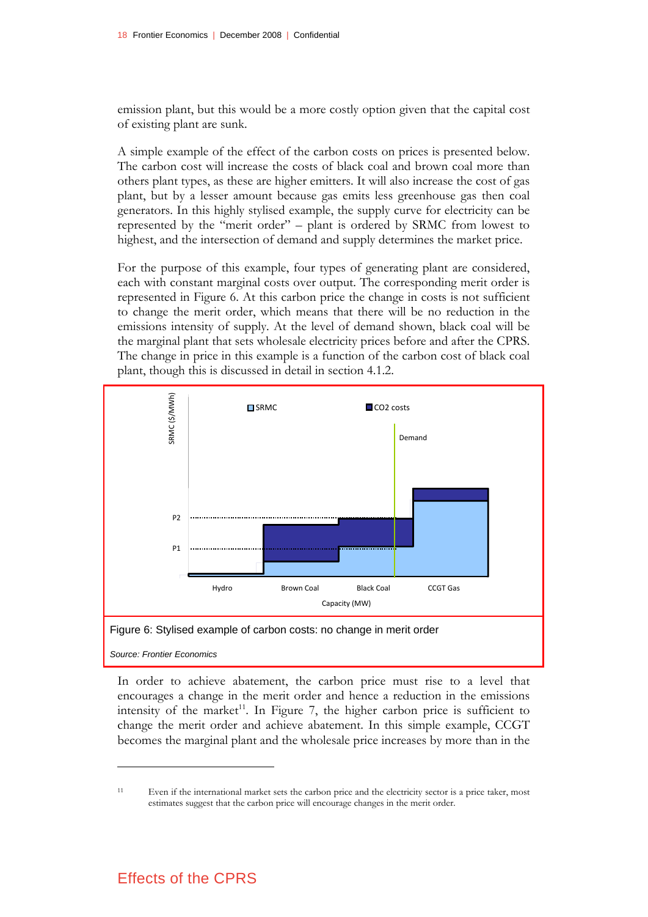emission plant, but this would be a more costly option given that the capital cost of existing plant are sunk.

A simple example of the effect of the carbon costs on prices is presented below. The carbon cost will increase the costs of black coal and brown coal more than others plant types, as these are higher emitters. It will also increase the cost of gas plant, but by a lesser amount because gas emits less greenhouse gas then coal generators. In this highly stylised example, the supply curve for electricity can be represented by the "merit order" – plant is ordered by SRMC from lowest to highest, and the intersection of demand and supply determines the market price.

For the purpose of this example, four types of generating plant are considered, each with constant marginal costs over output. The corresponding merit order is represented in Figure 6. At this carbon price the change in costs is not sufficient to change the merit order, which means that there will be no reduction in the emissions intensity of supply. At the level of demand shown, black coal will be the marginal plant that sets wholesale electricity prices before and after the CPRS. The change in price in this example is a function of the carbon cost of black coal plant, though this is discussed in detail in section 4.1.2.



<u>.</u>

In order to achieve abatement, the carbon price must rise to a level that encourages a change in the merit order and hence a reduction in the emissions intensity of the market<sup>11</sup>. In Figure 7, the higher carbon price is sufficient to change the merit order and achieve abatement. In this simple example, CCGT becomes the marginal plant and the wholesale price increases by more than in the

## Effects of the CPRS

<sup>11</sup> Even if the international market sets the carbon price and the electricity sector is a price taker, most estimates suggest that the carbon price will encourage changes in the merit order.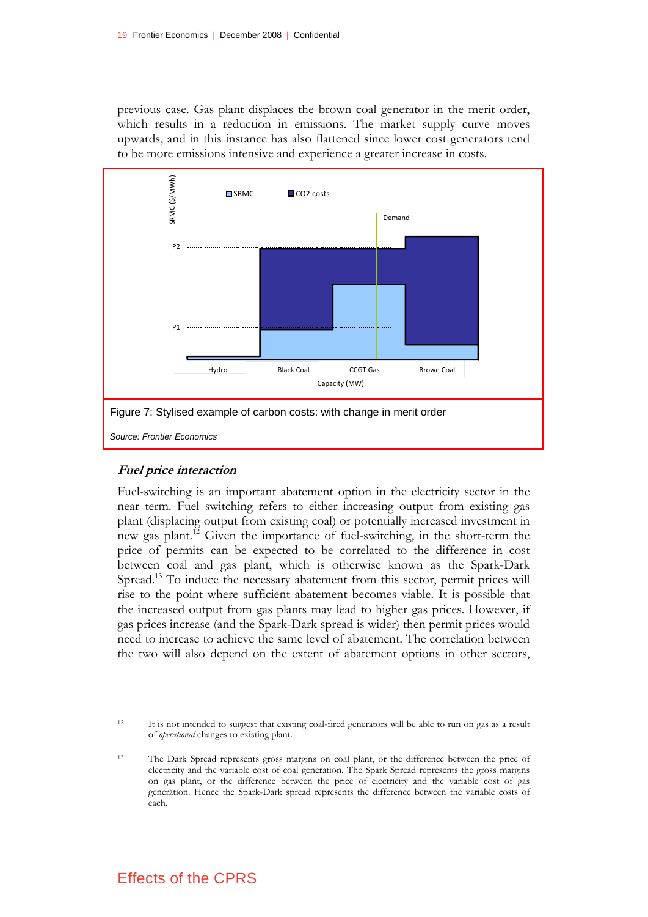previous case. Gas plant displaces the brown coal generator in the merit order, which results in a reduction in emissions. The market supply curve moves upwards, and in this instance has also flattened since lower cost generators tend to be more emissions intensive and experience a greater increase in costs.



#### **Fuel price interaction**

<u>.</u>

Fuel-switching is an important abatement option in the electricity sector in the near term. Fuel switching refers to either increasing output from existing gas plant (displacing output from existing coal) or potentially increased investment in new gas plant.12 Given the importance of fuel-switching, in the short-term the price of permits can be expected to be correlated to the difference in cost between coal and gas plant, which is otherwise known as the Spark-Dark Spread.13 To induce the necessary abatement from this sector, permit prices will rise to the point where sufficient abatement becomes viable. It is possible that the increased output from gas plants may lead to higher gas prices. However, if gas prices increase (and the Spark-Dark spread is wider) then permit prices would need to increase to achieve the same level of abatement. The correlation between the two will also depend on the extent of abatement options in other sectors,

## Effects of the CPRS

<sup>12</sup> It is not intended to suggest that existing coal-fired generators will be able to run on gas as a result of *operational* changes to existing plant.

<sup>13</sup> The Dark Spread represents gross margins on coal plant, or the difference between the price of electricity and the variable cost of coal generation. The Spark Spread represents the gross margins on gas plant, or the difference between the price of electricity and the variable cost of gas generation. Hence the Spark-Dark spread represents the difference between the variable costs of each.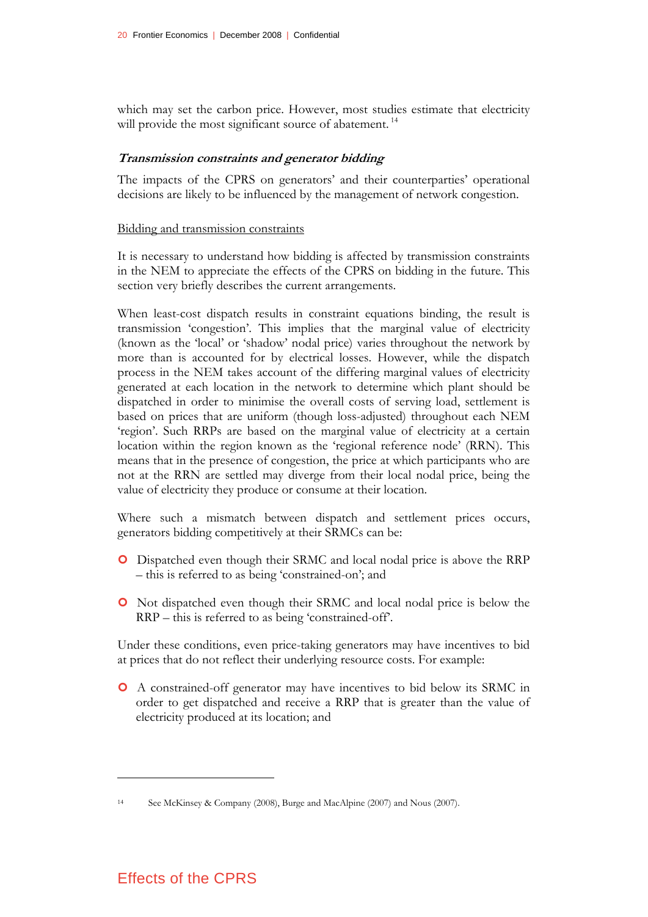which may set the carbon price. However, most studies estimate that electricity will provide the most significant source of abatement.<sup>14</sup>

#### **Transmission constraints and generator bidding**

The impacts of the CPRS on generators' and their counterparties' operational decisions are likely to be influenced by the management of network congestion.

#### Bidding and transmission constraints

It is necessary to understand how bidding is affected by transmission constraints in the NEM to appreciate the effects of the CPRS on bidding in the future. This section very briefly describes the current arrangements.

When least-cost dispatch results in constraint equations binding, the result is transmission 'congestion'. This implies that the marginal value of electricity (known as the 'local' or 'shadow' nodal price) varies throughout the network by more than is accounted for by electrical losses. However, while the dispatch process in the NEM takes account of the differing marginal values of electricity generated at each location in the network to determine which plant should be dispatched in order to minimise the overall costs of serving load, settlement is based on prices that are uniform (though loss-adjusted) throughout each NEM 'region'. Such RRPs are based on the marginal value of electricity at a certain location within the region known as the 'regional reference node' (RRN). This means that in the presence of congestion, the price at which participants who are not at the RRN are settled may diverge from their local nodal price, being the value of electricity they produce or consume at their location.

Where such a mismatch between dispatch and settlement prices occurs, generators bidding competitively at their SRMCs can be:

- | Dispatched even though their SRMC and local nodal price is above the RRP – this is referred to as being 'constrained-on'; and
- | Not dispatched even though their SRMC and local nodal price is below the RRP – this is referred to as being 'constrained-off'.

Under these conditions, even price-taking generators may have incentives to bid at prices that do not reflect their underlying resource costs. For example:

| A constrained-off generator may have incentives to bid below its SRMC in order to get dispatched and receive a RRP that is greater than the value of electricity produced at its location; and

## Effects of the CPRS

<sup>14</sup> See McKinsey & Company (2008), Burge and MacAlpine (2007) and Nous (2007).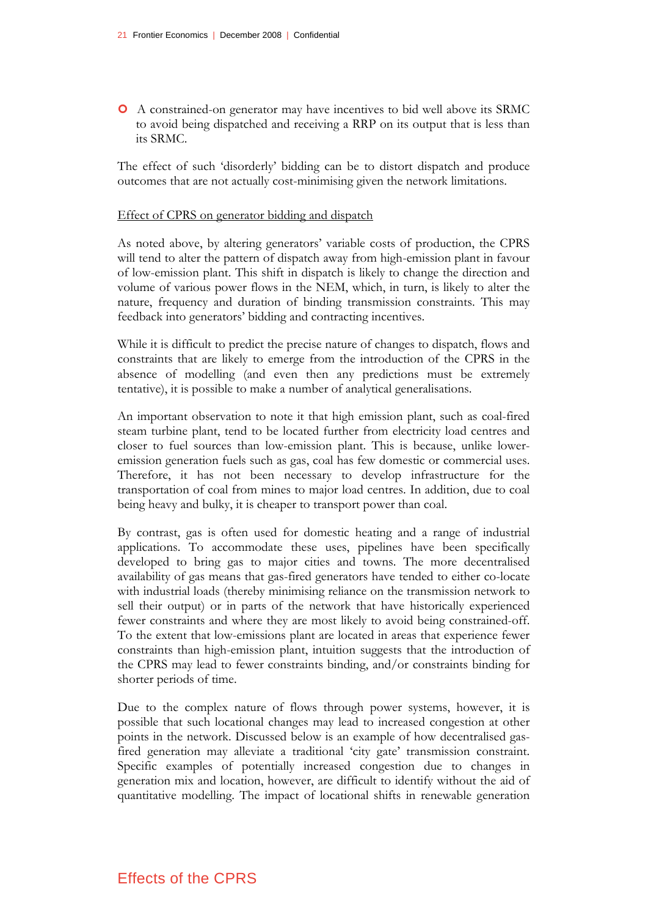| A constrained-on generator may have incentives to bid well above its SRMC to avoid being dispatched and receiving a RRP on its output that is less than its SRMC.

The effect of such 'disorderly' bidding can be to distort dispatch and produce outcomes that are not actually cost-minimising given the network limitations.

#### Effect of CPRS on generator bidding and dispatch

As noted above, by altering generators' variable costs of production, the CPRS will tend to alter the pattern of dispatch away from high-emission plant in favour of low-emission plant. This shift in dispatch is likely to change the direction and volume of various power flows in the NEM, which, in turn, is likely to alter the nature, frequency and duration of binding transmission constraints. This may feedback into generators' bidding and contracting incentives.

While it is difficult to predict the precise nature of changes to dispatch, flows and constraints that are likely to emerge from the introduction of the CPRS in the absence of modelling (and even then any predictions must be extremely tentative), it is possible to make a number of analytical generalisations.

An important observation to note it that high emission plant, such as coal-fired steam turbine plant, tend to be located further from electricity load centres and closer to fuel sources than low-emission plant. This is because, unlike loweremission generation fuels such as gas, coal has few domestic or commercial uses. Therefore, it has not been necessary to develop infrastructure for the transportation of coal from mines to major load centres. In addition, due to coal being heavy and bulky, it is cheaper to transport power than coal.

By contrast, gas is often used for domestic heating and a range of industrial applications. To accommodate these uses, pipelines have been specifically developed to bring gas to major cities and towns. The more decentralised availability of gas means that gas-fired generators have tended to either co-locate with industrial loads (thereby minimising reliance on the transmission network to sell their output) or in parts of the network that have historically experienced fewer constraints and where they are most likely to avoid being constrained-off. To the extent that low-emissions plant are located in areas that experience fewer constraints than high-emission plant, intuition suggests that the introduction of the CPRS may lead to fewer constraints binding, and/or constraints binding for shorter periods of time.

Due to the complex nature of flows through power systems, however, it is possible that such locational changes may lead to increased congestion at other points in the network. Discussed below is an example of how decentralised gasfired generation may alleviate a traditional 'city gate' transmission constraint. Specific examples of potentially increased congestion due to changes in generation mix and location, however, are difficult to identify without the aid of quantitative modelling. The impact of locational shifts in renewable generation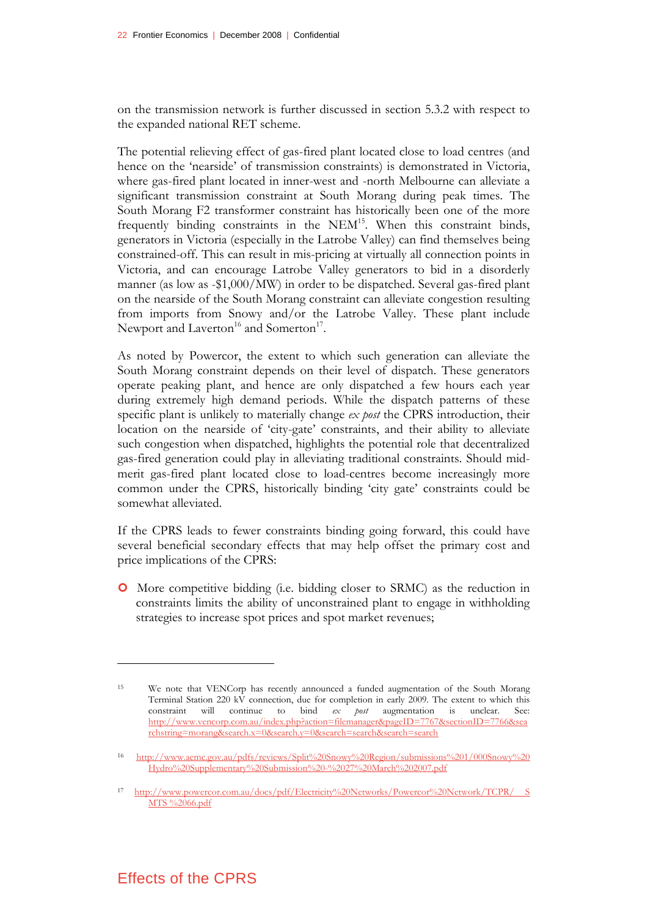on the transmission network is further discussed in section 5.3.2 with respect to the expanded national RET scheme.

The potential relieving effect of gas-fired plant located close to load centres (and hence on the 'nearside' of transmission constraints) is demonstrated in Victoria, where gas-fired plant located in inner-west and -north Melbourne can alleviate a significant transmission constraint at South Morang during peak times. The South Morang F2 transformer constraint has historically been one of the more frequently binding constraints in the NEM<sup>15</sup>. When this constraint binds, generators in Victoria (especially in the Latrobe Valley) can find themselves being constrained-off. This can result in mis-pricing at virtually all connection points in Victoria, and can encourage Latrobe Valley generators to bid in a disorderly manner (as low as -\$1,000/MW) in order to be dispatched. Several gas-fired plant on the nearside of the South Morang constraint can alleviate congestion resulting from imports from Snowy and/or the Latrobe Valley. These plant include Newport and Laverton<sup>16</sup> and Somerton<sup>17</sup>.

As noted by Powercor, the extent to which such generation can alleviate the South Morang constraint depends on their level of dispatch. These generators operate peaking plant, and hence are only dispatched a few hours each year during extremely high demand periods. While the dispatch patterns of these specific plant is unlikely to materially change *ex post* the CPRS introduction, their location on the nearside of 'city-gate' constraints, and their ability to alleviate such congestion when dispatched, highlights the potential role that decentralized gas-fired generation could play in alleviating traditional constraints. Should midmerit gas-fired plant located close to load-centres become increasingly more common under the CPRS, historically binding 'city gate' constraints could be somewhat alleviated.

If the CPRS leads to fewer constraints binding going forward, this could have several beneficial secondary effects that may help offset the primary cost and price implications of the CPRS:

| More competitive bidding (i.e. bidding closer to SRMC) as the reduction in constraints limits the ability of unconstrained plant to engage in withholding strategies to increase spot prices and spot market revenues;

## Effects of the CPRS

<sup>15</sup> We note that VENCorp has recently announced a funded augmentation of the South Morang Terminal Station 220 kV connection, due for completion in early 2009. The extent to which this constraint will continue to bind *ex post* augmentation is unclear. See: http://www.vencorp.com.au/index.php?action=filemanager&pageID=7767&sectionID=7766&sea rchstring=morang&search.x=0&search.y=0&search=search&search=search

<sup>16</sup> http://www.aemc.gov.au/pdfs/reviews/Split%20Snowy%20Region/submissions%201/000Snowy%20 Hydro%20Supplementary%20Submission%20-%2027%20March%202007.pdf

<sup>17</sup> http://www.powercor.com.au/docs/pdf/Electricity%20Networks/Powercor%20Network/TCPR/ S MTS %2066.pdf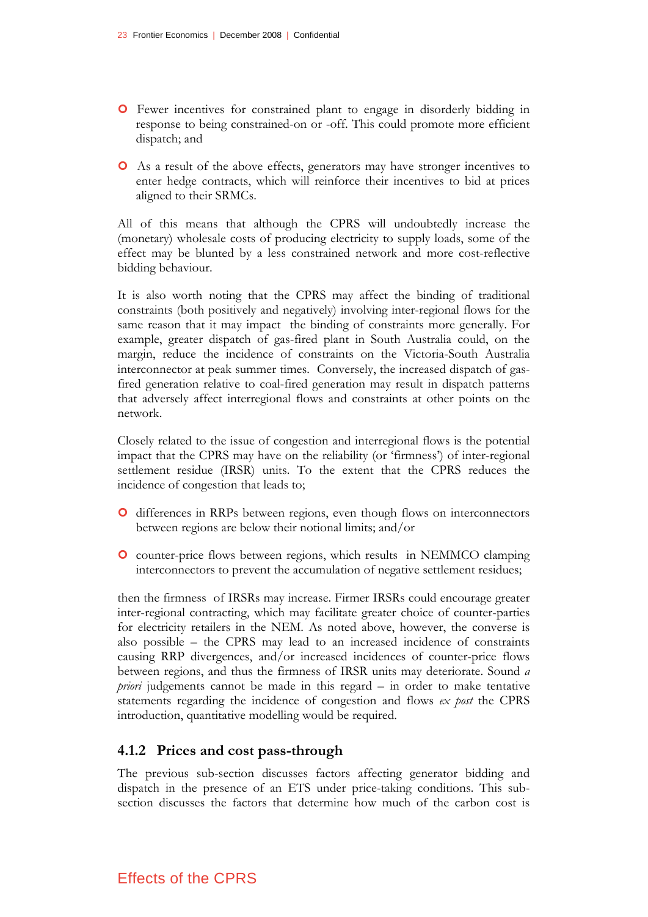- | Fewer incentives for constrained plant to engage in disorderly bidding in response to being constrained-on or -off. This could promote more efficient dispatch; and
- | As a result of the above effects, generators may have stronger incentives to enter hedge contracts, which will reinforce their incentives to bid at prices aligned to their SRMCs.

All of this means that although the CPRS will undoubtedly increase the (monetary) wholesale costs of producing electricity to supply loads, some of the effect may be blunted by a less constrained network and more cost-reflective bidding behaviour.

It is also worth noting that the CPRS may affect the binding of traditional constraints (both positively and negatively) involving inter-regional flows for the same reason that it may impact the binding of constraints more generally. For example, greater dispatch of gas-fired plant in South Australia could, on the margin, reduce the incidence of constraints on the Victoria-South Australia interconnector at peak summer times. Conversely, the increased dispatch of gasfired generation relative to coal-fired generation may result in dispatch patterns that adversely affect interregional flows and constraints at other points on the network.

Closely related to the issue of congestion and interregional flows is the potential impact that the CPRS may have on the reliability (or 'firmness') of inter-regional settlement residue (IRSR) units. To the extent that the CPRS reduces the incidence of congestion that leads to;

- | differences in RRPs between regions, even though flows on interconnectors between regions are below their notional limits; and/or
- | counter-price flows between regions, which results in NEMMCO clamping interconnectors to prevent the accumulation of negative settlement residues;

then the firmness of IRSRs may increase. Firmer IRSRs could encourage greater inter-regional contracting, which may facilitate greater choice of counter-parties for electricity retailers in the NEM. As noted above, however, the converse is also possible – the CPRS may lead to an increased incidence of constraints causing RRP divergences, and/or increased incidences of counter-price flows between regions, and thus the firmness of IRSR units may deteriorate. Sound *a priori* judgements cannot be made in this regard – in order to make tentative statements regarding the incidence of congestion and flows *ex post* the CPRS introduction, quantitative modelling would be required.

### **4.1.2 Prices and cost pass-through**

The previous sub-section discusses factors affecting generator bidding and dispatch in the presence of an ETS under price-taking conditions. This subsection discusses the factors that determine how much of the carbon cost is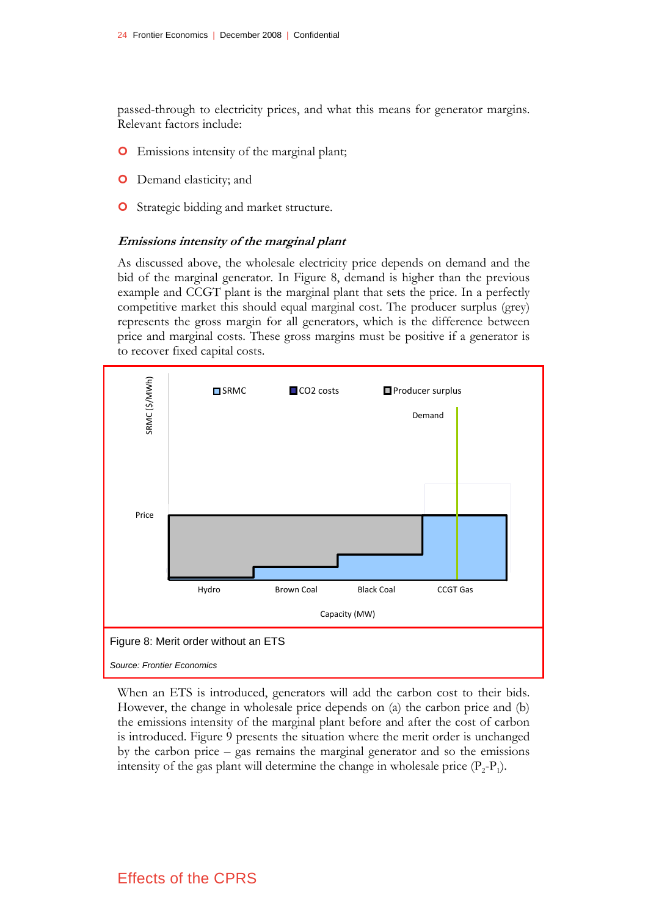passed-through to electricity prices, and what this means for generator margins. Relevant factors include:

- **O** Emissions intensity of the marginal plant;
- **O** Demand elasticity; and
- **O** Strategic bidding and market structure.

#### **Emissions intensity of the marginal plant**

As discussed above, the wholesale electricity price depends on demand and the bid of the marginal generator. In Figure 8, demand is higher than the previous example and CCGT plant is the marginal plant that sets the price. In a perfectly competitive market this should equal marginal cost. The producer surplus (grey) represents the gross margin for all generators, which is the difference between price and marginal costs. These gross margins must be positive if a generator is to recover fixed capital costs.



When an ETS is introduced, generators will add the carbon cost to their bids. However, the change in wholesale price depends on (a) the carbon price and (b) the emissions intensity of the marginal plant before and after the cost of carbon is introduced. Figure 9 presents the situation where the merit order is unchanged by the carbon price – gas remains the marginal generator and so the emissions intensity of the gas plant will determine the change in wholesale price  $(P_2-P_1)$ .

## Effects of the CPRS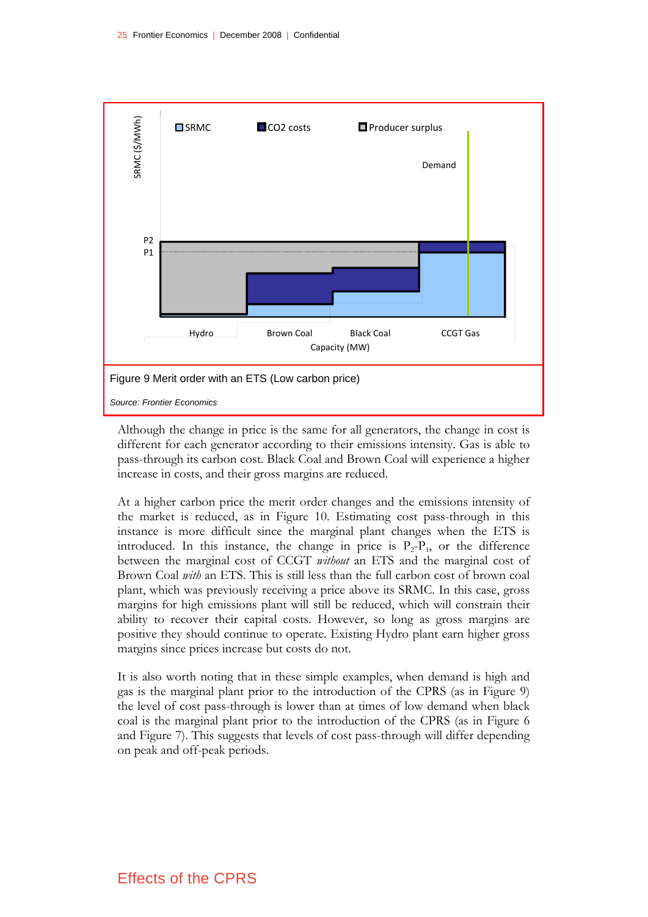

Although the change in price is the same for all generators, the change in cost is different for each generator according to their emissions intensity. Gas is able to pass-through its carbon cost. Black Coal and Brown Coal will experience a higher increase in costs, and their gross margins are reduced.

At a higher carbon price the merit order changes and the emissions intensity of the market is reduced, as in Figure 10. Estimating cost pass-through in this instance is more difficult since the marginal plant changes when the ETS is introduced. In this instance, the change in price is  $P_2-P_1$ , or the difference between the marginal cost of CCGT *without* an ETS and the marginal cost of Brown Coal *with* an ETS. This is still less than the full carbon cost of brown coal plant, which was previously receiving a price above its SRMC. In this case, gross margins for high emissions plant will still be reduced, which will constrain their ability to recover their capital costs. However, so long as gross margins are positive they should continue to operate. Existing Hydro plant earn higher gross margins since prices increase but costs do not.

It is also worth noting that in these simple examples, when demand is high and gas is the marginal plant prior to the introduction of the CPRS (as in Figure 9) the level of cost pass-through is lower than at times of low demand when black coal is the marginal plant prior to the introduction of the CPRS (as in Figure 6 and Figure 7). This suggests that levels of cost pass-through will differ depending on peak and off-peak periods.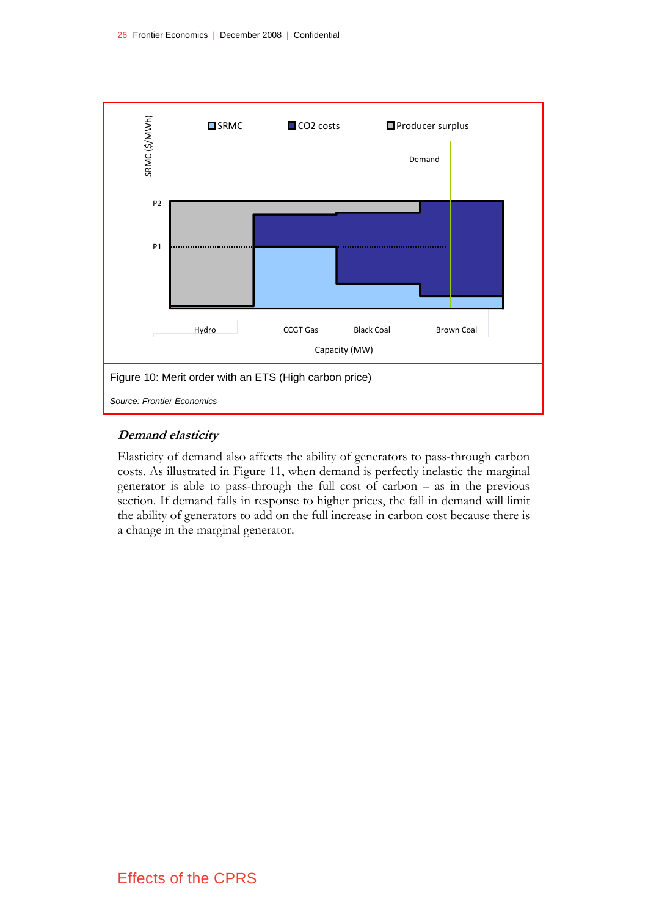

#### **Demand elasticity**

Elasticity of demand also affects the ability of generators to pass-through carbon costs. As illustrated in Figure 11, when demand is perfectly inelastic the marginal generator is able to pass-through the full cost of carbon – as in the previous section. If demand falls in response to higher prices, the fall in demand will limit the ability of generators to add on the full increase in carbon cost because there is a change in the marginal generator.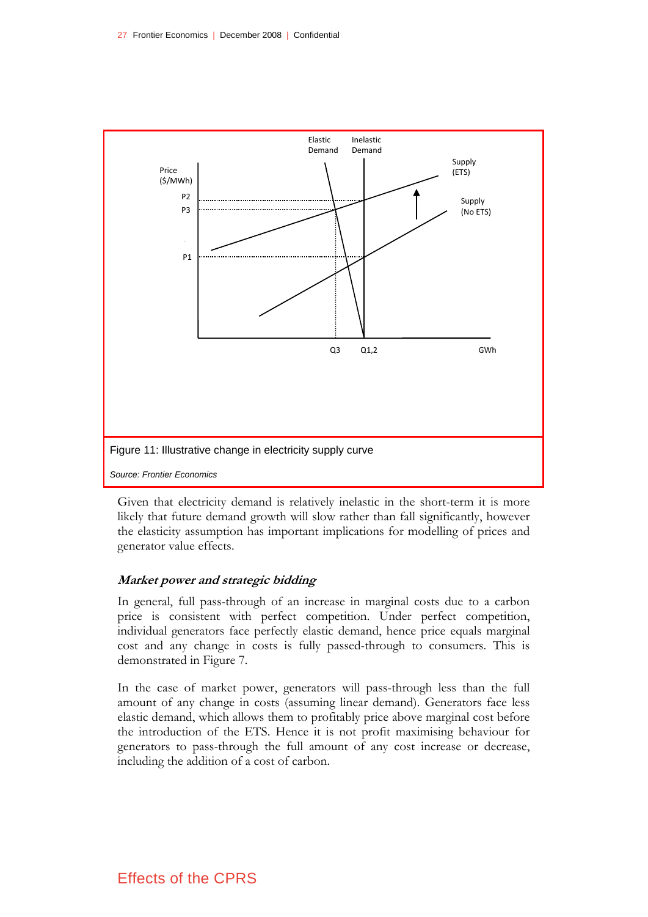

Given that electricity demand is relatively inelastic in the short-term it is more likely that future demand growth will slow rather than fall significantly, however the elasticity assumption has important implications for modelling of prices and generator value effects.

#### **Market power and strategic bidding**

In general, full pass-through of an increase in marginal costs due to a carbon price is consistent with perfect competition. Under perfect competition, individual generators face perfectly elastic demand, hence price equals marginal cost and any change in costs is fully passed-through to consumers. This is demonstrated in Figure 7.

In the case of market power, generators will pass-through less than the full amount of any change in costs (assuming linear demand). Generators face less elastic demand, which allows them to profitably price above marginal cost before the introduction of the ETS. Hence it is not profit maximising behaviour for generators to pass-through the full amount of any cost increase or decrease, including the addition of a cost of carbon.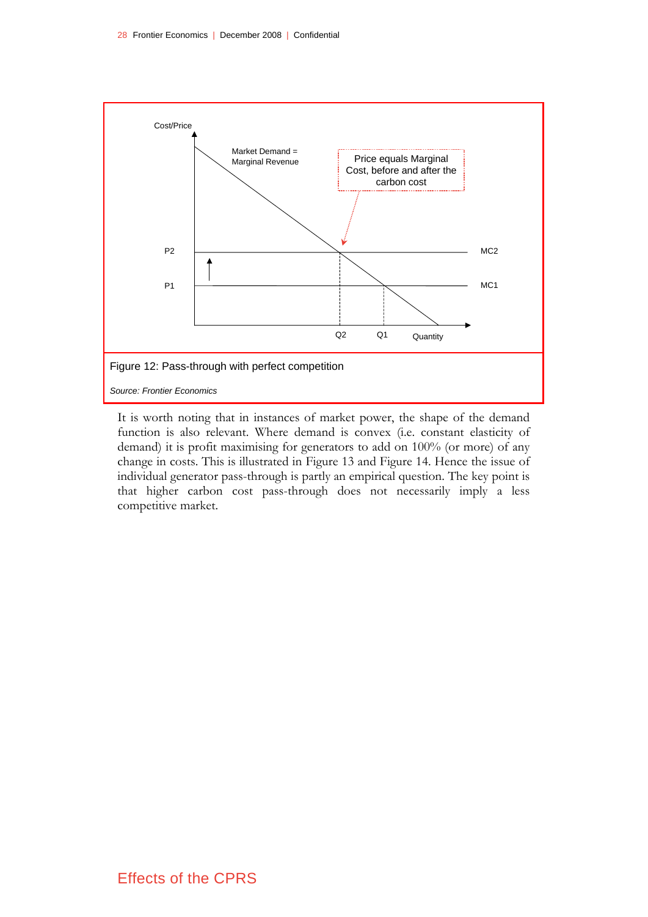

It is worth noting that in instances of market power, the shape of the demand function is also relevant. Where demand is convex (i.e. constant elasticity of demand) it is profit maximising for generators to add on 100% (or more) of any change in costs. This is illustrated in Figure 13 and Figure 14. Hence the issue of individual generator pass-through is partly an empirical question. The key point is that higher carbon cost pass-through does not necessarily imply a less competitive market.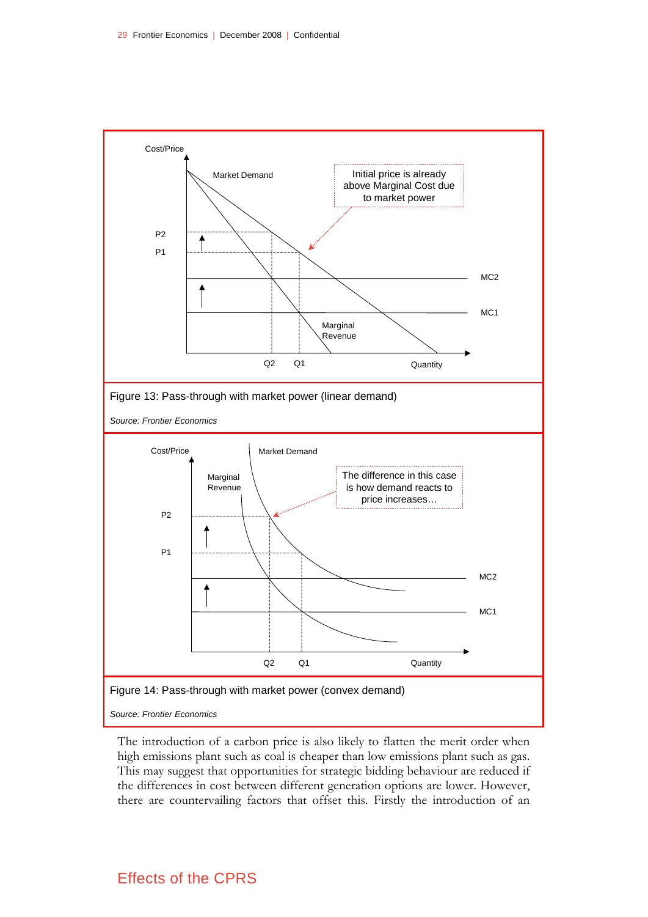

The introduction of a carbon price is also likely to flatten the merit order when high emissions plant such as coal is cheaper than low emissions plant such as gas. This may suggest that opportunities for strategic bidding behaviour are reduced if the differences in cost between different generation options are lower. However, there are countervailing factors that offset this. Firstly the introduction of an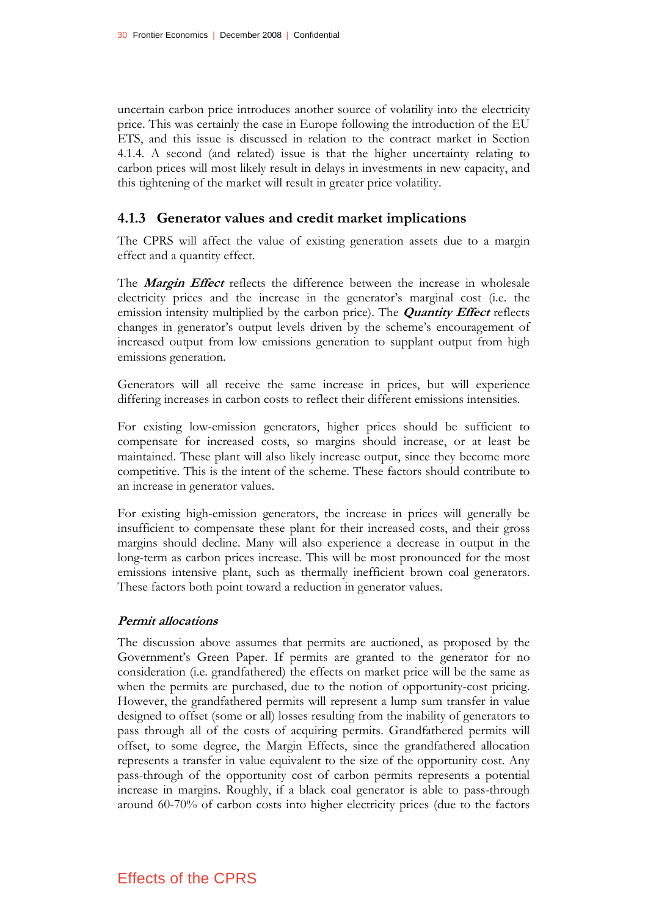uncertain carbon price introduces another source of volatility into the electricity price. This was certainly the case in Europe following the introduction of the EU ETS, and this issue is discussed in relation to the contract market in Section 4.1.4. A second (and related) issue is that the higher uncertainty relating to carbon prices will most likely result in delays in investments in new capacity, and this tightening of the market will result in greater price volatility.

## **4.1.3 Generator values and credit market implications**

The CPRS will affect the value of existing generation assets due to a margin effect and a quantity effect.

The **Margin Effect** reflects the difference between the increase in wholesale electricity prices and the increase in the generator's marginal cost (i.e. the emission intensity multiplied by the carbon price). The **Quantity Effect** reflects changes in generator's output levels driven by the scheme's encouragement of increased output from low emissions generation to supplant output from high emissions generation.

Generators will all receive the same increase in prices, but will experience differing increases in carbon costs to reflect their different emissions intensities.

For existing low-emission generators, higher prices should be sufficient to compensate for increased costs, so margins should increase, or at least be maintained. These plant will also likely increase output, since they become more competitive. This is the intent of the scheme. These factors should contribute to an increase in generator values.

For existing high-emission generators, the increase in prices will generally be insufficient to compensate these plant for their increased costs, and their gross margins should decline. Many will also experience a decrease in output in the long-term as carbon prices increase. This will be most pronounced for the most emissions intensive plant, such as thermally inefficient brown coal generators. These factors both point toward a reduction in generator values.

#### **Permit allocations**

The discussion above assumes that permits are auctioned, as proposed by the Government's Green Paper. If permits are granted to the generator for no consideration (i.e. grandfathered) the effects on market price will be the same as when the permits are purchased, due to the notion of opportunity-cost pricing. However, the grandfathered permits will represent a lump sum transfer in value designed to offset (some or all) losses resulting from the inability of generators to pass through all of the costs of acquiring permits. Grandfathered permits will offset, to some degree, the Margin Effects, since the grandfathered allocation represents a transfer in value equivalent to the size of the opportunity cost. Any pass-through of the opportunity cost of carbon permits represents a potential increase in margins. Roughly, if a black coal generator is able to pass-through around 60-70% of carbon costs into higher electricity prices (due to the factors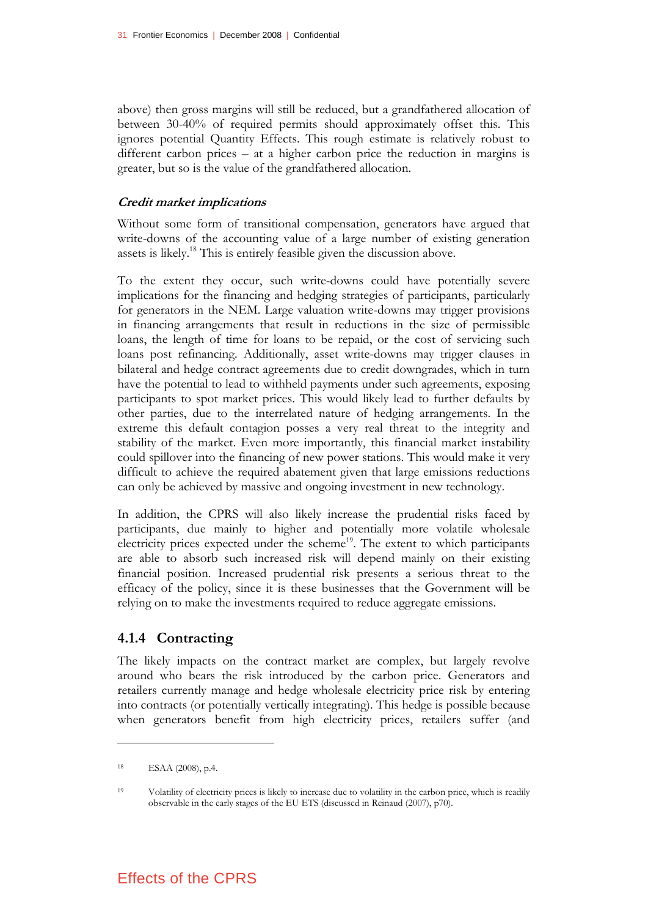above) then gross margins will still be reduced, but a grandfathered allocation of between 30-40% of required permits should approximately offset this. This ignores potential Quantity Effects. This rough estimate is relatively robust to different carbon prices – at a higher carbon price the reduction in margins is greater, but so is the value of the grandfathered allocation.

#### **Credit market implications**

Without some form of transitional compensation, generators have argued that write-downs of the accounting value of a large number of existing generation assets is likely.18 This is entirely feasible given the discussion above.

To the extent they occur, such write-downs could have potentially severe implications for the financing and hedging strategies of participants, particularly for generators in the NEM. Large valuation write-downs may trigger provisions in financing arrangements that result in reductions in the size of permissible loans, the length of time for loans to be repaid, or the cost of servicing such loans post refinancing. Additionally, asset write-downs may trigger clauses in bilateral and hedge contract agreements due to credit downgrades, which in turn have the potential to lead to withheld payments under such agreements, exposing participants to spot market prices. This would likely lead to further defaults by other parties, due to the interrelated nature of hedging arrangements. In the extreme this default contagion posses a very real threat to the integrity and stability of the market. Even more importantly, this financial market instability could spillover into the financing of new power stations. This would make it very difficult to achieve the required abatement given that large emissions reductions can only be achieved by massive and ongoing investment in new technology.

In addition, the CPRS will also likely increase the prudential risks faced by participants, due mainly to higher and potentially more volatile wholesale electricity prices expected under the scheme<sup>19</sup>. The extent to which participants are able to absorb such increased risk will depend mainly on their existing financial position. Increased prudential risk presents a serious threat to the efficacy of the policy, since it is these businesses that the Government will be relying on to make the investments required to reduce aggregate emissions.

## **4.1.4 Contracting**

The likely impacts on the contract market are complex, but largely revolve around who bears the risk introduced by the carbon price. Generators and retailers currently manage and hedge wholesale electricity price risk by entering into contracts (or potentially vertically integrating). This hedge is possible because when generators benefit from high electricity prices, retailers suffer (and

<sup>18</sup> ESAA (2008), p.4.

<sup>19</sup> Volatility of electricity prices is likely to increase due to volatility in the carbon price, which is readily observable in the early stages of the EU ETS (discussed in Reinaud (2007), p70).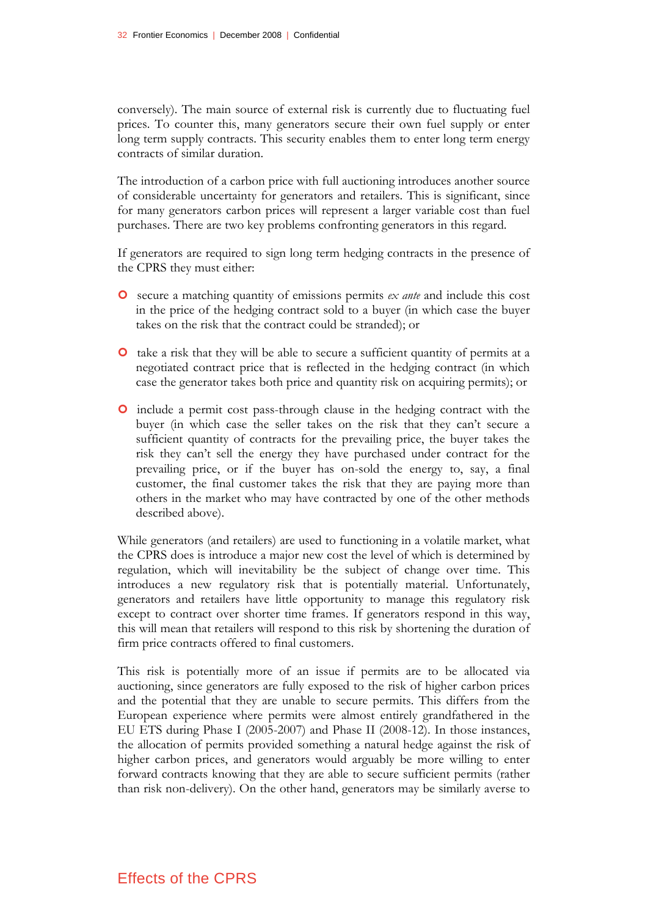conversely). The main source of external risk is currently due to fluctuating fuel prices. To counter this, many generators secure their own fuel supply or enter long term supply contracts. This security enables them to enter long term energy contracts of similar duration.

The introduction of a carbon price with full auctioning introduces another source of considerable uncertainty for generators and retailers. This is significant, since for many generators carbon prices will represent a larger variable cost than fuel purchases. There are two key problems confronting generators in this regard.

If generators are required to sign long term hedging contracts in the presence of the CPRS they must either:

- | secure a matching quantity of emissions permits *ex ante* and include this cost in the price of the hedging contract sold to a buyer (in which case the buyer takes on the risk that the contract could be stranded); or
- | take a risk that they will be able to secure a sufficient quantity of permits at a negotiated contract price that is reflected in the hedging contract (in which case the generator takes both price and quantity risk on acquiring permits); or
- | include a permit cost pass-through clause in the hedging contract with the buyer (in which case the seller takes on the risk that they can't secure a sufficient quantity of contracts for the prevailing price, the buyer takes the risk they can't sell the energy they have purchased under contract for the prevailing price, or if the buyer has on-sold the energy to, say, a final customer, the final customer takes the risk that they are paying more than others in the market who may have contracted by one of the other methods described above).

While generators (and retailers) are used to functioning in a volatile market, what the CPRS does is introduce a major new cost the level of which is determined by regulation, which will inevitability be the subject of change over time. This introduces a new regulatory risk that is potentially material. Unfortunately, generators and retailers have little opportunity to manage this regulatory risk except to contract over shorter time frames. If generators respond in this way, this will mean that retailers will respond to this risk by shortening the duration of firm price contracts offered to final customers.

This risk is potentially more of an issue if permits are to be allocated via auctioning, since generators are fully exposed to the risk of higher carbon prices and the potential that they are unable to secure permits. This differs from the European experience where permits were almost entirely grandfathered in the EU ETS during Phase I (2005-2007) and Phase II (2008-12). In those instances, the allocation of permits provided something a natural hedge against the risk of higher carbon prices, and generators would arguably be more willing to enter forward contracts knowing that they are able to secure sufficient permits (rather than risk non-delivery). On the other hand, generators may be similarly averse to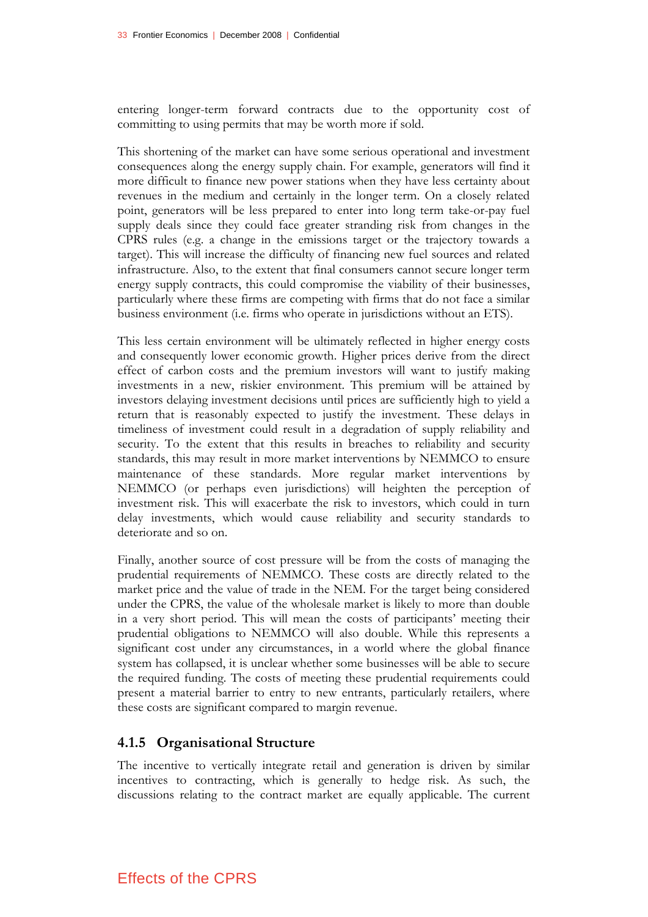entering longer-term forward contracts due to the opportunity cost of committing to using permits that may be worth more if sold.

This shortening of the market can have some serious operational and investment consequences along the energy supply chain. For example, generators will find it more difficult to finance new power stations when they have less certainty about revenues in the medium and certainly in the longer term. On a closely related point, generators will be less prepared to enter into long term take-or-pay fuel supply deals since they could face greater stranding risk from changes in the CPRS rules (e.g. a change in the emissions target or the trajectory towards a target). This will increase the difficulty of financing new fuel sources and related infrastructure. Also, to the extent that final consumers cannot secure longer term energy supply contracts, this could compromise the viability of their businesses, particularly where these firms are competing with firms that do not face a similar business environment (i.e. firms who operate in jurisdictions without an ETS).

This less certain environment will be ultimately reflected in higher energy costs and consequently lower economic growth. Higher prices derive from the direct effect of carbon costs and the premium investors will want to justify making investments in a new, riskier environment. This premium will be attained by investors delaying investment decisions until prices are sufficiently high to yield a return that is reasonably expected to justify the investment. These delays in timeliness of investment could result in a degradation of supply reliability and security. To the extent that this results in breaches to reliability and security standards, this may result in more market interventions by NEMMCO to ensure maintenance of these standards. More regular market interventions by NEMMCO (or perhaps even jurisdictions) will heighten the perception of investment risk. This will exacerbate the risk to investors, which could in turn delay investments, which would cause reliability and security standards to deteriorate and so on.

Finally, another source of cost pressure will be from the costs of managing the prudential requirements of NEMMCO. These costs are directly related to the market price and the value of trade in the NEM. For the target being considered under the CPRS, the value of the wholesale market is likely to more than double in a very short period. This will mean the costs of participants' meeting their prudential obligations to NEMMCO will also double. While this represents a significant cost under any circumstances, in a world where the global finance system has collapsed, it is unclear whether some businesses will be able to secure the required funding. The costs of meeting these prudential requirements could present a material barrier to entry to new entrants, particularly retailers, where these costs are significant compared to margin revenue.

### **4.1.5 Organisational Structure**

The incentive to vertically integrate retail and generation is driven by similar incentives to contracting, which is generally to hedge risk. As such, the discussions relating to the contract market are equally applicable. The current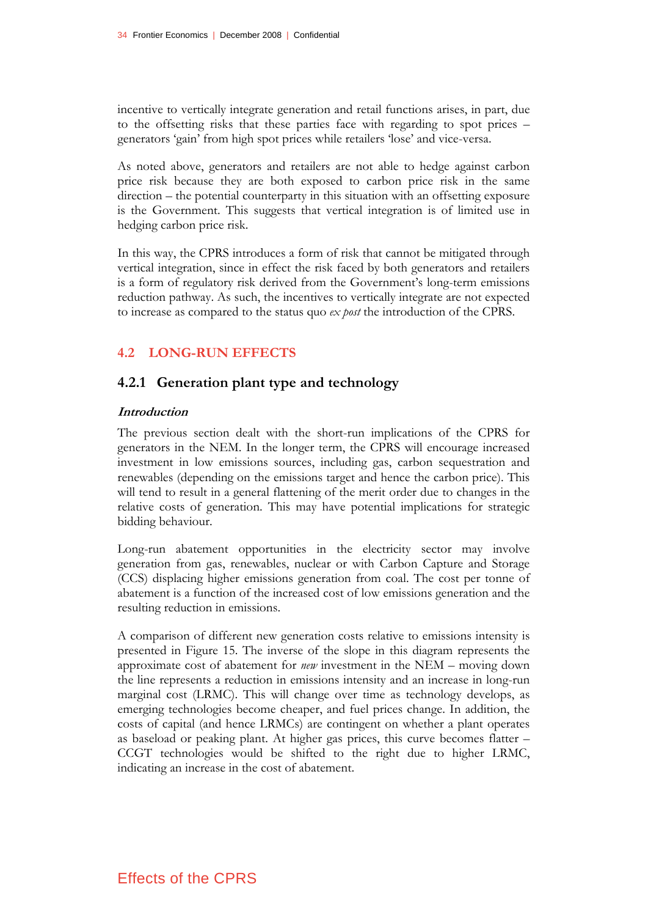incentive to vertically integrate generation and retail functions arises, in part, due to the offsetting risks that these parties face with regarding to spot prices – generators 'gain' from high spot prices while retailers 'lose' and vice-versa.

As noted above, generators and retailers are not able to hedge against carbon price risk because they are both exposed to carbon price risk in the same direction – the potential counterparty in this situation with an offsetting exposure is the Government. This suggests that vertical integration is of limited use in hedging carbon price risk.

In this way, the CPRS introduces a form of risk that cannot be mitigated through vertical integration, since in effect the risk faced by both generators and retailers is a form of regulatory risk derived from the Government's long-term emissions reduction pathway. As such, the incentives to vertically integrate are not expected to increase as compared to the status quo *ex post* the introduction of the CPRS.

## **4.2 LONG-RUN EFFECTS**

### **4.2.1 Generation plant type and technology**

#### **Introduction**

The previous section dealt with the short-run implications of the CPRS for generators in the NEM. In the longer term, the CPRS will encourage increased investment in low emissions sources, including gas, carbon sequestration and renewables (depending on the emissions target and hence the carbon price). This will tend to result in a general flattening of the merit order due to changes in the relative costs of generation. This may have potential implications for strategic bidding behaviour.

Long-run abatement opportunities in the electricity sector may involve generation from gas, renewables, nuclear or with Carbon Capture and Storage (CCS) displacing higher emissions generation from coal. The cost per tonne of abatement is a function of the increased cost of low emissions generation and the resulting reduction in emissions.

A comparison of different new generation costs relative to emissions intensity is presented in Figure 15. The inverse of the slope in this diagram represents the approximate cost of abatement for *new* investment in the NEM – moving down the line represents a reduction in emissions intensity and an increase in long-run marginal cost (LRMC). This will change over time as technology develops, as emerging technologies become cheaper, and fuel prices change. In addition, the costs of capital (and hence LRMCs) are contingent on whether a plant operates as baseload or peaking plant. At higher gas prices, this curve becomes flatter – CCGT technologies would be shifted to the right due to higher LRMC, indicating an increase in the cost of abatement.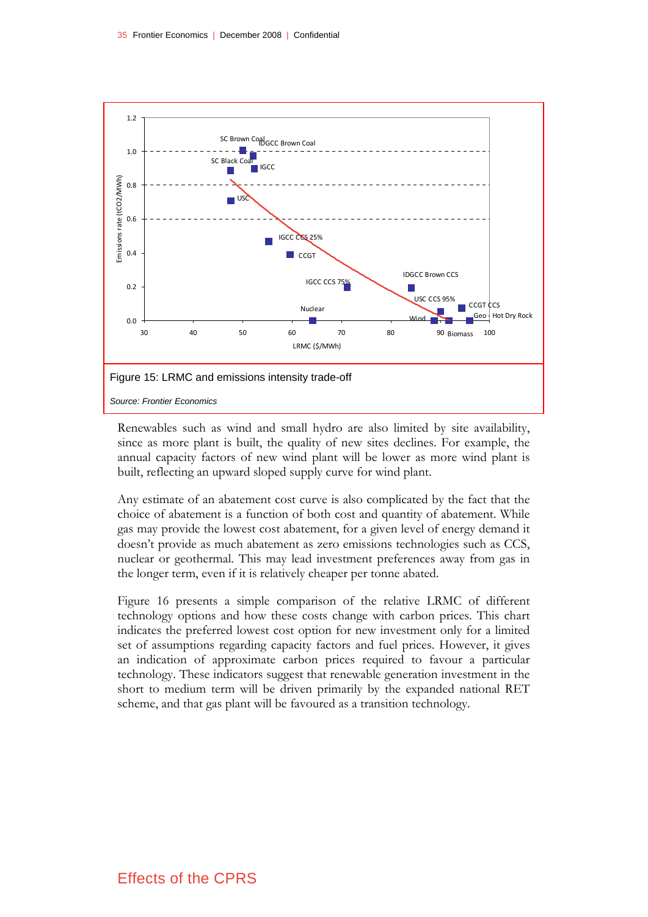

Renewables such as wind and small hydro are also limited by site availability, since as more plant is built, the quality of new sites declines. For example, the annual capacity factors of new wind plant will be lower as more wind plant is built, reflecting an upward sloped supply curve for wind plant.

Any estimate of an abatement cost curve is also complicated by the fact that the choice of abatement is a function of both cost and quantity of abatement. While gas may provide the lowest cost abatement, for a given level of energy demand it doesn't provide as much abatement as zero emissions technologies such as CCS, nuclear or geothermal. This may lead investment preferences away from gas in the longer term, even if it is relatively cheaper per tonne abated.

Figure 16 presents a simple comparison of the relative LRMC of different technology options and how these costs change with carbon prices. This chart indicates the preferred lowest cost option for new investment only for a limited set of assumptions regarding capacity factors and fuel prices. However, it gives an indication of approximate carbon prices required to favour a particular technology. These indicators suggest that renewable generation investment in the short to medium term will be driven primarily by the expanded national RET scheme, and that gas plant will be favoured as a transition technology.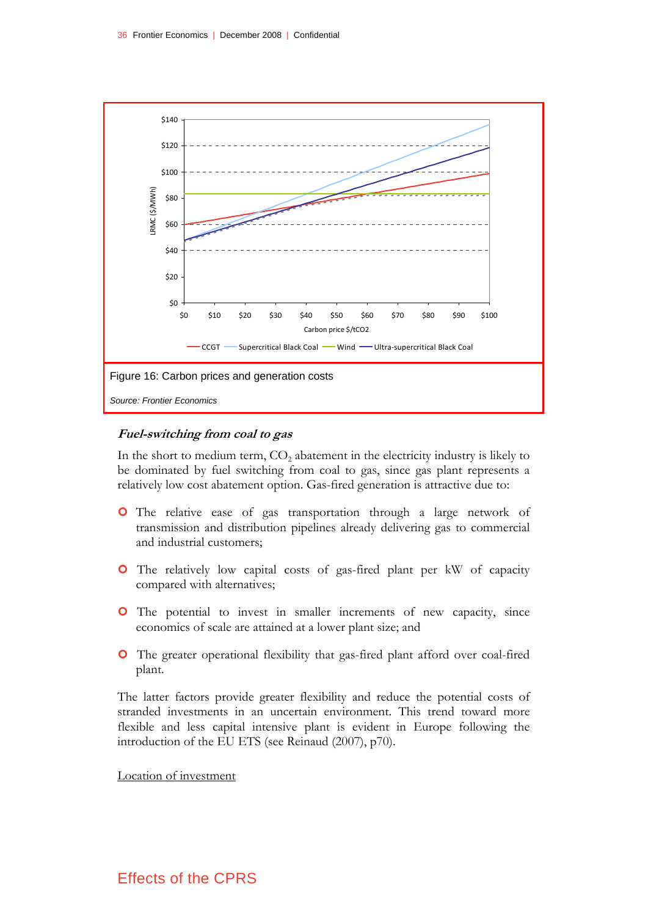

#### **Fuel-switching from coal to gas**

In the short to medium term,  $CO<sub>2</sub>$  abatement in the electricity industry is likely to be dominated by fuel switching from coal to gas, since gas plant represents a relatively low cost abatement option. Gas-fired generation is attractive due to:

- **O** The relative ease of gas transportation through a large network of transmission and distribution pipelines already delivering gas to commercial and industrial customers;
- | The relatively low capital costs of gas-fired plant per kW of capacity compared with alternatives;
- **O** The potential to invest in smaller increments of new capacity, since economics of scale are attained at a lower plant size; and
- | The greater operational flexibility that gas-fired plant afford over coal-fired plant.

The latter factors provide greater flexibility and reduce the potential costs of stranded investments in an uncertain environment. This trend toward more flexible and less capital intensive plant is evident in Europe following the introduction of the EU ETS (see Reinaud (2007), p70).

#### Location of investment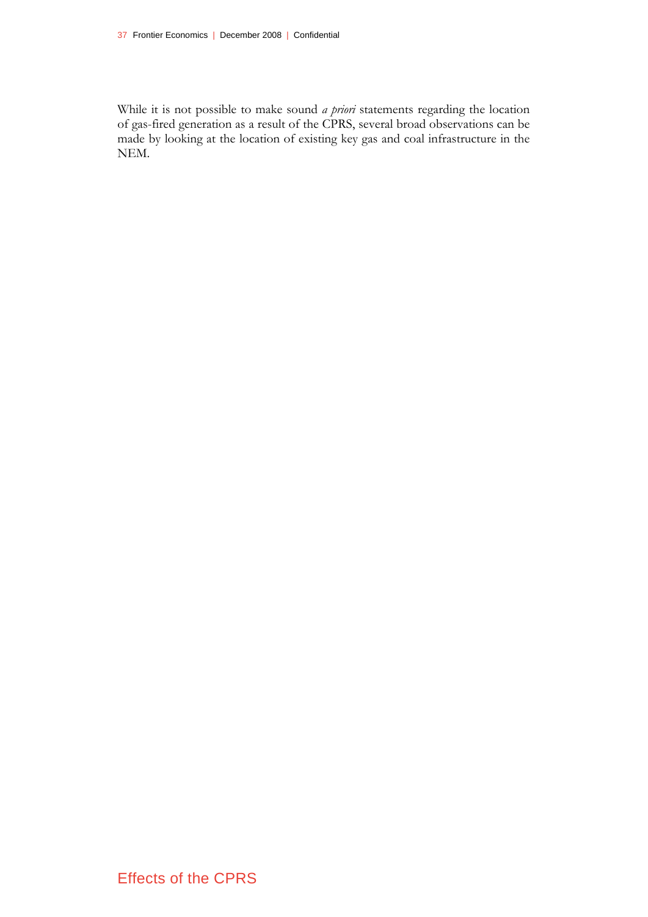While it is not possible to make sound *a priori* statements regarding the location of gas-fired generation as a result of the CPRS, several broad observations can be made by looking at the location of existing key gas and coal infrastructure in the NEM.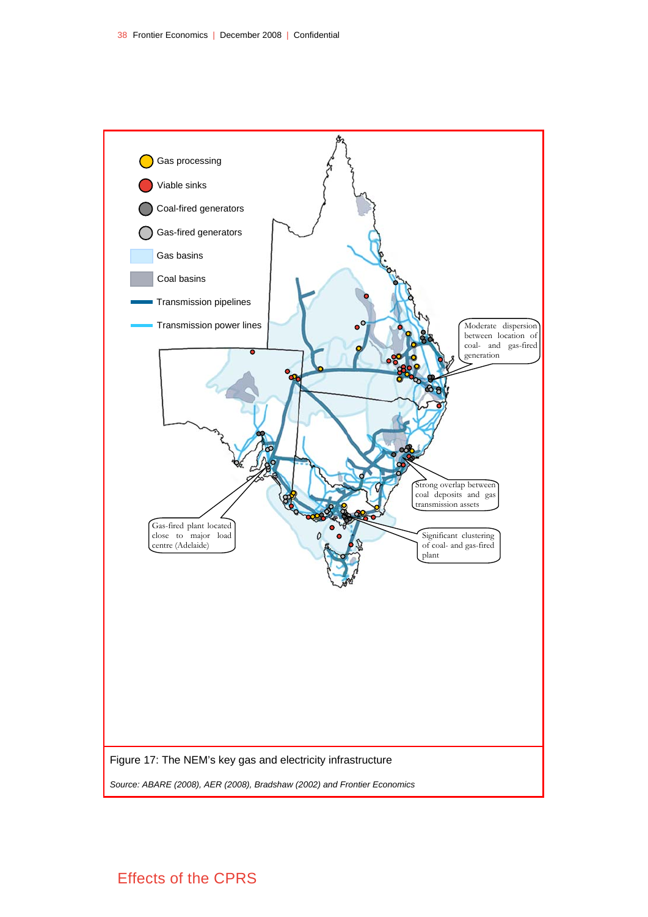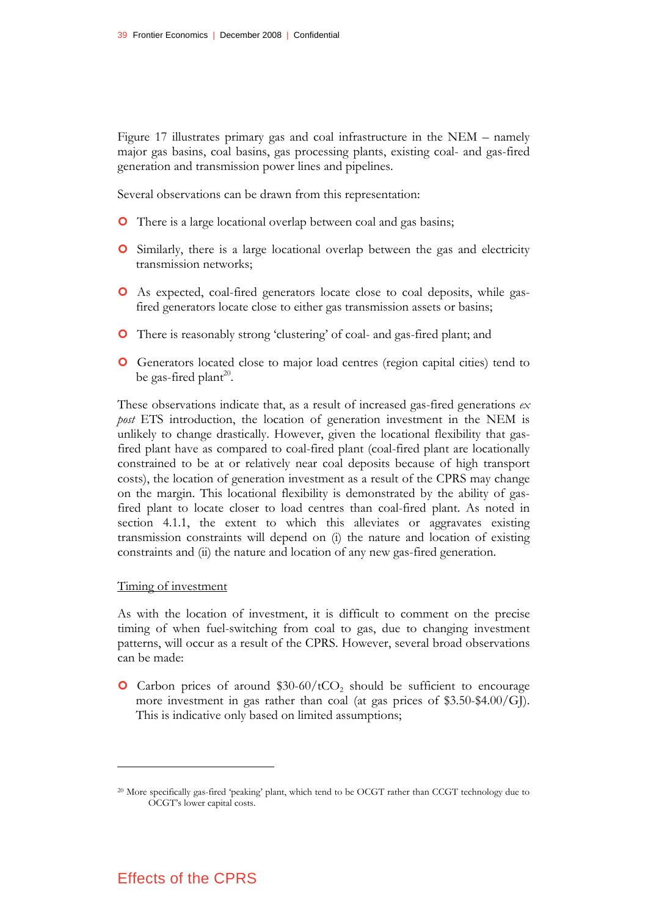Figure 17 illustrates primary gas and coal infrastructure in the NEM – namely major gas basins, coal basins, gas processing plants, existing coal- and gas-fired generation and transmission power lines and pipelines.

Several observations can be drawn from this representation:

- **O** There is a large locational overlap between coal and gas basins;
- **O** Similarly, there is a large locational overlap between the gas and electricity transmission networks;
- | As expected, coal-fired generators locate close to coal deposits, while gasfired generators locate close to either gas transmission assets or basins;
- | There is reasonably strong 'clustering' of coal- and gas-fired plant; and
- | Generators located close to major load centres (region capital cities) tend to be gas-fired plant<sup>20</sup>.

These observations indicate that, as a result of increased gas-fired generations *ex post* ETS introduction, the location of generation investment in the NEM is unlikely to change drastically. However, given the locational flexibility that gasfired plant have as compared to coal-fired plant (coal-fired plant are locationally constrained to be at or relatively near coal deposits because of high transport costs), the location of generation investment as a result of the CPRS may change on the margin. This locational flexibility is demonstrated by the ability of gasfired plant to locate closer to load centres than coal-fired plant. As noted in section 4.1.1, the extent to which this alleviates or aggravates existing transmission constraints will depend on (i) the nature and location of existing constraints and (ii) the nature and location of any new gas-fired generation.

#### Timing of investment

<u>.</u>

As with the location of investment, it is difficult to comment on the precise timing of when fuel-switching from coal to gas, due to changing investment patterns, will occur as a result of the CPRS. However, several broad observations can be made:

 $\bullet$  Carbon prices of around \$30-60/tCO<sub>2</sub> should be sufficient to encourage more investment in gas rather than coal (at gas prices of  $$3.50-\$4.00/G$ ]). This is indicative only based on limited assumptions;

<sup>20</sup> More specifically gas-fired 'peaking' plant, which tend to be OCGT rather than CCGT technology due to OCGT's lower capital costs.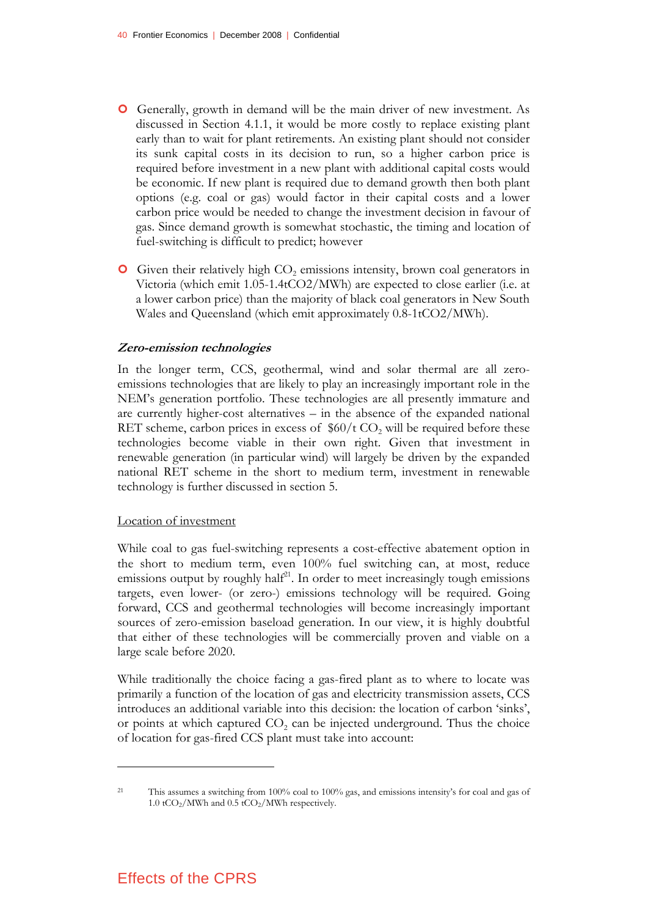- | Generally, growth in demand will be the main driver of new investment. As discussed in Section 4.1.1, it would be more costly to replace existing plant early than to wait for plant retirements. An existing plant should not consider its sunk capital costs in its decision to run, so a higher carbon price is required before investment in a new plant with additional capital costs would be economic. If new plant is required due to demand growth then both plant options (e.g. coal or gas) would factor in their capital costs and a lower carbon price would be needed to change the investment decision in favour of gas. Since demand growth is somewhat stochastic, the timing and location of fuel-switching is difficult to predict; however
- **O** Given their relatively high CO<sub>2</sub> emissions intensity, brown coal generators in Victoria (which emit 1.05-1.4tCO2/MWh) are expected to close earlier (i.e. at a lower carbon price) than the majority of black coal generators in New South Wales and Queensland (which emit approximately 0.8-1tCO2/MWh).

#### **Zero-emission technologies**

In the longer term, CCS, geothermal, wind and solar thermal are all zeroemissions technologies that are likely to play an increasingly important role in the NEM's generation portfolio. These technologies are all presently immature and are currently higher-cost alternatives – in the absence of the expanded national RET scheme, carbon prices in excess of  $$60/t CO<sub>2</sub>$  will be required before these technologies become viable in their own right. Given that investment in renewable generation (in particular wind) will largely be driven by the expanded national RET scheme in the short to medium term, investment in renewable technology is further discussed in section 5.

#### Location of investment

While coal to gas fuel-switching represents a cost-effective abatement option in the short to medium term, even 100% fuel switching can, at most, reduce emissions output by roughly half $2<sup>1</sup>$ . In order to meet increasingly tough emissions targets, even lower- (or zero-) emissions technology will be required. Going forward, CCS and geothermal technologies will become increasingly important sources of zero-emission baseload generation. In our view, it is highly doubtful that either of these technologies will be commercially proven and viable on a large scale before 2020.

While traditionally the choice facing a gas-fired plant as to where to locate was primarily a function of the location of gas and electricity transmission assets, CCS introduces an additional variable into this decision: the location of carbon 'sinks', or points at which captured  $CO<sub>2</sub>$  can be injected underground. Thus the choice of location for gas-fired CCS plant must take into account:

## Effects of the CPRS

<sup>21</sup> This assumes a switching from 100% coal to 100% gas, and emissions intensity's for coal and gas of 1.0 tCO<sub>2</sub>/MWh and 0.5 tCO<sub>2</sub>/MWh respectively.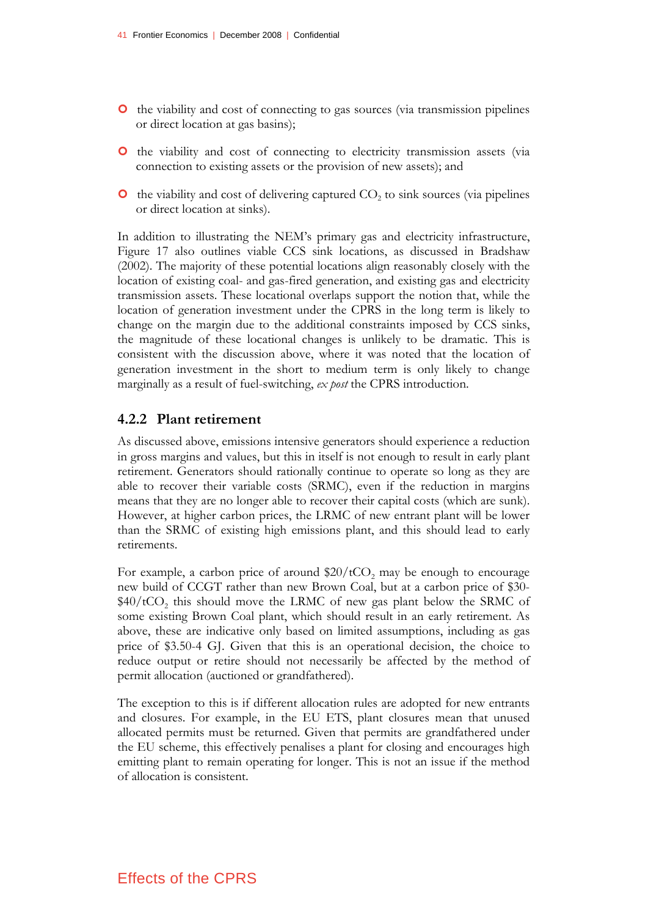- | the viability and cost of connecting to gas sources (via transmission pipelines or direct location at gas basins);
- | the viability and cost of connecting to electricity transmission assets (via connection to existing assets or the provision of new assets); and
- $\bullet$  the viability and cost of delivering captured  $CO<sub>2</sub>$  to sink sources (via pipelines or direct location at sinks).

In addition to illustrating the NEM's primary gas and electricity infrastructure, Figure 17 also outlines viable CCS sink locations, as discussed in Bradshaw (2002). The majority of these potential locations align reasonably closely with the location of existing coal- and gas-fired generation, and existing gas and electricity transmission assets. These locational overlaps support the notion that, while the location of generation investment under the CPRS in the long term is likely to change on the margin due to the additional constraints imposed by CCS sinks, the magnitude of these locational changes is unlikely to be dramatic. This is consistent with the discussion above, where it was noted that the location of generation investment in the short to medium term is only likely to change marginally as a result of fuel-switching, *ex post* the CPRS introduction.

#### **4.2.2 Plant retirement**

As discussed above, emissions intensive generators should experience a reduction in gross margins and values, but this in itself is not enough to result in early plant retirement. Generators should rationally continue to operate so long as they are able to recover their variable costs (SRMC), even if the reduction in margins means that they are no longer able to recover their capital costs (which are sunk). However, at higher carbon prices, the LRMC of new entrant plant will be lower than the SRMC of existing high emissions plant, and this should lead to early retirements.

For example, a carbon price of around  $$20/tCO<sub>2</sub>$  may be enough to encourage new build of CCGT rather than new Brown Coal, but at a carbon price of \$30-  $$40/tCO$ , this should move the LRMC of new gas plant below the SRMC of some existing Brown Coal plant, which should result in an early retirement. As above, these are indicative only based on limited assumptions, including as gas price of \$3.50-4 GJ. Given that this is an operational decision, the choice to reduce output or retire should not necessarily be affected by the method of permit allocation (auctioned or grandfathered).

The exception to this is if different allocation rules are adopted for new entrants and closures. For example, in the EU ETS, plant closures mean that unused allocated permits must be returned. Given that permits are grandfathered under the EU scheme, this effectively penalises a plant for closing and encourages high emitting plant to remain operating for longer. This is not an issue if the method of allocation is consistent.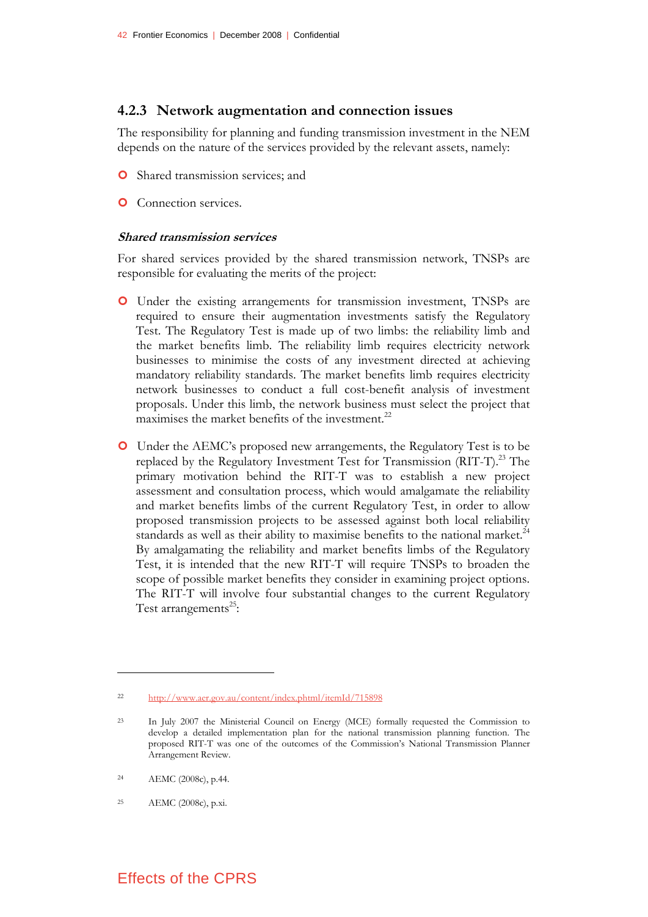#### **4.2.3 Network augmentation and connection issues**

The responsibility for planning and funding transmission investment in the NEM depends on the nature of the services provided by the relevant assets, namely:

- **O** Shared transmission services; and
- **O** Connection services.

#### **Shared transmission services**

For shared services provided by the shared transmission network, TNSPs are responsible for evaluating the merits of the project:

- | Under the existing arrangements for transmission investment, TNSPs are required to ensure their augmentation investments satisfy the Regulatory Test. The Regulatory Test is made up of two limbs: the reliability limb and the market benefits limb. The reliability limb requires electricity network businesses to minimise the costs of any investment directed at achieving mandatory reliability standards. The market benefits limb requires electricity network businesses to conduct a full cost-benefit analysis of investment proposals. Under this limb, the network business must select the project that maximises the market benefits of the investment.<sup>22</sup>
- | Under the AEMC's proposed new arrangements, the Regulatory Test is to be replaced by the Regulatory Investment Test for Transmission (RIT-T).<sup>23</sup> The primary motivation behind the RIT-T was to establish a new project assessment and consultation process, which would amalgamate the reliability and market benefits limbs of the current Regulatory Test, in order to allow proposed transmission projects to be assessed against both local reliability standards as well as their ability to maximise benefits to the national market.<sup>24</sup> By amalgamating the reliability and market benefits limbs of the Regulatory Test, it is intended that the new RIT-T will require TNSPs to broaden the scope of possible market benefits they consider in examining project options. The RIT-T will involve four substantial changes to the current Regulatory Test arrangements<sup>25</sup>:

<u>.</u>

<sup>22</sup> http://www.aer.gov.au/content/index.phtml/itemId/715898

<sup>23</sup> In July 2007 the Ministerial Council on Energy (MCE) formally requested the Commission to develop a detailed implementation plan for the national transmission planning function. The proposed RIT-T was one of the outcomes of the Commission's National Transmission Planner Arrangement Review.

<sup>24</sup> AEMC (2008c), p.44.

<sup>25</sup> AEMC (2008c), p.xi.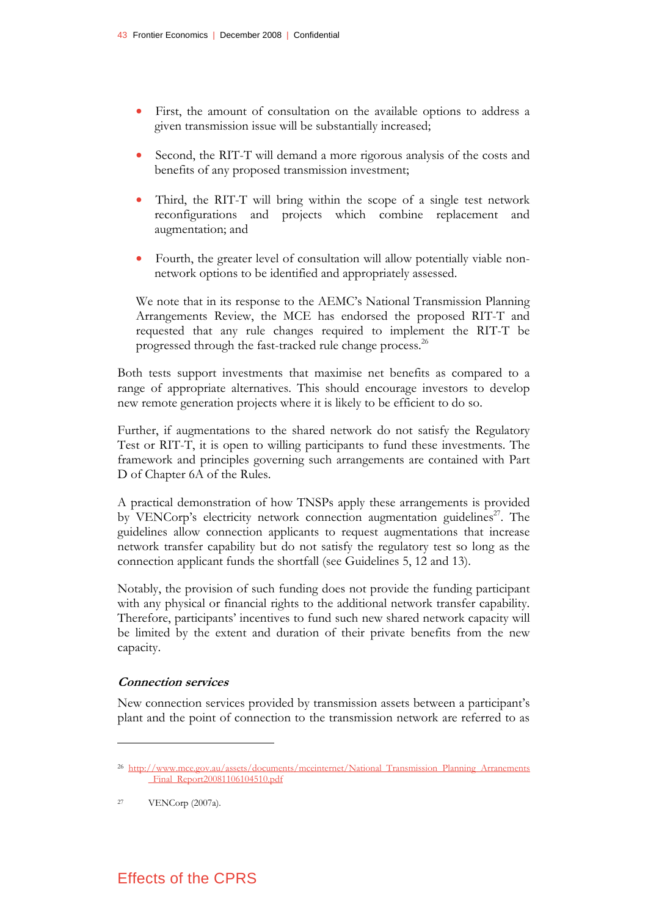- First, the amount of consultation on the available options to address a given transmission issue will be substantially increased;
- Second, the RIT-T will demand a more rigorous analysis of the costs and benefits of any proposed transmission investment;
- Third, the RIT-T will bring within the scope of a single test network reconfigurations and projects which combine replacement and augmentation; and
- Fourth, the greater level of consultation will allow potentially viable nonnetwork options to be identified and appropriately assessed.

We note that in its response to the AEMC's National Transmission Planning Arrangements Review, the MCE has endorsed the proposed RIT-T and requested that any rule changes required to implement the RIT-T be progressed through the fast-tracked rule change process.<sup>26</sup>

Both tests support investments that maximise net benefits as compared to a range of appropriate alternatives. This should encourage investors to develop new remote generation projects where it is likely to be efficient to do so.

Further, if augmentations to the shared network do not satisfy the Regulatory Test or RIT-T, it is open to willing participants to fund these investments. The framework and principles governing such arrangements are contained with Part D of Chapter 6A of the Rules.

A practical demonstration of how TNSPs apply these arrangements is provided by VENCorp's electricity network connection augmentation guidelines<sup>27</sup>. The guidelines allow connection applicants to request augmentations that increase network transfer capability but do not satisfy the regulatory test so long as the connection applicant funds the shortfall (see Guidelines 5, 12 and 13).

Notably, the provision of such funding does not provide the funding participant with any physical or financial rights to the additional network transfer capability. Therefore, participants' incentives to fund such new shared network capacity will be limited by the extent and duration of their private benefits from the new capacity.

#### **Connection services**

New connection services provided by transmission assets between a participant's plant and the point of connection to the transmission network are referred to as

<u>.</u>

<sup>26</sup> http://www.mce.gov.au/assets/documents/mceinternet/National\_Transmission\_Planning\_Arranements \_Final\_Report20081106104510.pdf

<sup>27</sup> VENCorp (2007a).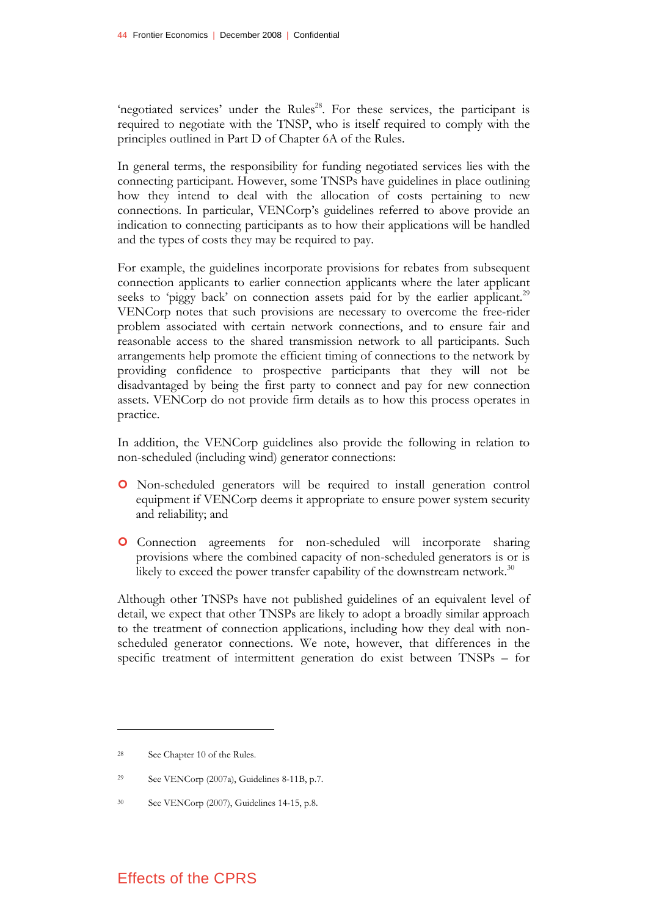'negotiated services' under the Rules<sup>28</sup>. For these services, the participant is required to negotiate with the TNSP, who is itself required to comply with the principles outlined in Part D of Chapter 6A of the Rules.

In general terms, the responsibility for funding negotiated services lies with the connecting participant. However, some TNSPs have guidelines in place outlining how they intend to deal with the allocation of costs pertaining to new connections. In particular, VENCorp's guidelines referred to above provide an indication to connecting participants as to how their applications will be handled and the types of costs they may be required to pay.

For example, the guidelines incorporate provisions for rebates from subsequent connection applicants to earlier connection applicants where the later applicant seeks to 'piggy back' on connection assets paid for by the earlier applicant.<sup>29</sup> VENCorp notes that such provisions are necessary to overcome the free-rider problem associated with certain network connections, and to ensure fair and reasonable access to the shared transmission network to all participants. Such arrangements help promote the efficient timing of connections to the network by providing confidence to prospective participants that they will not be disadvantaged by being the first party to connect and pay for new connection assets. VENCorp do not provide firm details as to how this process operates in practice.

In addition, the VENCorp guidelines also provide the following in relation to non-scheduled (including wind) generator connections:

- | Non-scheduled generators will be required to install generation control equipment if VENCorp deems it appropriate to ensure power system security and reliability; and
- | Connection agreements for non-scheduled will incorporate sharing provisions where the combined capacity of non-scheduled generators is or is likely to exceed the power transfer capability of the downstream network.<sup>30</sup>

Although other TNSPs have not published guidelines of an equivalent level of detail, we expect that other TNSPs are likely to adopt a broadly similar approach to the treatment of connection applications, including how they deal with nonscheduled generator connections. We note, however, that differences in the specific treatment of intermittent generation do exist between TNSPs – for

<sup>28</sup> See Chapter 10 of the Rules.

<sup>29</sup> See VENCorp (2007a), Guidelines 8-11B, p.7.

<sup>30</sup> See VENCorp (2007), Guidelines 14-15, p.8.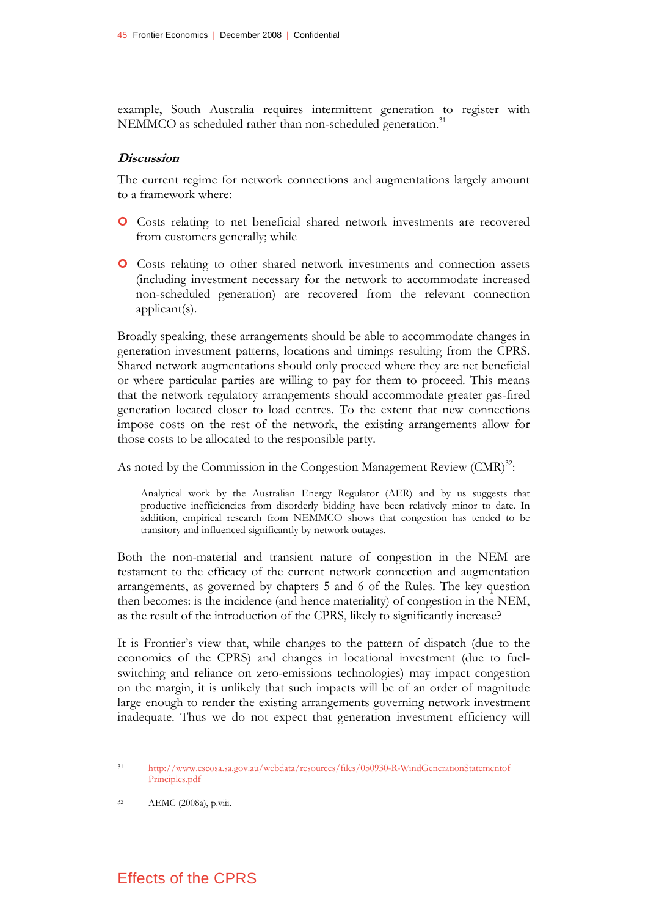example, South Australia requires intermittent generation to register with NEMMCO as scheduled rather than non-scheduled generation.<sup>31</sup>

#### **Discussion**

The current regime for network connections and augmentations largely amount to a framework where:

- | Costs relating to net beneficial shared network investments are recovered from customers generally; while
- | Costs relating to other shared network investments and connection assets (including investment necessary for the network to accommodate increased non-scheduled generation) are recovered from the relevant connection applicant(s).

Broadly speaking, these arrangements should be able to accommodate changes in generation investment patterns, locations and timings resulting from the CPRS. Shared network augmentations should only proceed where they are net beneficial or where particular parties are willing to pay for them to proceed. This means that the network regulatory arrangements should accommodate greater gas-fired generation located closer to load centres. To the extent that new connections impose costs on the rest of the network, the existing arrangements allow for those costs to be allocated to the responsible party.

As noted by the Commission in the Congestion Management Review (CMR)<sup>32</sup>:

Analytical work by the Australian Energy Regulator (AER) and by us suggests that productive inefficiencies from disorderly bidding have been relatively minor to date. In addition, empirical research from NEMMCO shows that congestion has tended to be transitory and influenced significantly by network outages.

Both the non-material and transient nature of congestion in the NEM are testament to the efficacy of the current network connection and augmentation arrangements, as governed by chapters 5 and 6 of the Rules. The key question then becomes: is the incidence (and hence materiality) of congestion in the NEM, as the result of the introduction of the CPRS, likely to significantly increase?

It is Frontier's view that, while changes to the pattern of dispatch (due to the economics of the CPRS) and changes in locational investment (due to fuelswitching and reliance on zero-emissions technologies) may impact congestion on the margin, it is unlikely that such impacts will be of an order of magnitude large enough to render the existing arrangements governing network investment inadequate. Thus we do not expect that generation investment efficiency will

<u>.</u>

<sup>31</sup> http://www.escosa.sa.gov.au/webdata/resources/files/050930-R-WindGenerationStatementof Principles.pdf

<sup>32</sup> AEMC (2008a), p.viii.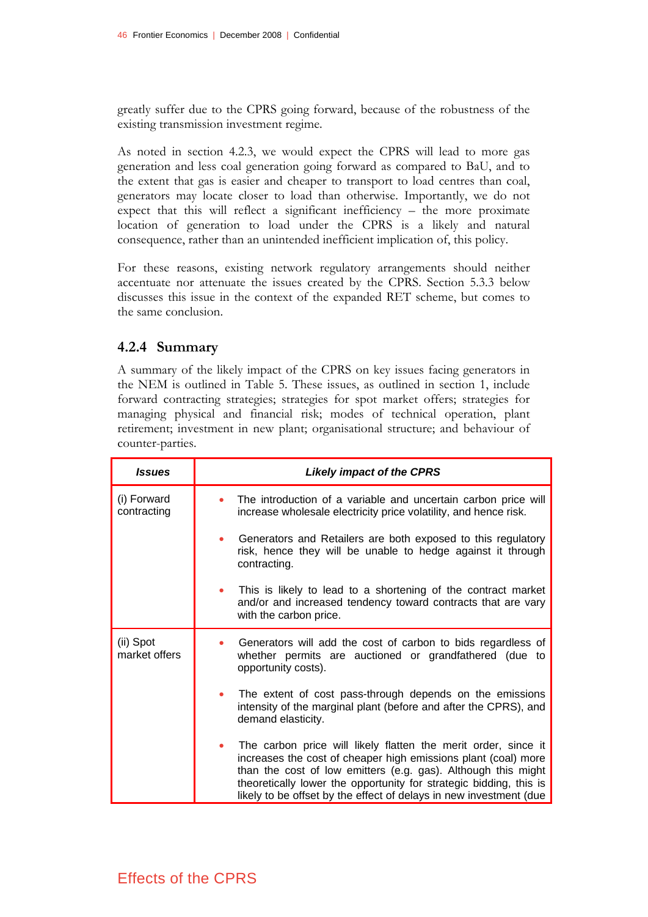greatly suffer due to the CPRS going forward, because of the robustness of the existing transmission investment regime.

As noted in section 4.2.3, we would expect the CPRS will lead to more gas generation and less coal generation going forward as compared to BaU, and to the extent that gas is easier and cheaper to transport to load centres than coal, generators may locate closer to load than otherwise. Importantly, we do not expect that this will reflect a significant inefficiency – the more proximate location of generation to load under the CPRS is a likely and natural consequence, rather than an unintended inefficient implication of, this policy.

For these reasons, existing network regulatory arrangements should neither accentuate nor attenuate the issues created by the CPRS. Section 5.3.3 below discusses this issue in the context of the expanded RET scheme, but comes to the same conclusion.

## **4.2.4 Summary**

A summary of the likely impact of the CPRS on key issues facing generators in the NEM is outlined in Table 5. These issues, as outlined in section 1, include forward contracting strategies; strategies for spot market offers; strategies for managing physical and financial risk; modes of technical operation, plant retirement; investment in new plant; organisational structure; and behaviour of counter-parties.

| <b>Issues</b>              | <b>Likely impact of the CPRS</b>                                                                                                                                                                                                                                                                                                              |
|----------------------------|-----------------------------------------------------------------------------------------------------------------------------------------------------------------------------------------------------------------------------------------------------------------------------------------------------------------------------------------------|
| (i) Forward<br>contracting | The introduction of a variable and uncertain carbon price will<br>increase wholesale electricity price volatility, and hence risk.                                                                                                                                                                                                            |
|                            | Generators and Retailers are both exposed to this regulatory<br>risk, hence they will be unable to hedge against it through<br>contracting.                                                                                                                                                                                                   |
|                            | This is likely to lead to a shortening of the contract market<br>$\bullet$<br>and/or and increased tendency toward contracts that are vary<br>with the carbon price.                                                                                                                                                                          |
| (ii) Spot<br>market offers | Generators will add the cost of carbon to bids regardless of<br>whether permits are auctioned or grandfathered (due to<br>opportunity costs).                                                                                                                                                                                                 |
|                            | The extent of cost pass-through depends on the emissions<br>intensity of the marginal plant (before and after the CPRS), and<br>demand elasticity.                                                                                                                                                                                            |
|                            | The carbon price will likely flatten the merit order, since it<br>increases the cost of cheaper high emissions plant (coal) more<br>than the cost of low emitters (e.g. gas). Although this might<br>theoretically lower the opportunity for strategic bidding, this is<br>likely to be offset by the effect of delays in new investment (due |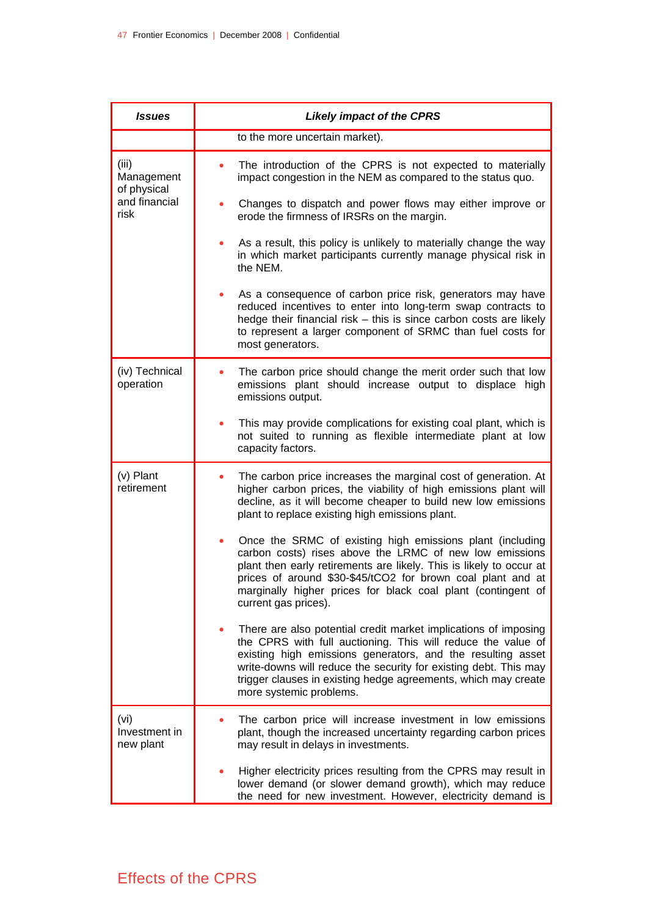| <b>Issues</b>                                               | <b>Likely impact of the CPRS</b>                                                                                                                                                                                                                                                                                                                                |
|-------------------------------------------------------------|-----------------------------------------------------------------------------------------------------------------------------------------------------------------------------------------------------------------------------------------------------------------------------------------------------------------------------------------------------------------|
|                                                             | to the more uncertain market).                                                                                                                                                                                                                                                                                                                                  |
| (iii)<br>Management<br>of physical<br>and financial<br>risk | The introduction of the CPRS is not expected to materially<br>impact congestion in the NEM as compared to the status quo.                                                                                                                                                                                                                                       |
|                                                             | Changes to dispatch and power flows may either improve or<br>erode the firmness of IRSRs on the margin.                                                                                                                                                                                                                                                         |
|                                                             | As a result, this policy is unlikely to materially change the way<br>in which market participants currently manage physical risk in<br>the NEM.                                                                                                                                                                                                                 |
|                                                             | As a consequence of carbon price risk, generators may have<br>reduced incentives to enter into long-term swap contracts to<br>hedge their financial risk - this is since carbon costs are likely<br>to represent a larger component of SRMC than fuel costs for<br>most generators.                                                                             |
| (iv) Technical<br>operation                                 | The carbon price should change the merit order such that low<br>emissions plant should increase output to displace high<br>emissions output.                                                                                                                                                                                                                    |
|                                                             | This may provide complications for existing coal plant, which is<br>not suited to running as flexible intermediate plant at low<br>capacity factors.                                                                                                                                                                                                            |
| (v) Plant<br>retirement                                     | The carbon price increases the marginal cost of generation. At<br>higher carbon prices, the viability of high emissions plant will<br>decline, as it will become cheaper to build new low emissions<br>plant to replace existing high emissions plant.                                                                                                          |
|                                                             | Once the SRMC of existing high emissions plant (including<br>carbon costs) rises above the LRMC of new low emissions<br>plant then early retirements are likely. This is likely to occur at<br>prices of around \$30-\$45/tCO2 for brown coal plant and at<br>marginally higher prices for black coal plant (contingent of<br>current gas prices).              |
|                                                             | There are also potential credit market implications of imposing<br>the CPRS with full auctioning. This will reduce the value of<br>existing high emissions generators, and the resulting asset<br>write-downs will reduce the security for existing debt. This may<br>trigger clauses in existing hedge agreements, which may create<br>more systemic problems. |
| (vi)<br>Investment in<br>new plant                          | The carbon price will increase investment in low emissions<br>plant, though the increased uncertainty regarding carbon prices<br>may result in delays in investments.                                                                                                                                                                                           |
|                                                             | Higher electricity prices resulting from the CPRS may result in<br>lower demand (or slower demand growth), which may reduce<br>the need for new investment. However, electricity demand is                                                                                                                                                                      |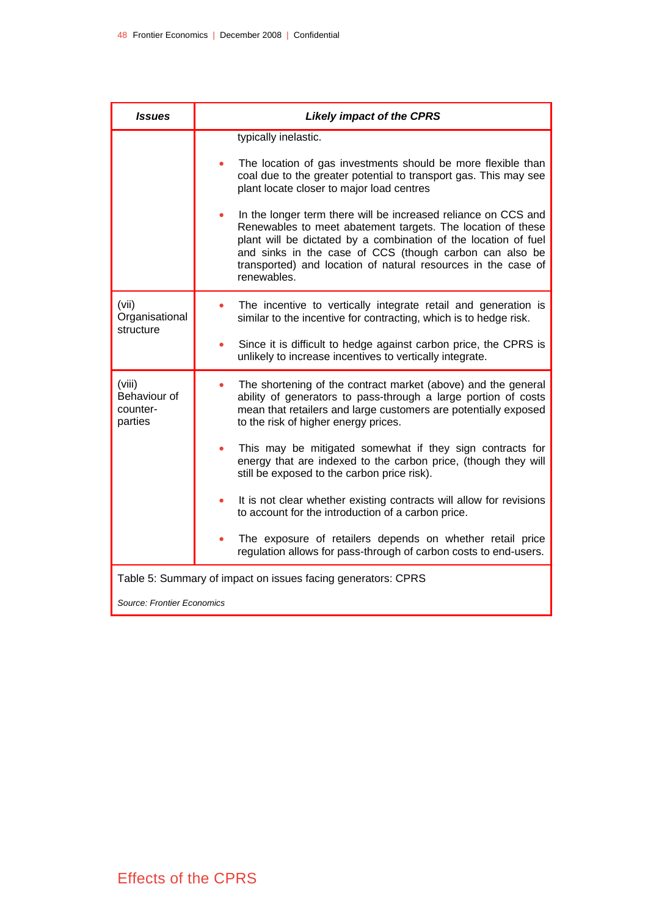| <b>Issues</b>                                                | <b>Likely impact of the CPRS</b>                                                                                                                                                                                                                                                                                                            |  |
|--------------------------------------------------------------|---------------------------------------------------------------------------------------------------------------------------------------------------------------------------------------------------------------------------------------------------------------------------------------------------------------------------------------------|--|
|                                                              | typically inelastic.                                                                                                                                                                                                                                                                                                                        |  |
|                                                              | The location of gas investments should be more flexible than<br>coal due to the greater potential to transport gas. This may see<br>plant locate closer to major load centres                                                                                                                                                               |  |
|                                                              | In the longer term there will be increased reliance on CCS and<br>Renewables to meet abatement targets. The location of these<br>plant will be dictated by a combination of the location of fuel<br>and sinks in the case of CCS (though carbon can also be<br>transported) and location of natural resources in the case of<br>renewables. |  |
| (vii)<br>Organisational<br>structure                         | The incentive to vertically integrate retail and generation is<br>similar to the incentive for contracting, which is to hedge risk.                                                                                                                                                                                                         |  |
|                                                              | Since it is difficult to hedge against carbon price, the CPRS is<br>unlikely to increase incentives to vertically integrate.                                                                                                                                                                                                                |  |
| (viii)<br>Behaviour of<br>counter-<br>parties                | The shortening of the contract market (above) and the general<br>۰<br>ability of generators to pass-through a large portion of costs<br>mean that retailers and large customers are potentially exposed<br>to the risk of higher energy prices.                                                                                             |  |
|                                                              | This may be mitigated somewhat if they sign contracts for<br>energy that are indexed to the carbon price, (though they will<br>still be exposed to the carbon price risk).                                                                                                                                                                  |  |
|                                                              | It is not clear whether existing contracts will allow for revisions<br>to account for the introduction of a carbon price.                                                                                                                                                                                                                   |  |
|                                                              | The exposure of retailers depends on whether retail price<br>regulation allows for pass-through of carbon costs to end-users.                                                                                                                                                                                                               |  |
| Table 5: Summary of impact on issues facing generators: CPRS |                                                                                                                                                                                                                                                                                                                                             |  |
|                                                              | Source: Frontier Economics                                                                                                                                                                                                                                                                                                                  |  |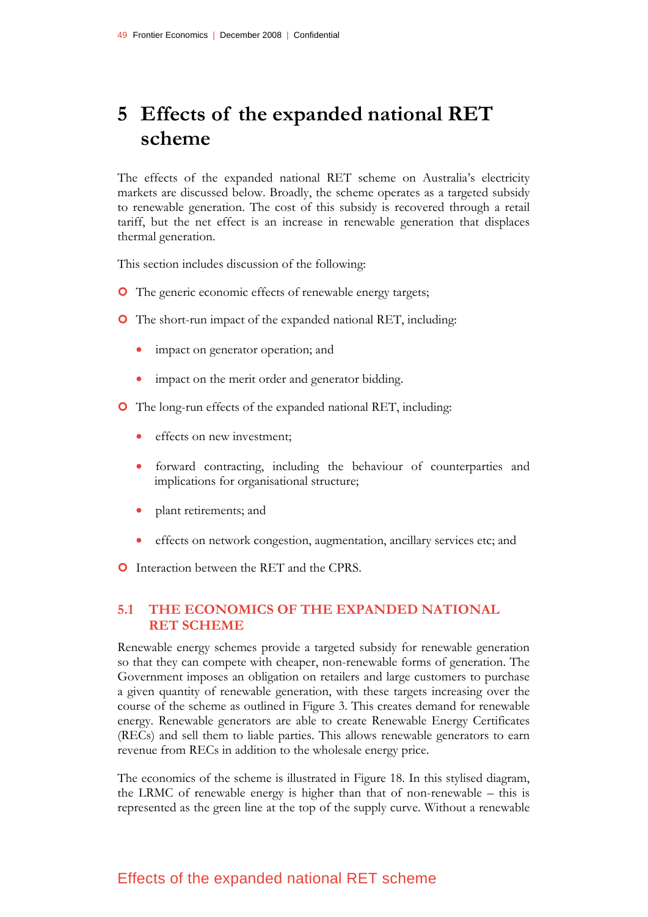# **5 Effects of the expanded national RET scheme**

The effects of the expanded national RET scheme on Australia's electricity markets are discussed below. Broadly, the scheme operates as a targeted subsidy to renewable generation. The cost of this subsidy is recovered through a retail tariff, but the net effect is an increase in renewable generation that displaces thermal generation.

This section includes discussion of the following:

- **O** The generic economic effects of renewable energy targets;
- **O** The short-run impact of the expanded national RET, including:
	- impact on generator operation; and
	- impact on the merit order and generator bidding.
- | The long-run effects of the expanded national RET, including:
	- effects on new investment:
	- forward contracting, including the behaviour of counterparties and implications for organisational structure;
	- plant retirements; and
	- effects on network congestion, augmentation, ancillary services etc; and

**O** Interaction between the RET and the CPRS.

## **5.1 THE ECONOMICS OF THE EXPANDED NATIONAL RET SCHEME**

Renewable energy schemes provide a targeted subsidy for renewable generation so that they can compete with cheaper, non-renewable forms of generation. The Government imposes an obligation on retailers and large customers to purchase a given quantity of renewable generation, with these targets increasing over the course of the scheme as outlined in Figure 3. This creates demand for renewable energy. Renewable generators are able to create Renewable Energy Certificates (RECs) and sell them to liable parties. This allows renewable generators to earn revenue from RECs in addition to the wholesale energy price.

The economics of the scheme is illustrated in Figure 18. In this stylised diagram, the LRMC of renewable energy is higher than that of non-renewable – this is represented as the green line at the top of the supply curve. Without a renewable

## Effects of the expanded national RET scheme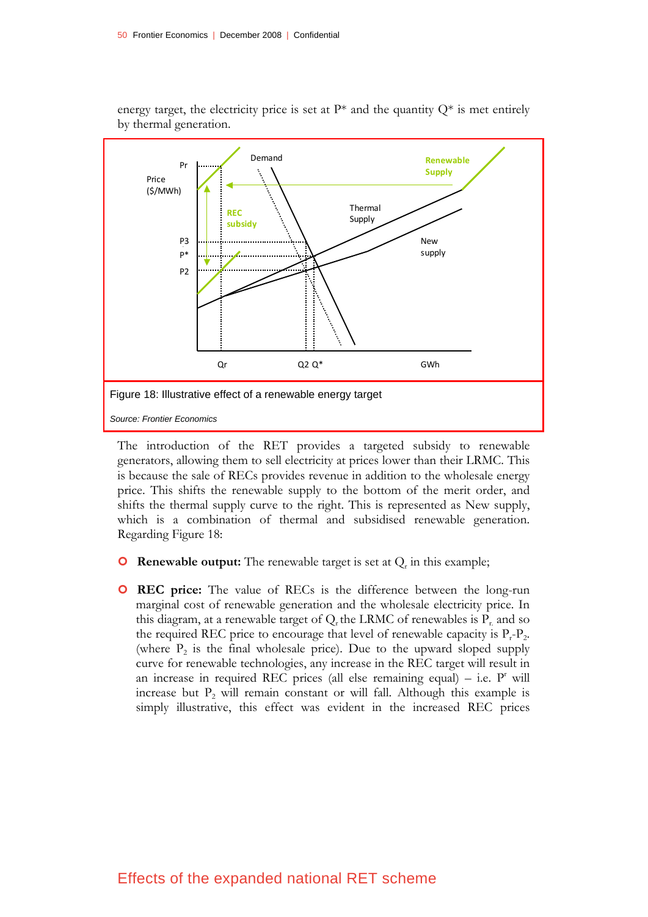

energy target, the electricity price is set at  $P^*$  and the quantity  $Q^*$  is met entirely by thermal generation.

The introduction of the RET provides a targeted subsidy to renewable generators, allowing them to sell electricity at prices lower than their LRMC. This is because the sale of RECs provides revenue in addition to the wholesale energy price. This shifts the renewable supply to the bottom of the merit order, and shifts the thermal supply curve to the right. This is represented as New supply, which is a combination of thermal and subsidised renewable generation. Regarding Figure 18:

- **O** Renewable output: The renewable target is set at  $Q_r$  in this example;
- | **REC price:** The value of RECs is the difference between the long-run marginal cost of renewable generation and the wholesale electricity price. In this diagram, at a renewable target of  $Q_t$  the LRMC of renewables is  $P_t$  and so the required REC price to encourage that level of renewable capacity is  $P_r - P_2$ . (where  $P_2$  is the final wholesale price). Due to the upward sloped supply curve for renewable technologies, any increase in the REC target will result in an increase in required REC prices (all else remaining equal)  $-$  i.e.  $P^r$  will increase but  $P_2$  will remain constant or will fall. Although this example is simply illustrative, this effect was evident in the increased REC prices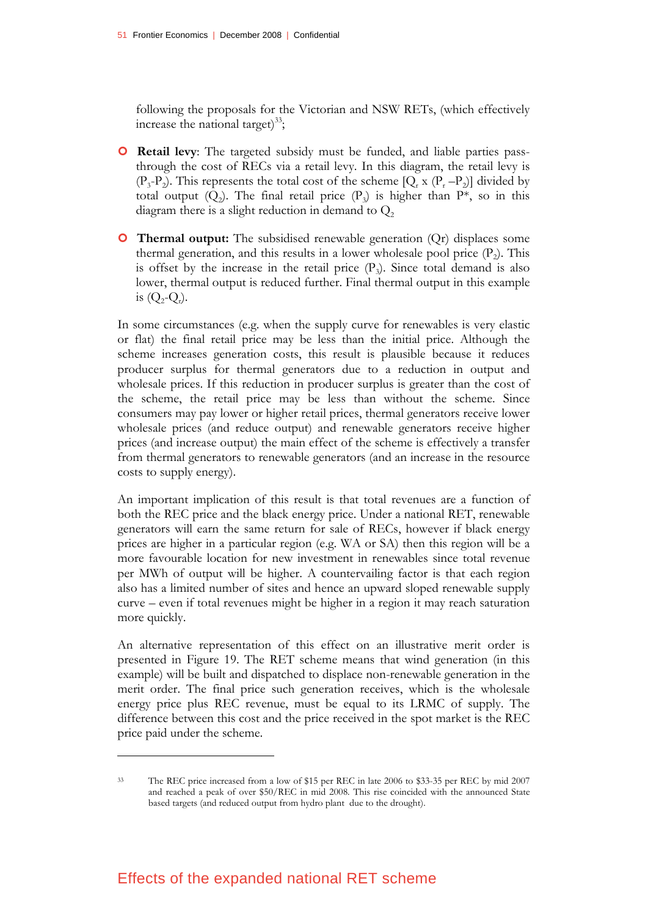following the proposals for the Victorian and NSW RETs, (which effectively increase the national target) $^{33}$ ;

- **O** Retail levy: The targeted subsidy must be funded, and liable parties passthrough the cost of RECs via a retail levy. In this diagram, the retail levy is  $(P_3-P_2)$ . This represents the total cost of the scheme  $[Q_r \times (P_r-P_2)]$  divided by total output  $(Q_2)$ . The final retail price  $(P_3)$  is higher than P<sup>\*</sup>, so in this diagram there is a slight reduction in demand to  $Q<sub>2</sub>$
- **O** Thermal output: The subsidised renewable generation (Qr) displaces some thermal generation, and this results in a lower wholesale pool price  $(P_2)$ . This is offset by the increase in the retail price  $(P_3)$ . Since total demand is also lower, thermal output is reduced further. Final thermal output in this example is  $(Q_2-Q_r)$ .

In some circumstances (e.g. when the supply curve for renewables is very elastic or flat) the final retail price may be less than the initial price. Although the scheme increases generation costs, this result is plausible because it reduces producer surplus for thermal generators due to a reduction in output and wholesale prices. If this reduction in producer surplus is greater than the cost of the scheme, the retail price may be less than without the scheme. Since consumers may pay lower or higher retail prices, thermal generators receive lower wholesale prices (and reduce output) and renewable generators receive higher prices (and increase output) the main effect of the scheme is effectively a transfer from thermal generators to renewable generators (and an increase in the resource costs to supply energy).

An important implication of this result is that total revenues are a function of both the REC price and the black energy price. Under a national RET, renewable generators will earn the same return for sale of RECs, however if black energy prices are higher in a particular region (e.g. WA or SA) then this region will be a more favourable location for new investment in renewables since total revenue per MWh of output will be higher. A countervailing factor is that each region also has a limited number of sites and hence an upward sloped renewable supply curve – even if total revenues might be higher in a region it may reach saturation more quickly.

An alternative representation of this effect on an illustrative merit order is presented in Figure 19. The RET scheme means that wind generation (in this example) will be built and dispatched to displace non-renewable generation in the merit order. The final price such generation receives, which is the wholesale energy price plus REC revenue, must be equal to its LRMC of supply. The difference between this cost and the price received in the spot market is the REC price paid under the scheme.

<sup>33</sup> The REC price increased from a low of \$15 per REC in late 2006 to \$33-35 per REC by mid 2007 and reached a peak of over \$50/REC in mid 2008. This rise coincided with the announced State based targets (and reduced output from hydro plant due to the drought).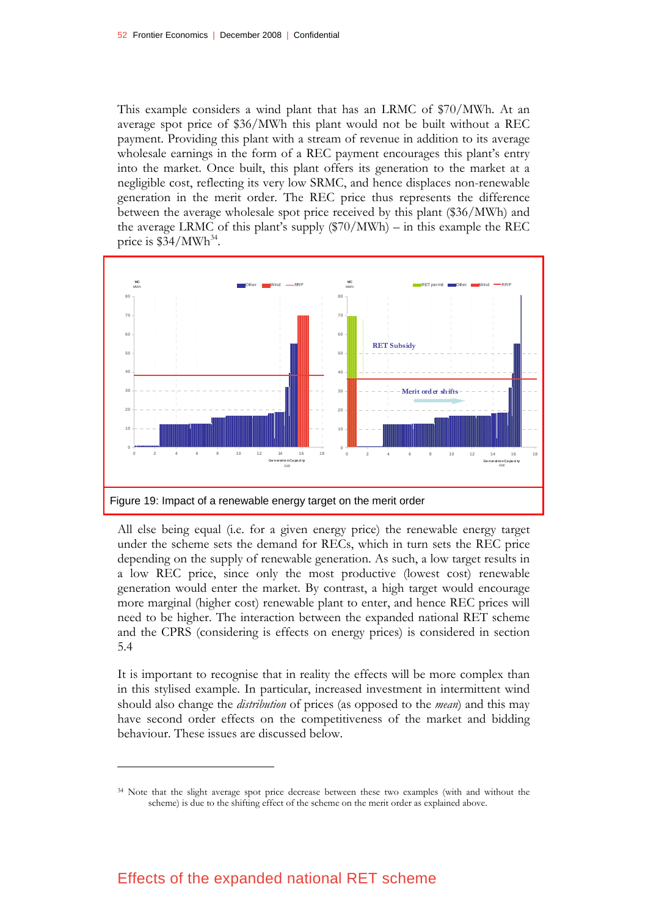This example considers a wind plant that has an LRMC of \$70/MWh. At an average spot price of \$36/MWh this plant would not be built without a REC payment. Providing this plant with a stream of revenue in addition to its average wholesale earnings in the form of a REC payment encourages this plant's entry into the market. Once built, this plant offers its generation to the market at a negligible cost, reflecting its very low SRMC, and hence displaces non-renewable generation in the merit order. The REC price thus represents the difference between the average wholesale spot price received by this plant (\$36/MWh) and the average LRMC of this plant's supply (\$70/MWh) – in this example the REC price is  $$34/MWh^{34}$ .



All else being equal (i.e. for a given energy price) the renewable energy target under the scheme sets the demand for RECs, which in turn sets the REC price depending on the supply of renewable generation. As such, a low target results in a low REC price, since only the most productive (lowest cost) renewable generation would enter the market. By contrast, a high target would encourage more marginal (higher cost) renewable plant to enter, and hence REC prices will need to be higher. The interaction between the expanded national RET scheme and the CPRS (considering is effects on energy prices) is considered in section 5.4

It is important to recognise that in reality the effects will be more complex than in this stylised example. In particular, increased investment in intermittent wind should also change the *distribution* of prices (as opposed to the *mean*) and this may have second order effects on the competitiveness of the market and bidding behaviour. These issues are discussed below.

<sup>34</sup> Note that the slight average spot price decrease between these two examples (with and without the scheme) is due to the shifting effect of the scheme on the merit order as explained above.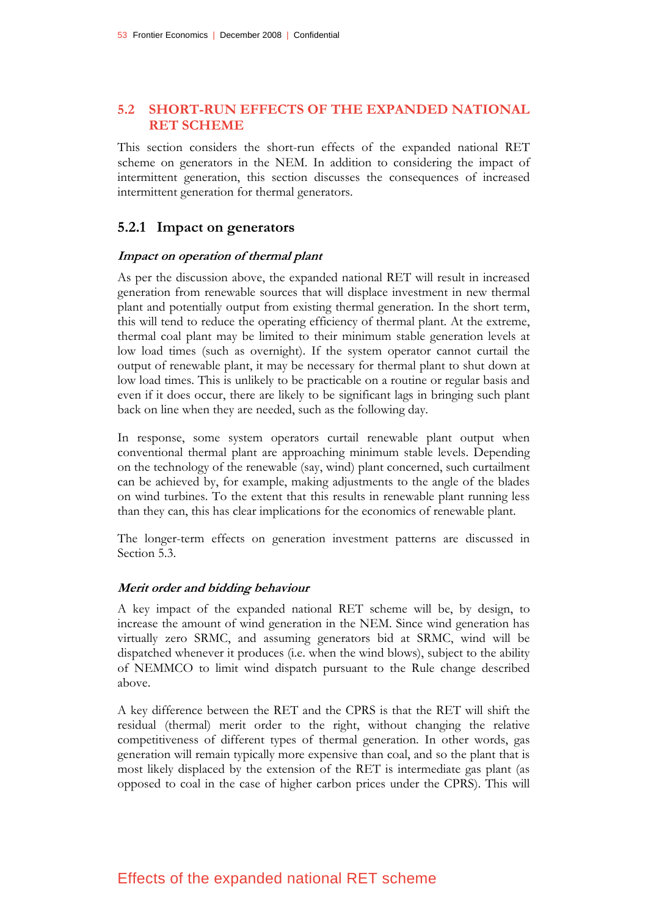### **5.2 SHORT-RUN EFFECTS OF THE EXPANDED NATIONAL RET SCHEME**

This section considers the short-run effects of the expanded national RET scheme on generators in the NEM. In addition to considering the impact of intermittent generation, this section discusses the consequences of increased intermittent generation for thermal generators.

#### **5.2.1 Impact on generators**

#### **Impact on operation of thermal plant**

As per the discussion above, the expanded national RET will result in increased generation from renewable sources that will displace investment in new thermal plant and potentially output from existing thermal generation. In the short term, this will tend to reduce the operating efficiency of thermal plant. At the extreme, thermal coal plant may be limited to their minimum stable generation levels at low load times (such as overnight). If the system operator cannot curtail the output of renewable plant, it may be necessary for thermal plant to shut down at low load times. This is unlikely to be practicable on a routine or regular basis and even if it does occur, there are likely to be significant lags in bringing such plant back on line when they are needed, such as the following day.

In response, some system operators curtail renewable plant output when conventional thermal plant are approaching minimum stable levels. Depending on the technology of the renewable (say, wind) plant concerned, such curtailment can be achieved by, for example, making adjustments to the angle of the blades on wind turbines. To the extent that this results in renewable plant running less than they can, this has clear implications for the economics of renewable plant.

The longer-term effects on generation investment patterns are discussed in Section 5.3.

#### **Merit order and bidding behaviour**

A key impact of the expanded national RET scheme will be, by design, to increase the amount of wind generation in the NEM. Since wind generation has virtually zero SRMC, and assuming generators bid at SRMC, wind will be dispatched whenever it produces (i.e. when the wind blows), subject to the ability of NEMMCO to limit wind dispatch pursuant to the Rule change described above.

A key difference between the RET and the CPRS is that the RET will shift the residual (thermal) merit order to the right, without changing the relative competitiveness of different types of thermal generation. In other words, gas generation will remain typically more expensive than coal, and so the plant that is most likely displaced by the extension of the RET is intermediate gas plant (as opposed to coal in the case of higher carbon prices under the CPRS). This will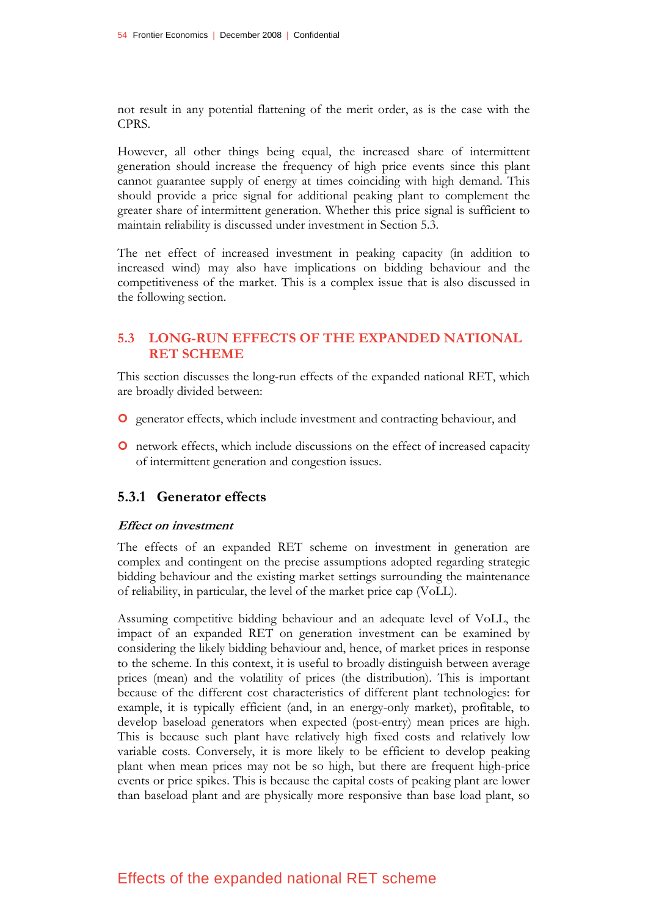not result in any potential flattening of the merit order, as is the case with the CPRS.

However, all other things being equal, the increased share of intermittent generation should increase the frequency of high price events since this plant cannot guarantee supply of energy at times coinciding with high demand. This should provide a price signal for additional peaking plant to complement the greater share of intermittent generation. Whether this price signal is sufficient to maintain reliability is discussed under investment in Section 5.3.

The net effect of increased investment in peaking capacity (in addition to increased wind) may also have implications on bidding behaviour and the competitiveness of the market. This is a complex issue that is also discussed in the following section.

### **5.3 LONG-RUN EFFECTS OF THE EXPANDED NATIONAL RET SCHEME**

This section discusses the long-run effects of the expanded national RET, which are broadly divided between:

- | generator effects, which include investment and contracting behaviour, and
- | network effects, which include discussions on the effect of increased capacity of intermittent generation and congestion issues.

## **5.3.1 Generator effects**

#### **Effect on investment**

The effects of an expanded RET scheme on investment in generation are complex and contingent on the precise assumptions adopted regarding strategic bidding behaviour and the existing market settings surrounding the maintenance of reliability, in particular, the level of the market price cap (VoLL).

Assuming competitive bidding behaviour and an adequate level of VoLL, the impact of an expanded RET on generation investment can be examined by considering the likely bidding behaviour and, hence, of market prices in response to the scheme. In this context, it is useful to broadly distinguish between average prices (mean) and the volatility of prices (the distribution). This is important because of the different cost characteristics of different plant technologies: for example, it is typically efficient (and, in an energy-only market), profitable, to develop baseload generators when expected (post-entry) mean prices are high. This is because such plant have relatively high fixed costs and relatively low variable costs. Conversely, it is more likely to be efficient to develop peaking plant when mean prices may not be so high, but there are frequent high-price events or price spikes. This is because the capital costs of peaking plant are lower than baseload plant and are physically more responsive than base load plant, so

## Effects of the expanded national RET scheme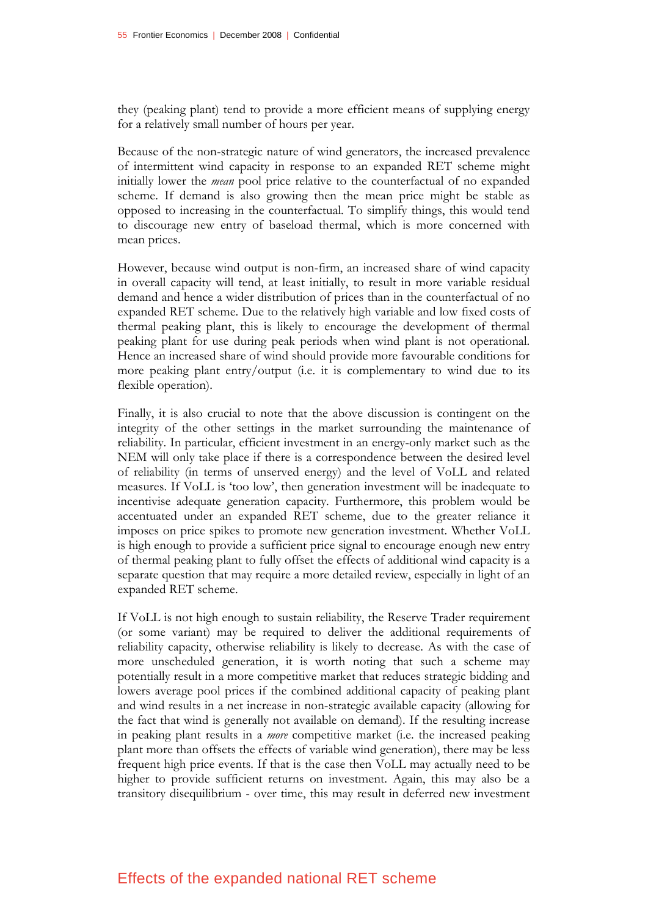they (peaking plant) tend to provide a more efficient means of supplying energy for a relatively small number of hours per year.

Because of the non-strategic nature of wind generators, the increased prevalence of intermittent wind capacity in response to an expanded RET scheme might initially lower the *mean* pool price relative to the counterfactual of no expanded scheme. If demand is also growing then the mean price might be stable as opposed to increasing in the counterfactual. To simplify things, this would tend to discourage new entry of baseload thermal, which is more concerned with mean prices.

However, because wind output is non-firm, an increased share of wind capacity in overall capacity will tend, at least initially, to result in more variable residual demand and hence a wider distribution of prices than in the counterfactual of no expanded RET scheme. Due to the relatively high variable and low fixed costs of thermal peaking plant, this is likely to encourage the development of thermal peaking plant for use during peak periods when wind plant is not operational. Hence an increased share of wind should provide more favourable conditions for more peaking plant entry/output (i.e. it is complementary to wind due to its flexible operation).

Finally, it is also crucial to note that the above discussion is contingent on the integrity of the other settings in the market surrounding the maintenance of reliability. In particular, efficient investment in an energy-only market such as the NEM will only take place if there is a correspondence between the desired level of reliability (in terms of unserved energy) and the level of VoLL and related measures. If VoLL is 'too low', then generation investment will be inadequate to incentivise adequate generation capacity. Furthermore, this problem would be accentuated under an expanded RET scheme, due to the greater reliance it imposes on price spikes to promote new generation investment. Whether VoLL is high enough to provide a sufficient price signal to encourage enough new entry of thermal peaking plant to fully offset the effects of additional wind capacity is a separate question that may require a more detailed review, especially in light of an expanded RET scheme.

If VoLL is not high enough to sustain reliability, the Reserve Trader requirement (or some variant) may be required to deliver the additional requirements of reliability capacity, otherwise reliability is likely to decrease. As with the case of more unscheduled generation, it is worth noting that such a scheme may potentially result in a more competitive market that reduces strategic bidding and lowers average pool prices if the combined additional capacity of peaking plant and wind results in a net increase in non-strategic available capacity (allowing for the fact that wind is generally not available on demand). If the resulting increase in peaking plant results in a *more* competitive market (i.e. the increased peaking plant more than offsets the effects of variable wind generation), there may be less frequent high price events. If that is the case then VoLL may actually need to be higher to provide sufficient returns on investment. Again, this may also be a transitory disequilibrium - over time, this may result in deferred new investment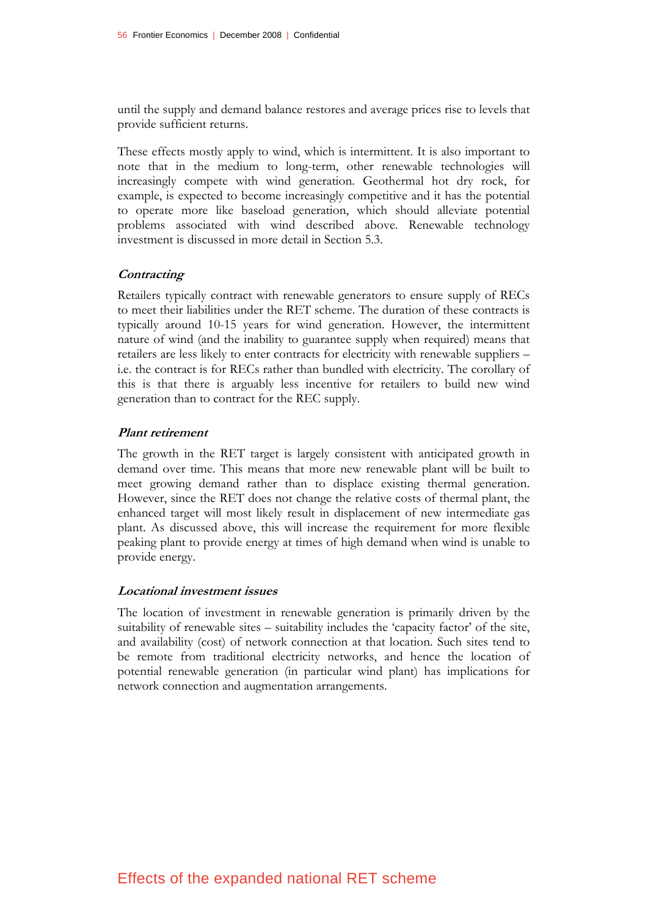until the supply and demand balance restores and average prices rise to levels that provide sufficient returns.

These effects mostly apply to wind, which is intermittent. It is also important to note that in the medium to long-term, other renewable technologies will increasingly compete with wind generation. Geothermal hot dry rock, for example, is expected to become increasingly competitive and it has the potential to operate more like baseload generation, which should alleviate potential problems associated with wind described above. Renewable technology investment is discussed in more detail in Section 5.3.

#### **Contracting**

Retailers typically contract with renewable generators to ensure supply of RECs to meet their liabilities under the RET scheme. The duration of these contracts is typically around 10-15 years for wind generation. However, the intermittent nature of wind (and the inability to guarantee supply when required) means that retailers are less likely to enter contracts for electricity with renewable suppliers – i.e. the contract is for RECs rather than bundled with electricity. The corollary of this is that there is arguably less incentive for retailers to build new wind generation than to contract for the REC supply.

#### **Plant retirement**

The growth in the RET target is largely consistent with anticipated growth in demand over time. This means that more new renewable plant will be built to meet growing demand rather than to displace existing thermal generation. However, since the RET does not change the relative costs of thermal plant, the enhanced target will most likely result in displacement of new intermediate gas plant. As discussed above, this will increase the requirement for more flexible peaking plant to provide energy at times of high demand when wind is unable to provide energy.

#### **Locational investment issues**

The location of investment in renewable generation is primarily driven by the suitability of renewable sites – suitability includes the 'capacity factor' of the site, and availability (cost) of network connection at that location. Such sites tend to be remote from traditional electricity networks, and hence the location of potential renewable generation (in particular wind plant) has implications for network connection and augmentation arrangements.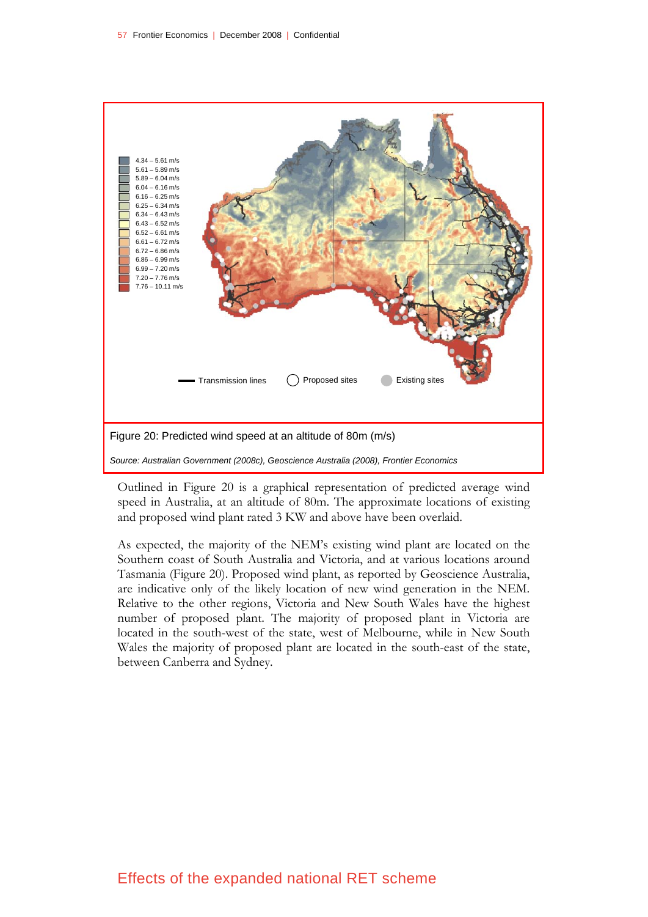

Outlined in Figure 20 is a graphical representation of predicted average wind speed in Australia, at an altitude of 80m. The approximate locations of existing and proposed wind plant rated 3 KW and above have been overlaid.

As expected, the majority of the NEM's existing wind plant are located on the Southern coast of South Australia and Victoria, and at various locations around Tasmania (Figure 20). Proposed wind plant, as reported by Geoscience Australia, are indicative only of the likely location of new wind generation in the NEM. Relative to the other regions, Victoria and New South Wales have the highest number of proposed plant. The majority of proposed plant in Victoria are located in the south-west of the state, west of Melbourne, while in New South Wales the majority of proposed plant are located in the south-east of the state, between Canberra and Sydney.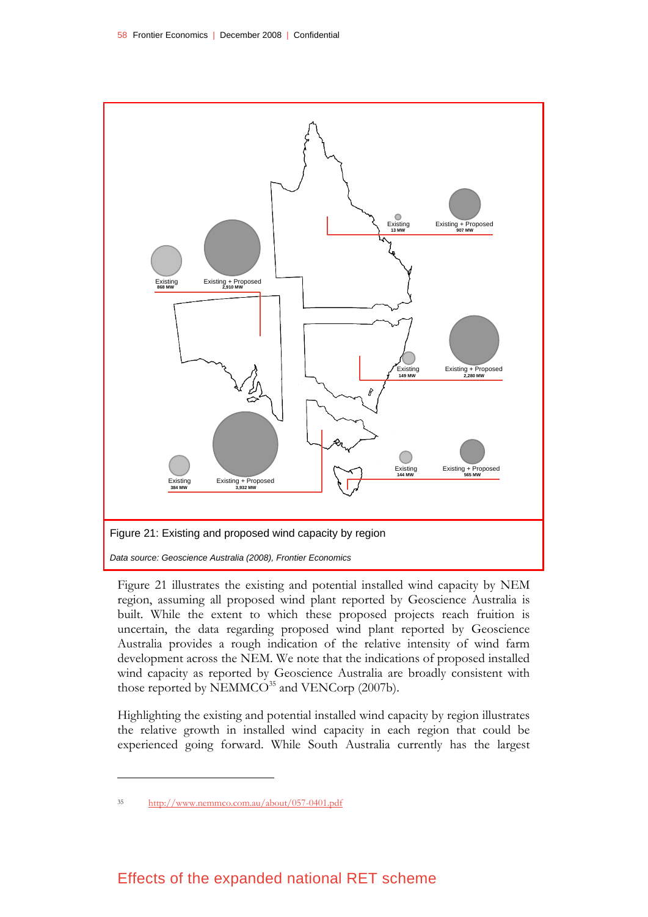

Figure 21 illustrates the existing and potential installed wind capacity by NEM region, assuming all proposed wind plant reported by Geoscience Australia is built. While the extent to which these proposed projects reach fruition is uncertain, the data regarding proposed wind plant reported by Geoscience Australia provides a rough indication of the relative intensity of wind farm development across the NEM. We note that the indications of proposed installed wind capacity as reported by Geoscience Australia are broadly consistent with those reported by  $NEMMCO<sup>35</sup>$  and  $VENCorp$  (2007b).

Highlighting the existing and potential installed wind capacity by region illustrates the relative growth in installed wind capacity in each region that could be experienced going forward. While South Australia currently has the largest

<sup>35</sup> http://www.nemmco.com.au/about/057-0401.pdf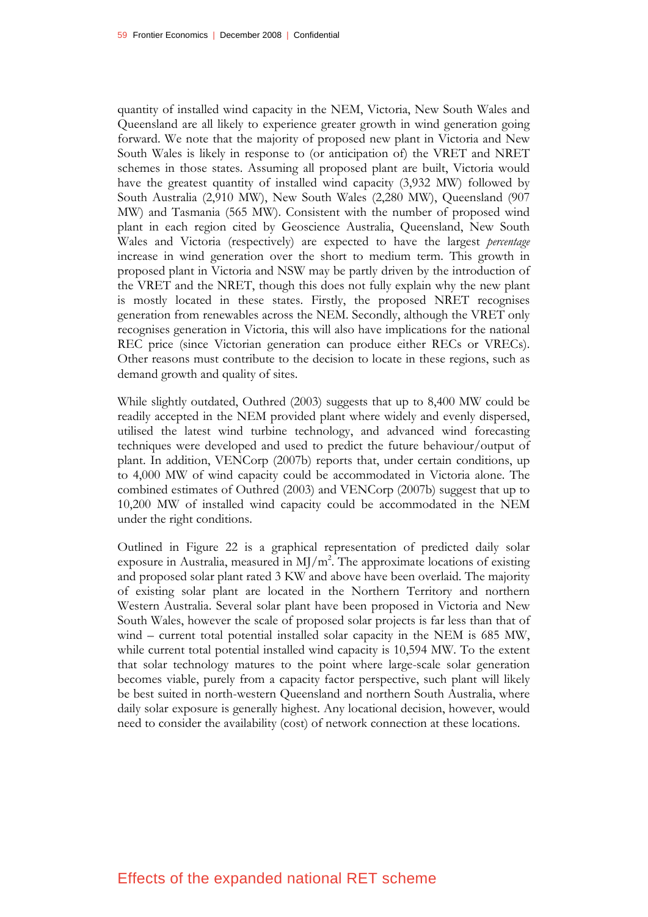quantity of installed wind capacity in the NEM, Victoria, New South Wales and Queensland are all likely to experience greater growth in wind generation going forward. We note that the majority of proposed new plant in Victoria and New South Wales is likely in response to (or anticipation of) the VRET and NRET schemes in those states. Assuming all proposed plant are built, Victoria would have the greatest quantity of installed wind capacity (3,932 MW) followed by South Australia (2,910 MW), New South Wales (2,280 MW), Queensland (907 MW) and Tasmania (565 MW). Consistent with the number of proposed wind plant in each region cited by Geoscience Australia, Queensland, New South Wales and Victoria (respectively) are expected to have the largest *percentage* increase in wind generation over the short to medium term. This growth in proposed plant in Victoria and NSW may be partly driven by the introduction of the VRET and the NRET, though this does not fully explain why the new plant is mostly located in these states. Firstly, the proposed NRET recognises generation from renewables across the NEM. Secondly, although the VRET only recognises generation in Victoria, this will also have implications for the national REC price (since Victorian generation can produce either RECs or VRECs). Other reasons must contribute to the decision to locate in these regions, such as demand growth and quality of sites.

While slightly outdated, Outhred (2003) suggests that up to 8,400 MW could be readily accepted in the NEM provided plant where widely and evenly dispersed, utilised the latest wind turbine technology, and advanced wind forecasting techniques were developed and used to predict the future behaviour/output of plant. In addition, VENCorp (2007b) reports that, under certain conditions, up to 4,000 MW of wind capacity could be accommodated in Victoria alone. The combined estimates of Outhred (2003) and VENCorp (2007b) suggest that up to 10,200 MW of installed wind capacity could be accommodated in the NEM under the right conditions.

Outlined in Figure 22 is a graphical representation of predicted daily solar exposure in Australia, measured in MJ/m<sup>2</sup>. The approximate locations of existing and proposed solar plant rated 3 KW and above have been overlaid. The majority of existing solar plant are located in the Northern Territory and northern Western Australia. Several solar plant have been proposed in Victoria and New South Wales, however the scale of proposed solar projects is far less than that of wind – current total potential installed solar capacity in the NEM is 685 MW, while current total potential installed wind capacity is 10,594 MW. To the extent that solar technology matures to the point where large-scale solar generation becomes viable, purely from a capacity factor perspective, such plant will likely be best suited in north-western Queensland and northern South Australia, where daily solar exposure is generally highest. Any locational decision, however, would need to consider the availability (cost) of network connection at these locations.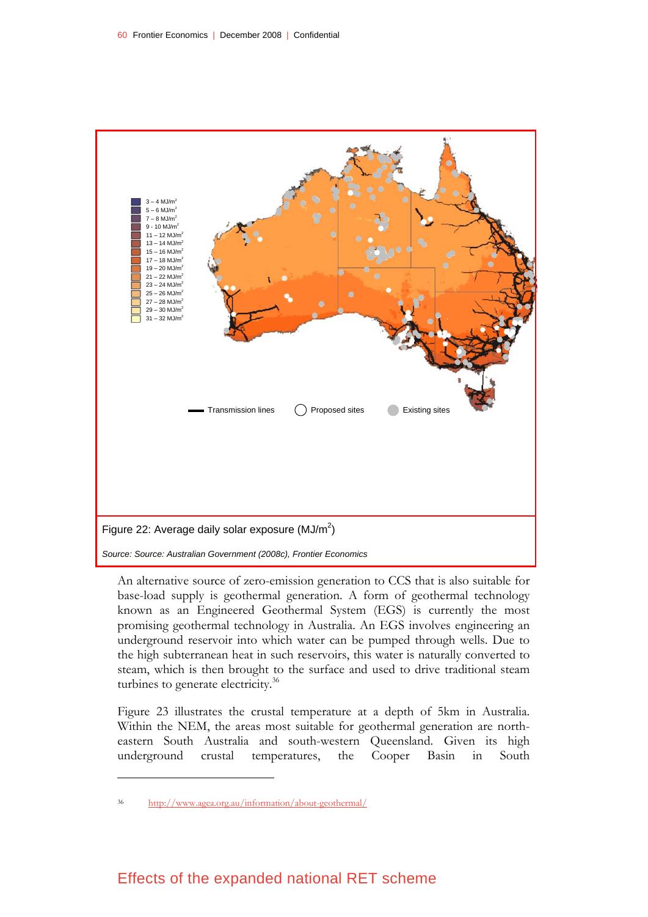

An alternative source of zero-emission generation to CCS that is also suitable for base-load supply is geothermal generation. A form of geothermal technology known as an Engineered Geothermal System (EGS) is currently the most promising geothermal technology in Australia. An EGS involves engineering an underground reservoir into which water can be pumped through wells. Due to the high subterranean heat in such reservoirs, this water is naturally converted to steam, which is then brought to the surface and used to drive traditional steam turbines to generate electricity.<sup>36</sup>

Figure 23 illustrates the crustal temperature at a depth of 5km in Australia. Within the NEM, the areas most suitable for geothermal generation are northeastern South Australia and south-western Queensland. Given its high underground crustal temperatures, the Cooper Basin in South

<sup>36</sup> http://www.agea.org.au/information/about-geothermal/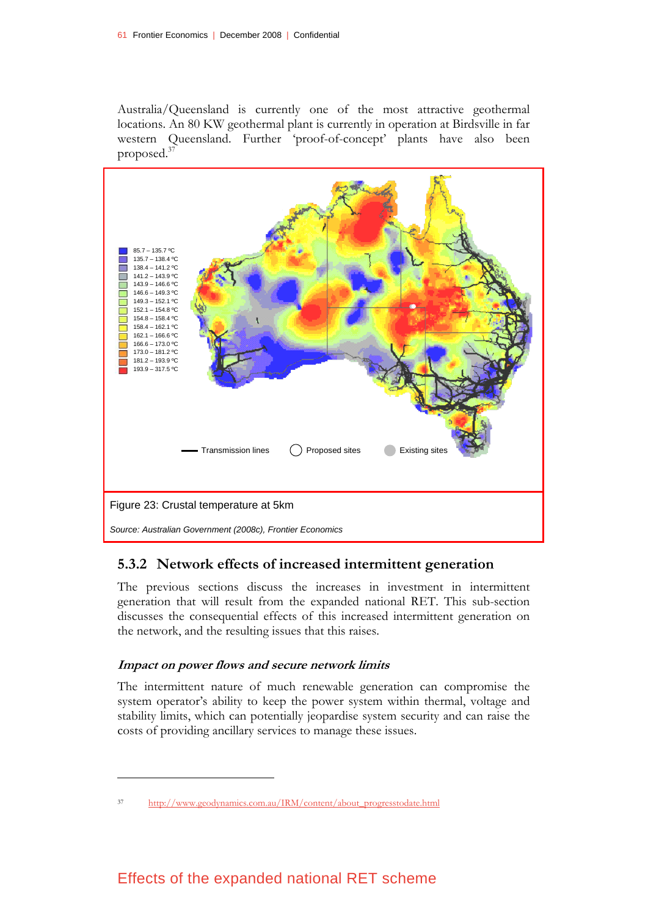Australia/Queensland is currently one of the most attractive geothermal locations. An 80 KW geothermal plant is currently in operation at Birdsville in far western Queensland. Further 'proof-of-concept' plants have also been proposed.37



## **5.3.2 Network effects of increased intermittent generation**

The previous sections discuss the increases in investment in intermittent generation that will result from the expanded national RET. This sub-section discusses the consequential effects of this increased intermittent generation on the network, and the resulting issues that this raises.

### **Impact on power flows and secure network limits**

<u>.</u>

The intermittent nature of much renewable generation can compromise the system operator's ability to keep the power system within thermal, voltage and stability limits, which can potentially jeopardise system security and can raise the costs of providing ancillary services to manage these issues.

<sup>37</sup> http://www.geodynamics.com.au/IRM/content/about\_progresstodate.html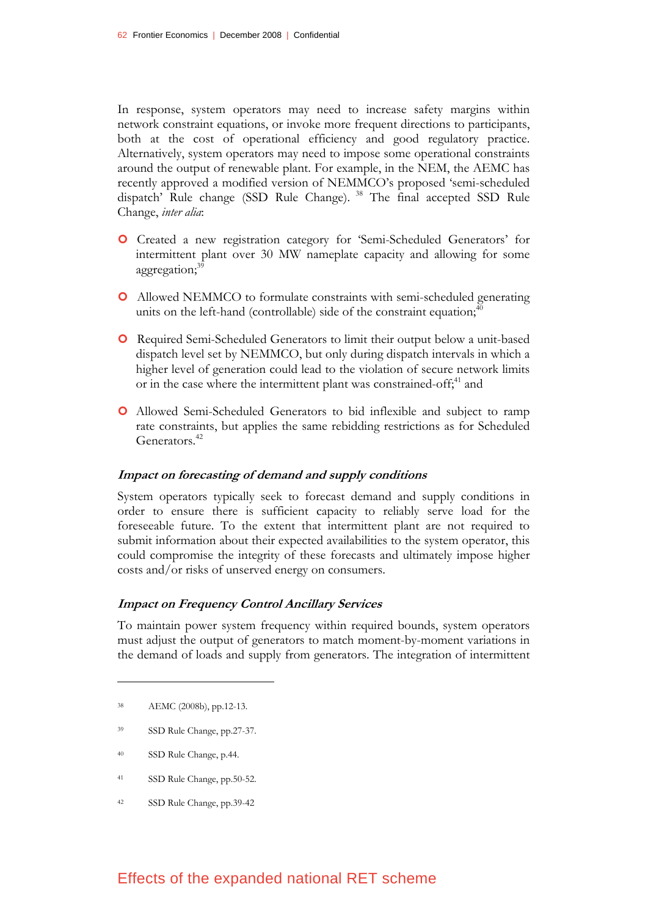In response, system operators may need to increase safety margins within network constraint equations, or invoke more frequent directions to participants, both at the cost of operational efficiency and good regulatory practice. Alternatively, system operators may need to impose some operational constraints around the output of renewable plant. For example, in the NEM, the AEMC has recently approved a modified version of NEMMCO's proposed 'semi-scheduled dispatch' Rule change (SSD Rule Change). 38 The final accepted SSD Rule Change, *inter alia*:

- | Created a new registration category for 'Semi-Scheduled Generators' for intermittent plant over 30 MW nameplate capacity and allowing for some aggregation;<sup>39</sup>
- | Allowed NEMMCO to formulate constraints with semi-scheduled generating units on the left-hand (controllable) side of the constraint equation;<sup>40</sup>
- | Required Semi-Scheduled Generators to limit their output below a unit-based dispatch level set by NEMMCO, but only during dispatch intervals in which a higher level of generation could lead to the violation of secure network limits or in the case where the intermittent plant was constrained-off;<sup>41</sup> and
- | Allowed Semi-Scheduled Generators to bid inflexible and subject to ramp rate constraints, but applies the same rebidding restrictions as for Scheduled Generators.<sup>42</sup>

#### **Impact on forecasting of demand and supply conditions**

System operators typically seek to forecast demand and supply conditions in order to ensure there is sufficient capacity to reliably serve load for the foreseeable future. To the extent that intermittent plant are not required to submit information about their expected availabilities to the system operator, this could compromise the integrity of these forecasts and ultimately impose higher costs and/or risks of unserved energy on consumers.

#### **Impact on Frequency Control Ancillary Services**

To maintain power system frequency within required bounds, system operators must adjust the output of generators to match moment-by-moment variations in the demand of loads and supply from generators. The integration of intermittent

<u>.</u>

- 39 SSD Rule Change, pp.27-37.
- 40 SSD Rule Change, p.44.
- 41 SSD Rule Change, pp.50-52.
- 42 SSD Rule Change, pp.39-42

<sup>38</sup> AEMC (2008b), pp.12-13.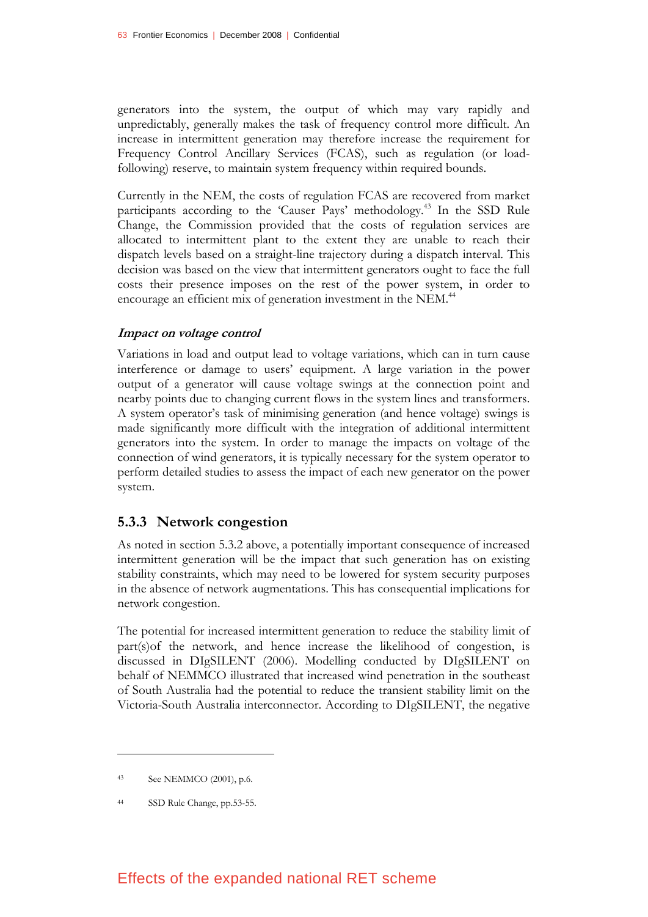generators into the system, the output of which may vary rapidly and unpredictably, generally makes the task of frequency control more difficult. An increase in intermittent generation may therefore increase the requirement for Frequency Control Ancillary Services (FCAS), such as regulation (or loadfollowing) reserve, to maintain system frequency within required bounds.

Currently in the NEM, the costs of regulation FCAS are recovered from market participants according to the 'Causer Pays' methodology.43 In the SSD Rule Change, the Commission provided that the costs of regulation services are allocated to intermittent plant to the extent they are unable to reach their dispatch levels based on a straight-line trajectory during a dispatch interval. This decision was based on the view that intermittent generators ought to face the full costs their presence imposes on the rest of the power system, in order to encourage an efficient mix of generation investment in the NEM.<sup>44</sup>

#### **Impact on voltage control**

Variations in load and output lead to voltage variations, which can in turn cause interference or damage to users' equipment. A large variation in the power output of a generator will cause voltage swings at the connection point and nearby points due to changing current flows in the system lines and transformers. A system operator's task of minimising generation (and hence voltage) swings is made significantly more difficult with the integration of additional intermittent generators into the system. In order to manage the impacts on voltage of the connection of wind generators, it is typically necessary for the system operator to perform detailed studies to assess the impact of each new generator on the power system.

#### **5.3.3 Network congestion**

As noted in section 5.3.2 above, a potentially important consequence of increased intermittent generation will be the impact that such generation has on existing stability constraints, which may need to be lowered for system security purposes in the absence of network augmentations. This has consequential implications for network congestion.

The potential for increased intermittent generation to reduce the stability limit of part(s)of the network, and hence increase the likelihood of congestion, is discussed in DIgSILENT (2006). Modelling conducted by DIgSILENT on behalf of NEMMCO illustrated that increased wind penetration in the southeast of South Australia had the potential to reduce the transient stability limit on the Victoria-South Australia interconnector. According to DIgSILENT, the negative

<u>.</u>

<sup>43</sup> See NEMMCO (2001), p.6.

<sup>44</sup> SSD Rule Change, pp.53-55.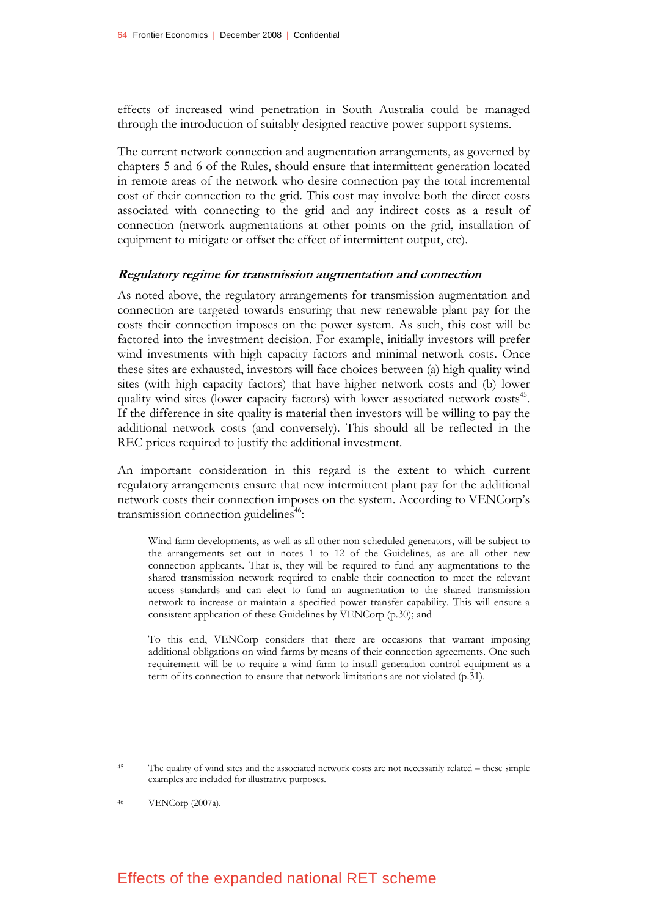effects of increased wind penetration in South Australia could be managed through the introduction of suitably designed reactive power support systems.

The current network connection and augmentation arrangements, as governed by chapters 5 and 6 of the Rules, should ensure that intermittent generation located in remote areas of the network who desire connection pay the total incremental cost of their connection to the grid. This cost may involve both the direct costs associated with connecting to the grid and any indirect costs as a result of connection (network augmentations at other points on the grid, installation of equipment to mitigate or offset the effect of intermittent output, etc).

#### **Regulatory regime for transmission augmentation and connection**

As noted above, the regulatory arrangements for transmission augmentation and connection are targeted towards ensuring that new renewable plant pay for the costs their connection imposes on the power system. As such, this cost will be factored into the investment decision. For example, initially investors will prefer wind investments with high capacity factors and minimal network costs. Once these sites are exhausted, investors will face choices between (a) high quality wind sites (with high capacity factors) that have higher network costs and (b) lower quality wind sites (lower capacity factors) with lower associated network costs<sup>45</sup>. If the difference in site quality is material then investors will be willing to pay the additional network costs (and conversely). This should all be reflected in the REC prices required to justify the additional investment.

An important consideration in this regard is the extent to which current regulatory arrangements ensure that new intermittent plant pay for the additional network costs their connection imposes on the system. According to VENCorp's transmission connection guidelines<sup>46</sup>:

Wind farm developments, as well as all other non-scheduled generators, will be subject to the arrangements set out in notes 1 to 12 of the Guidelines, as are all other new connection applicants. That is, they will be required to fund any augmentations to the shared transmission network required to enable their connection to meet the relevant access standards and can elect to fund an augmentation to the shared transmission network to increase or maintain a specified power transfer capability. This will ensure a consistent application of these Guidelines by VENCorp (p.30); and

To this end, VENCorp considers that there are occasions that warrant imposing additional obligations on wind farms by means of their connection agreements. One such requirement will be to require a wind farm to install generation control equipment as a term of its connection to ensure that network limitations are not violated (p.31).

<u>.</u>

<sup>45</sup> The quality of wind sites and the associated network costs are not necessarily related – these simple examples are included for illustrative purposes.

<sup>46</sup> VENCorp (2007a).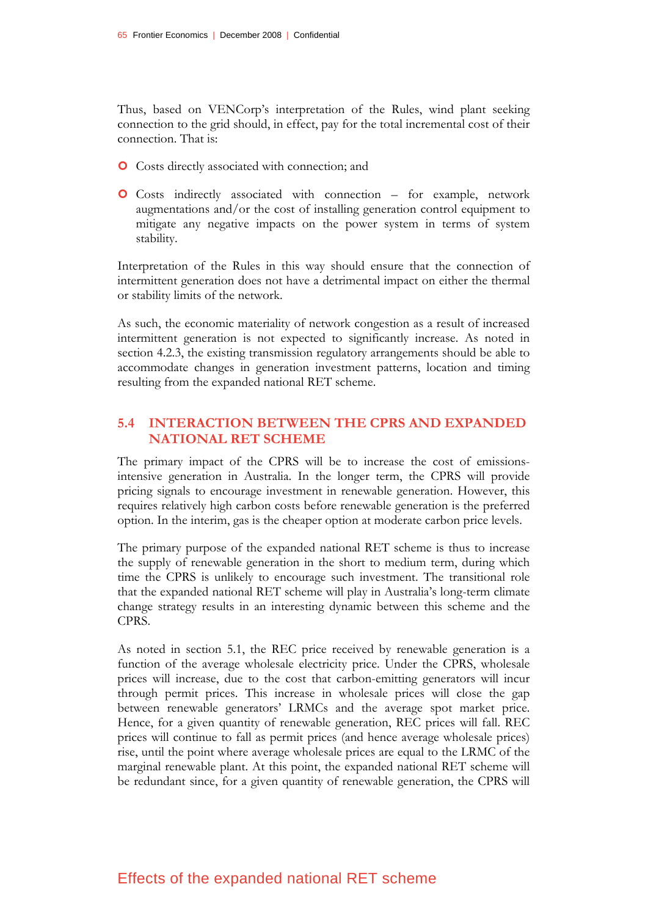Thus, based on VENCorp's interpretation of the Rules, wind plant seeking connection to the grid should, in effect, pay for the total incremental cost of their connection. That is:

- **O** Costs directly associated with connection; and
- | Costs indirectly associated with connection for example, network augmentations and/or the cost of installing generation control equipment to mitigate any negative impacts on the power system in terms of system stability.

Interpretation of the Rules in this way should ensure that the connection of intermittent generation does not have a detrimental impact on either the thermal or stability limits of the network.

As such, the economic materiality of network congestion as a result of increased intermittent generation is not expected to significantly increase. As noted in section 4.2.3, the existing transmission regulatory arrangements should be able to accommodate changes in generation investment patterns, location and timing resulting from the expanded national RET scheme.

#### **5.4 INTERACTION BETWEEN THE CPRS AND EXPANDED NATIONAL RET SCHEME**

The primary impact of the CPRS will be to increase the cost of emissionsintensive generation in Australia. In the longer term, the CPRS will provide pricing signals to encourage investment in renewable generation. However, this requires relatively high carbon costs before renewable generation is the preferred option. In the interim, gas is the cheaper option at moderate carbon price levels.

The primary purpose of the expanded national RET scheme is thus to increase the supply of renewable generation in the short to medium term, during which time the CPRS is unlikely to encourage such investment. The transitional role that the expanded national RET scheme will play in Australia's long-term climate change strategy results in an interesting dynamic between this scheme and the CPRS.

As noted in section 5.1, the REC price received by renewable generation is a function of the average wholesale electricity price. Under the CPRS, wholesale prices will increase, due to the cost that carbon-emitting generators will incur through permit prices. This increase in wholesale prices will close the gap between renewable generators' LRMCs and the average spot market price. Hence, for a given quantity of renewable generation, REC prices will fall. REC prices will continue to fall as permit prices (and hence average wholesale prices) rise, until the point where average wholesale prices are equal to the LRMC of the marginal renewable plant. At this point, the expanded national RET scheme will be redundant since, for a given quantity of renewable generation, the CPRS will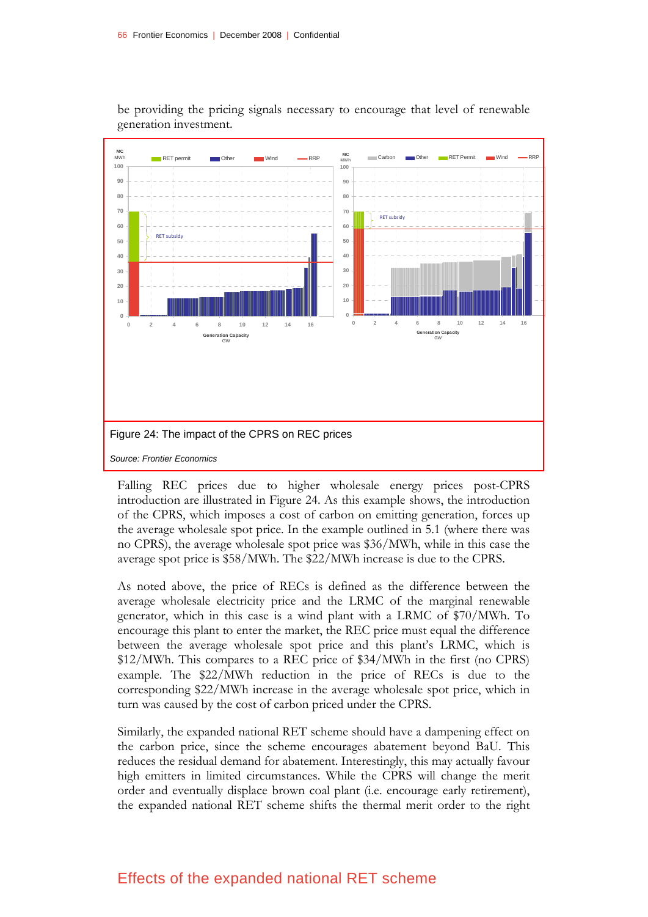

be providing the pricing signals necessary to encourage that level of renewable generation investment.

Falling REC prices due to higher wholesale energy prices post-CPRS introduction are illustrated in Figure 24. As this example shows, the introduction of the CPRS, which imposes a cost of carbon on emitting generation, forces up the average wholesale spot price. In the example outlined in 5.1 (where there was no CPRS), the average wholesale spot price was \$36/MWh, while in this case the average spot price is \$58/MWh. The \$22/MWh increase is due to the CPRS.

As noted above, the price of RECs is defined as the difference between the average wholesale electricity price and the LRMC of the marginal renewable generator, which in this case is a wind plant with a LRMC of \$70/MWh. To encourage this plant to enter the market, the REC price must equal the difference between the average wholesale spot price and this plant's LRMC, which is \$12/MWh. This compares to a REC price of \$34/MWh in the first (no CPRS) example. The \$22/MWh reduction in the price of RECs is due to the corresponding \$22/MWh increase in the average wholesale spot price, which in turn was caused by the cost of carbon priced under the CPRS.

Similarly, the expanded national RET scheme should have a dampening effect on the carbon price, since the scheme encourages abatement beyond BaU. This reduces the residual demand for abatement. Interestingly, this may actually favour high emitters in limited circumstances. While the CPRS will change the merit order and eventually displace brown coal plant (i.e. encourage early retirement), the expanded national RET scheme shifts the thermal merit order to the right

# Effects of the expanded national RET scheme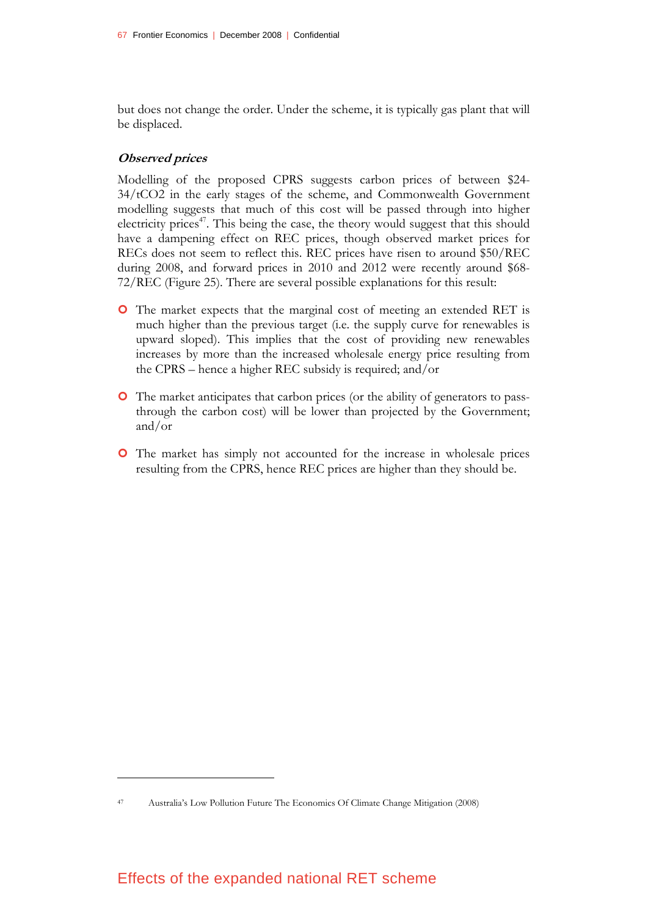but does not change the order. Under the scheme, it is typically gas plant that will be displaced.

#### **Observed prices**

<u>.</u>

Modelling of the proposed CPRS suggests carbon prices of between \$24- 34/tCO2 in the early stages of the scheme, and Commonwealth Government modelling suggests that much of this cost will be passed through into higher electricity prices<sup>47</sup>. This being the case, the theory would suggest that this should have a dampening effect on REC prices, though observed market prices for RECs does not seem to reflect this. REC prices have risen to around \$50/REC during 2008, and forward prices in 2010 and 2012 were recently around \$68- 72/REC (Figure 25). There are several possible explanations for this result:

- | The market expects that the marginal cost of meeting an extended RET is much higher than the previous target (i.e. the supply curve for renewables is upward sloped). This implies that the cost of providing new renewables increases by more than the increased wholesale energy price resulting from the CPRS – hence a higher REC subsidy is required; and/or
- | The market anticipates that carbon prices (or the ability of generators to passthrough the carbon cost) will be lower than projected by the Government; and/or
- | The market has simply not accounted for the increase in wholesale prices resulting from the CPRS, hence REC prices are higher than they should be.

<sup>47</sup> Australia's Low Pollution Future The Economics Of Climate Change Mitigation (2008)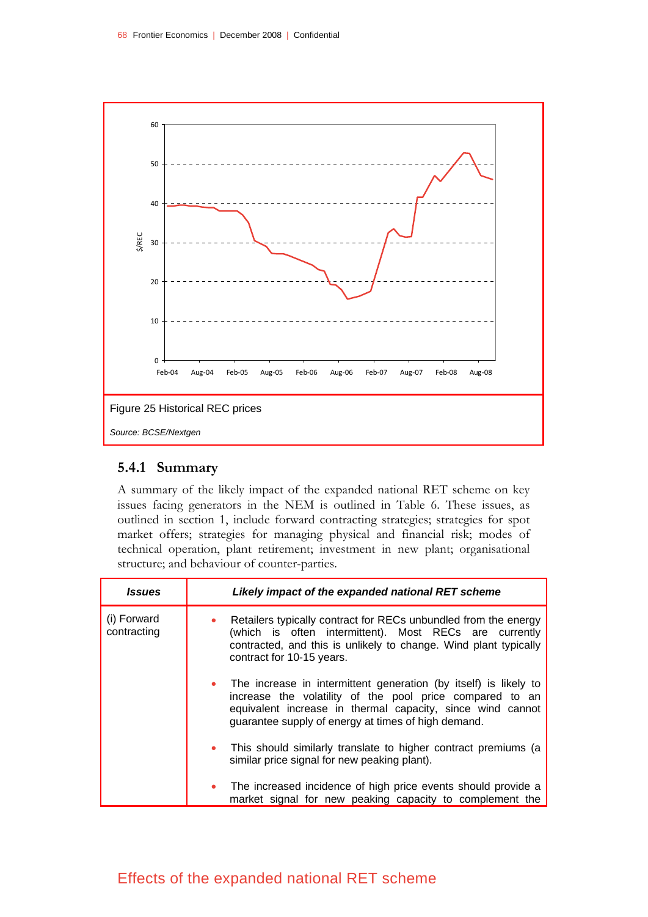

# **5.4.1 Summary**

A summary of the likely impact of the expanded national RET scheme on key issues facing generators in the NEM is outlined in Table 6. These issues, as outlined in section 1, include forward contracting strategies; strategies for spot market offers; strategies for managing physical and financial risk; modes of technical operation, plant retirement; investment in new plant; organisational structure; and behaviour of counter-parties.

| <i><b>Issues</b></i>       | Likely impact of the expanded national RET scheme                                                                                                                                                                                                   |
|----------------------------|-----------------------------------------------------------------------------------------------------------------------------------------------------------------------------------------------------------------------------------------------------|
| (i) Forward<br>contracting | • Retailers typically contract for RECs unbundled from the energy<br>(which is often intermittent). Most RECs are currently<br>contracted, and this is unlikely to change. Wind plant typically<br>contract for 10-15 years.                        |
|                            | • The increase in intermittent generation (by itself) is likely to<br>increase the volatility of the pool price compared to an<br>equivalent increase in thermal capacity, since wind cannot<br>guarantee supply of energy at times of high demand. |
|                            | • This should similarly translate to higher contract premiums (a<br>similar price signal for new peaking plant).                                                                                                                                    |
|                            | • The increased incidence of high price events should provide a<br>market signal for new peaking capacity to complement the                                                                                                                         |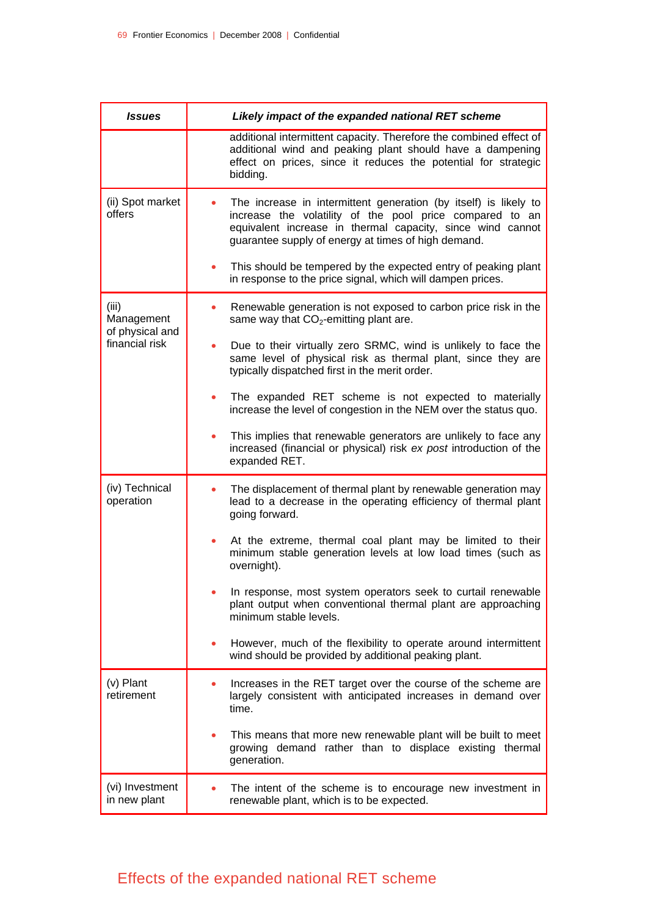| <i><b>Issues</b></i>                                     | Likely impact of the expanded national RET scheme                                                                                                                                                                                                 |
|----------------------------------------------------------|---------------------------------------------------------------------------------------------------------------------------------------------------------------------------------------------------------------------------------------------------|
|                                                          | additional intermittent capacity. Therefore the combined effect of<br>additional wind and peaking plant should have a dampening<br>effect on prices, since it reduces the potential for strategic<br>bidding.                                     |
| (ii) Spot market<br>offers                               | The increase in intermittent generation (by itself) is likely to<br>increase the volatility of the pool price compared to an<br>equivalent increase in thermal capacity, since wind cannot<br>guarantee supply of energy at times of high demand. |
|                                                          | This should be tempered by the expected entry of peaking plant<br>in response to the price signal, which will dampen prices.                                                                                                                      |
| (iii)<br>Management<br>of physical and<br>financial risk | Renewable generation is not exposed to carbon price risk in the<br>same way that $CO2$ -emitting plant are.                                                                                                                                       |
|                                                          | Due to their virtually zero SRMC, wind is unlikely to face the<br>same level of physical risk as thermal plant, since they are<br>typically dispatched first in the merit order.                                                                  |
|                                                          | The expanded RET scheme is not expected to materially<br>increase the level of congestion in the NEM over the status quo.                                                                                                                         |
|                                                          | This implies that renewable generators are unlikely to face any<br>increased (financial or physical) risk ex post introduction of the<br>expanded RET.                                                                                            |
| (iv) Technical<br>operation                              | The displacement of thermal plant by renewable generation may<br>lead to a decrease in the operating efficiency of thermal plant<br>going forward.                                                                                                |
|                                                          | At the extreme, thermal coal plant may be limited to their<br>minimum stable generation levels at low load times (such as<br>overnight).                                                                                                          |
|                                                          | In response, most system operators seek to curtail renewable<br>plant output when conventional thermal plant are approaching<br>minimum stable levels.                                                                                            |
|                                                          | However, much of the flexibility to operate around intermittent<br>wind should be provided by additional peaking plant.                                                                                                                           |
| (v) Plant<br>retirement                                  | Increases in the RET target over the course of the scheme are<br>largely consistent with anticipated increases in demand over<br>time.                                                                                                            |
|                                                          | This means that more new renewable plant will be built to meet<br>growing demand rather than to displace existing thermal<br>generation.                                                                                                          |
| (vi) Investment<br>in new plant                          | The intent of the scheme is to encourage new investment in<br>renewable plant, which is to be expected.                                                                                                                                           |

# Effects of the expanded national RET scheme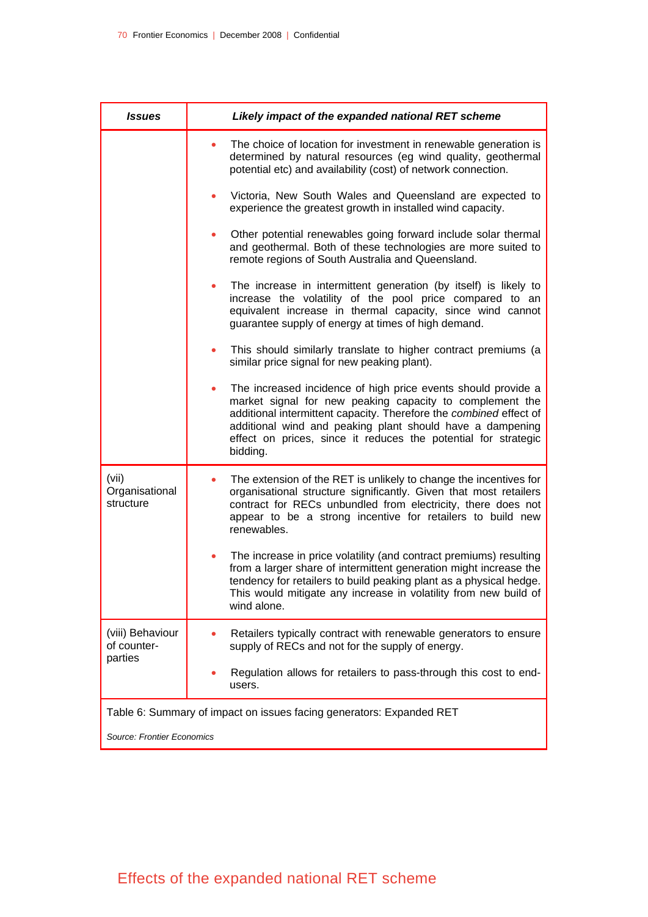| <b>Issues</b>                                                        | Likely impact of the expanded national RET scheme                                                                                                                                                                                                                                                                                          |  |
|----------------------------------------------------------------------|--------------------------------------------------------------------------------------------------------------------------------------------------------------------------------------------------------------------------------------------------------------------------------------------------------------------------------------------|--|
|                                                                      | The choice of location for investment in renewable generation is<br>determined by natural resources (eg wind quality, geothermal<br>potential etc) and availability (cost) of network connection.                                                                                                                                          |  |
|                                                                      | Victoria, New South Wales and Queensland are expected to<br>$\bullet$<br>experience the greatest growth in installed wind capacity.                                                                                                                                                                                                        |  |
|                                                                      | Other potential renewables going forward include solar thermal<br>and geothermal. Both of these technologies are more suited to<br>remote regions of South Australia and Queensland.                                                                                                                                                       |  |
|                                                                      | The increase in intermittent generation (by itself) is likely to<br>۰<br>increase the volatility of the pool price compared to an<br>equivalent increase in thermal capacity, since wind cannot<br>guarantee supply of energy at times of high demand.                                                                                     |  |
|                                                                      | This should similarly translate to higher contract premiums (a<br>similar price signal for new peaking plant).                                                                                                                                                                                                                             |  |
|                                                                      | The increased incidence of high price events should provide a<br>market signal for new peaking capacity to complement the<br>additional intermittent capacity. Therefore the combined effect of<br>additional wind and peaking plant should have a dampening<br>effect on prices, since it reduces the potential for strategic<br>bidding. |  |
| (vii)<br>Organisational<br>structure                                 | The extension of the RET is unlikely to change the incentives for<br>organisational structure significantly. Given that most retailers<br>contract for RECs unbundled from electricity, there does not<br>appear to be a strong incentive for retailers to build new<br>renewables.                                                        |  |
|                                                                      | The increase in price volatility (and contract premiums) resulting<br>from a larger share of intermittent generation might increase the<br>tendency for retailers to build peaking plant as a physical hedge.<br>This would mitigate any increase in volatility from new build of<br>wind alone.                                           |  |
| (viii) Behaviour<br>of counter-<br>parties                           | Retailers typically contract with renewable generators to ensure<br>supply of RECs and not for the supply of energy.                                                                                                                                                                                                                       |  |
|                                                                      | Regulation allows for retailers to pass-through this cost to end-<br>users.                                                                                                                                                                                                                                                                |  |
| Table 6: Summary of impact on issues facing generators: Expanded RET |                                                                                                                                                                                                                                                                                                                                            |  |
| <b>Source: Frontier Economics</b>                                    |                                                                                                                                                                                                                                                                                                                                            |  |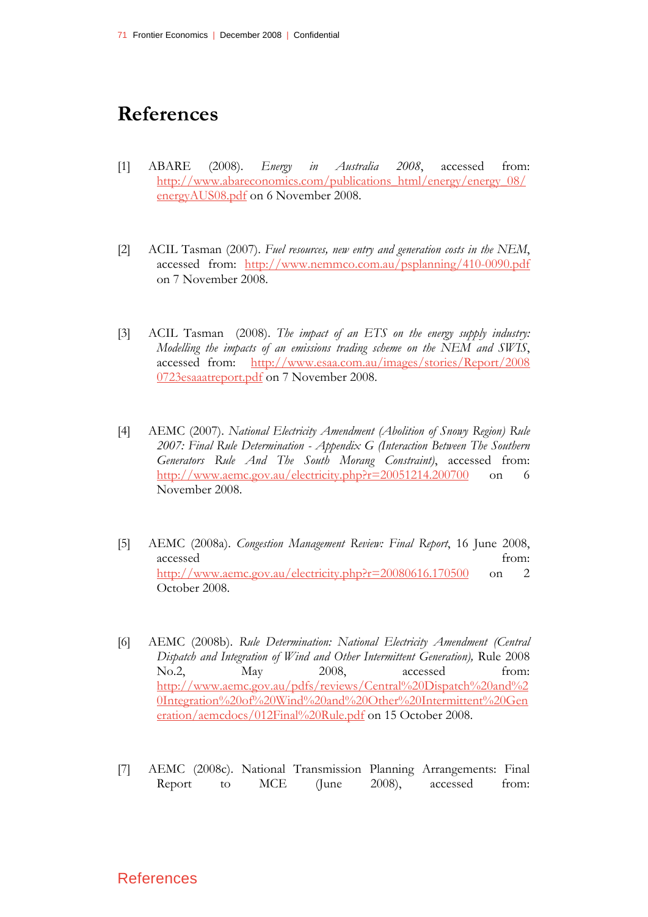# **References**

- [1] ABARE (2008). *Energy in Australia 2008*, accessed from: http://www.abareconomics.com/publications\_html/energy/energy\_08/ energyAUS08.pdf on 6 November 2008.
- [2] ACIL Tasman (2007). *Fuel resources, new entry and generation costs in the NEM*, accessed from: http://www.nemmco.com.au/psplanning/410-0090.pdf on 7 November 2008.
- [3] ACIL Tasman (2008). *The impact of an ETS on the energy supply industry: Modelling the impacts of an emissions trading scheme on the NEM and SWIS*, accessed from: http://www.esaa.com.au/images/stories/Report/2008 0723esaaatreport.pdf on 7 November 2008.
- [4] AEMC (2007). *National Electricity Amendment (Abolition of Snowy Region) Rule 2007: Final Rule Determination - Appendix G (Interaction Between The Southern Generators Rule And The South Morang Constraint)*, accessed from: http://www.aemc.gov.au/electricity.php?r=20051214.200700 on 6 November 2008.
- [5] AEMC (2008a). *Congestion Management Review: Final Report*, 16 June 2008, accessed from: http://www.aemc.gov.au/electricity.php?r=20080616.170500 on 2 October 2008.
- [6] AEMC (2008b). *Rule Determination: National Electricity Amendment (Central Dispatch and Integration of Wind and Other Intermittent Generation),* Rule 2008 No.2, May 2008, accessed from: http://www.aemc.gov.au/pdfs/reviews/Central%20Dispatch%20and%2 0Integration%20of%20Wind%20and%20Other%20Intermittent%20Gen eration/aemcdocs/012Final%20Rule.pdf on 15 October 2008.
- [7] AEMC (2008c). National Transmission Planning Arrangements: Final Report to MCE (June 2008), accessed from: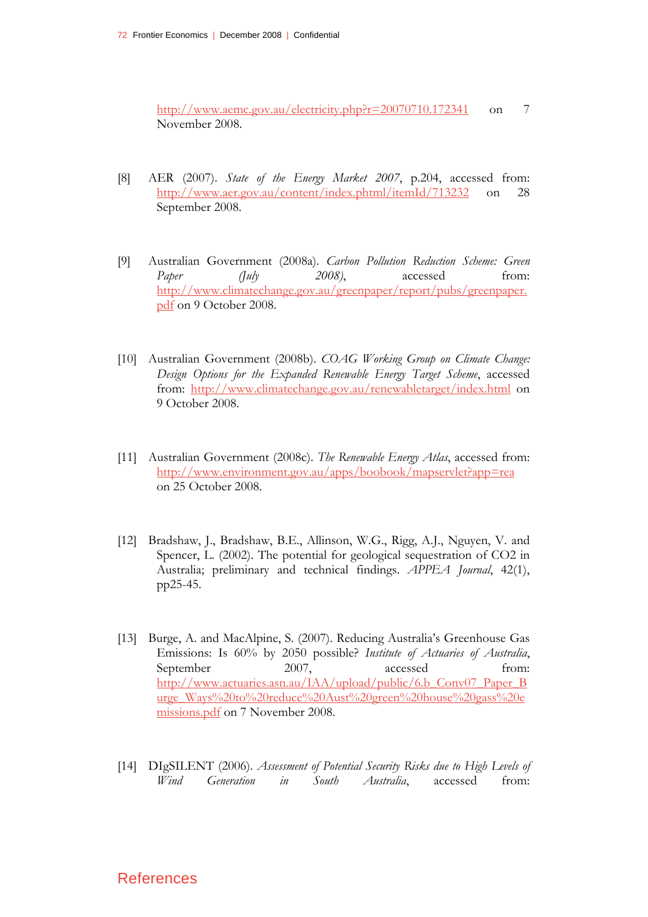http://www.aemc.gov.au/electricity.php?r=20070710.172341 on 7 November 2008.

- [8] AER (2007). *State of the Energy Market 2007*, p.204, accessed from: http://www.aer.gov.au/content/index.phtml/itemId/713232 on 28 September 2008.
- [9] Australian Government (2008a). *Carbon Pollution Reduction Scheme: Green Paper (July 2008)*, accessed from: http://www.climatechange.gov.au/greenpaper/report/pubs/greenpaper. pdf on 9 October 2008.
- [10] Australian Government (2008b). *COAG Working Group on Climate Change: Design Options for the Expanded Renewable Energy Target Scheme*, accessed from: http://www.climatechange.gov.au/renewabletarget/index.html on 9 October 2008.
- [11] Australian Government (2008c). *The Renewable Energy Atlas*, accessed from: http://www.environment.gov.au/apps/boobook/mapservlet?app=rea on 25 October 2008.
- [12] Bradshaw, J., Bradshaw, B.E., Allinson, W.G., Rigg, A.J., Nguyen, V. and Spencer, L. (2002). The potential for geological sequestration of CO2 in Australia; preliminary and technical findings. *APPEA Journal*, 42(1), pp25-45.
- [13] Burge, A. and MacAlpine, S. (2007). Reducing Australia's Greenhouse Gas Emissions: Is 60% by 2050 possible? *Institute of Actuaries of Australia*, September 2007, accessed from: http://www.actuaries.asn.au/IAA/upload/public/6.b\_Conv07\_Paper\_B urge\_Ways%20to%20reduce%20Aust%20green%20house%20gass%20e missions.pdf on 7 November 2008.
- [14] DIgSILENT (2006). *Assessment of Potential Security Risks due to High Levels of Wind Generation in South Australia*, accessed from: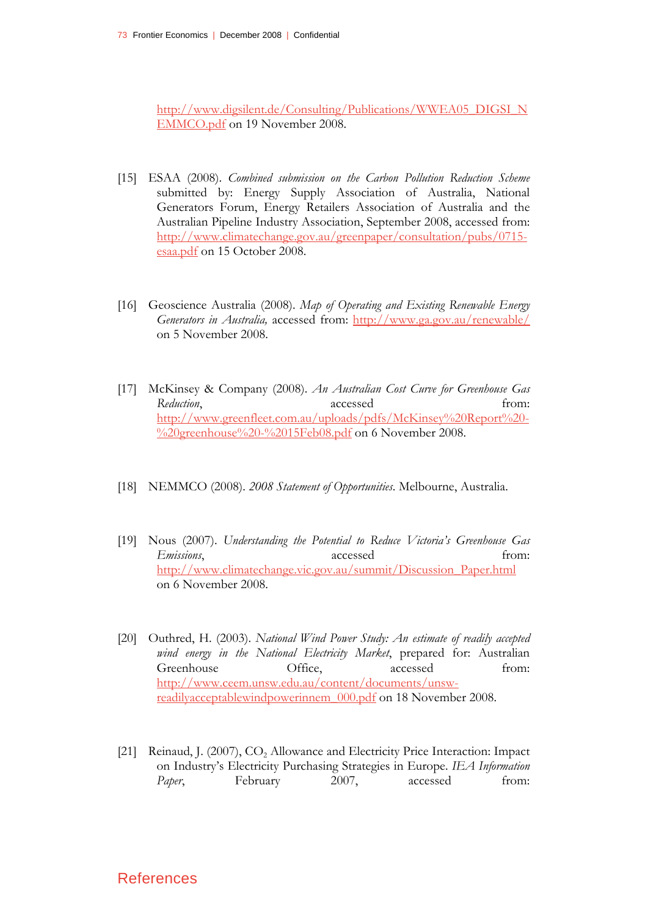http://www.digsilent.de/Consulting/Publications/WWEA05\_DIGSI\_N EMMCO.pdf on 19 November 2008.

- [15] ESAA (2008). *Combined submission on the Carbon Pollution Reduction Scheme* submitted by: Energy Supply Association of Australia, National Generators Forum, Energy Retailers Association of Australia and the Australian Pipeline Industry Association, September 2008, accessed from: http://www.climatechange.gov.au/greenpaper/consultation/pubs/0715 esaa.pdf on 15 October 2008.
- [16] Geoscience Australia (2008). *Map of Operating and Existing Renewable Energy Generators in Australia,* accessed from: http://www.ga.gov.au/renewable/ on 5 November 2008.
- [17] McKinsey & Company (2008). *An Australian Cost Curve for Greenhouse Gas*  Reduction, accessed from: http://www.greenfleet.com.au/uploads/pdfs/McKinsey%20Report%20- %20greenhouse%20-%2015Feb08.pdf on 6 November 2008.
- [18] NEMMCO (2008). *2008 Statement of Opportunities*. Melbourne, Australia.
- [19] Nous (2007). *Understanding the Potential to Reduce Victoria's Greenhouse Gas Emissions*, accessed from: http://www.climatechange.vic.gov.au/summit/Discussion\_Paper.html on 6 November 2008.
- [20] Outhred, H. (2003). *National Wind Power Study: An estimate of readily accepted wind energy in the National Electricity Market*, prepared for: Australian Greenhouse Office, accessed from: http://www.ceem.unsw.edu.au/content/documents/unswreadilyacceptablewindpowerinnem\_000.pdf on 18 November 2008.
- [21] Reinaud, J. (2007), CO<sub>2</sub> Allowance and Electricity Price Interaction: Impact on Industry's Electricity Purchasing Strategies in Europe. *IEA Information*  Paper, February 2007, accessed from: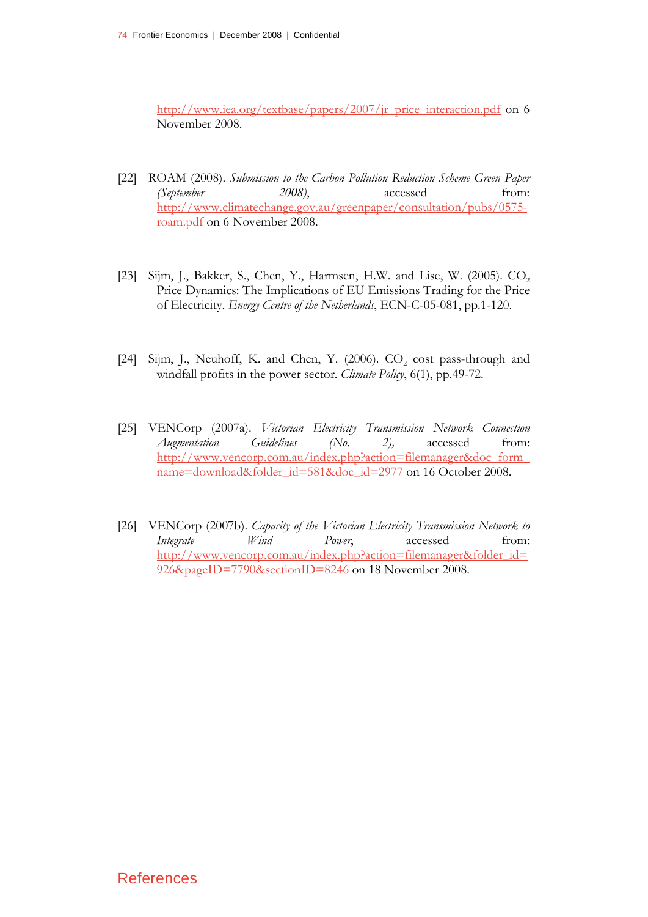http://www.iea.org/textbase/papers/2007/jr\_price\_interaction.pdf on 6 November 2008.

- [22] ROAM (2008). *Submission to the Carbon Pollution Reduction Scheme Green Paper (September 2008)*, accessed from: http://www.climatechange.gov.au/greenpaper/consultation/pubs/0575 roam.pdf on 6 November 2008.
- [23] Sijm, J., Bakker, S., Chen, Y., Harmsen, H.W. and Lise, W. (2005).  $CO<sub>2</sub>$ Price Dynamics: The Implications of EU Emissions Trading for the Price of Electricity. *Energy Centre of the Netherlands*, ECN-C-05-081, pp.1-120.
- [24] Sijm, J., Neuhoff, K. and Chen, Y. (2006).  $CO<sub>2</sub>$  cost pass-through and windfall profits in the power sector. *Climate Policy*, 6(1), pp.49-72.
- [25] VENCorp (2007a). *Victorian Electricity Transmission Network Connection Augmentation Guidelines (No. 2),* accessed from: http://www.vencorp.com.au/index.php?action=filemanager&doc\_form\_ name=download&folder\_id=581&doc\_id=2977 on 16 October 2008.
- [26] VENCorp (2007b). *Capacity of the Victorian Electricity Transmission Network to Integrate Wind Power*, accessed from: http://www.vencorp.com.au/index.php?action=filemanager&folder\_id= 926&pageID=7790&sectionID=8246 on 18 November 2008.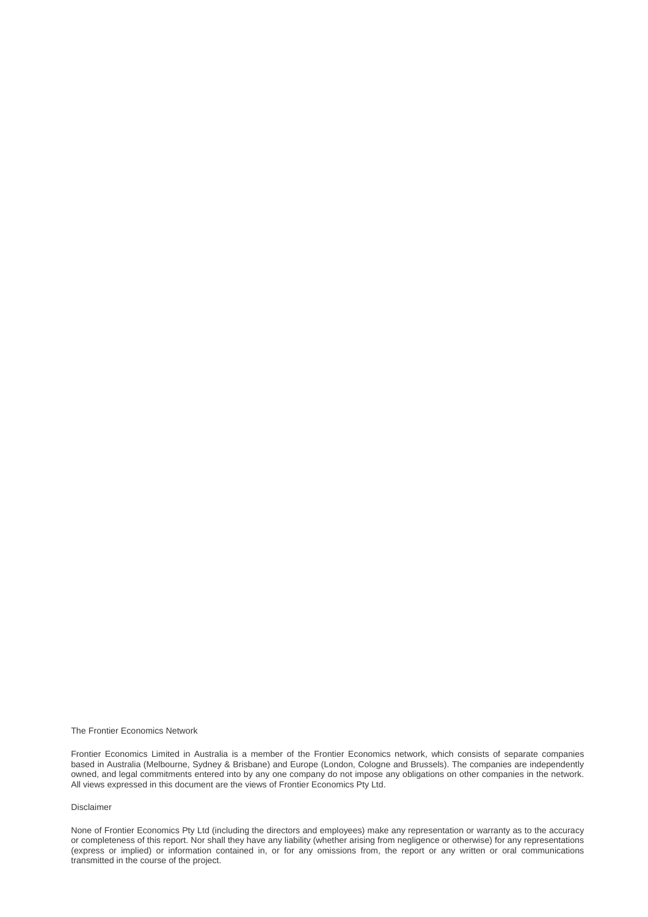The Frontier Economics Network

Frontier Economics Limited in Australia is a member of the Frontier Economics network, which consists of separate companies based in Australia (Melbourne, Sydney & Brisbane) and Europe (London, Cologne and Brussels). The companies are independently owned, and legal commitments entered into by any one company do not impose any obligations on other companies in the network. All views expressed in this document are the views of Frontier Economics Pty Ltd.

#### Disclaimer

None of Frontier Economics Pty Ltd (including the directors and employees) make any representation or warranty as to the accuracy or completeness of this report. Nor shall they have any liability (whether arising from negligence or otherwise) for any representations (express or implied) or information contained in, or for any omissions from, the report or any written or oral communications transmitted in the course of the project.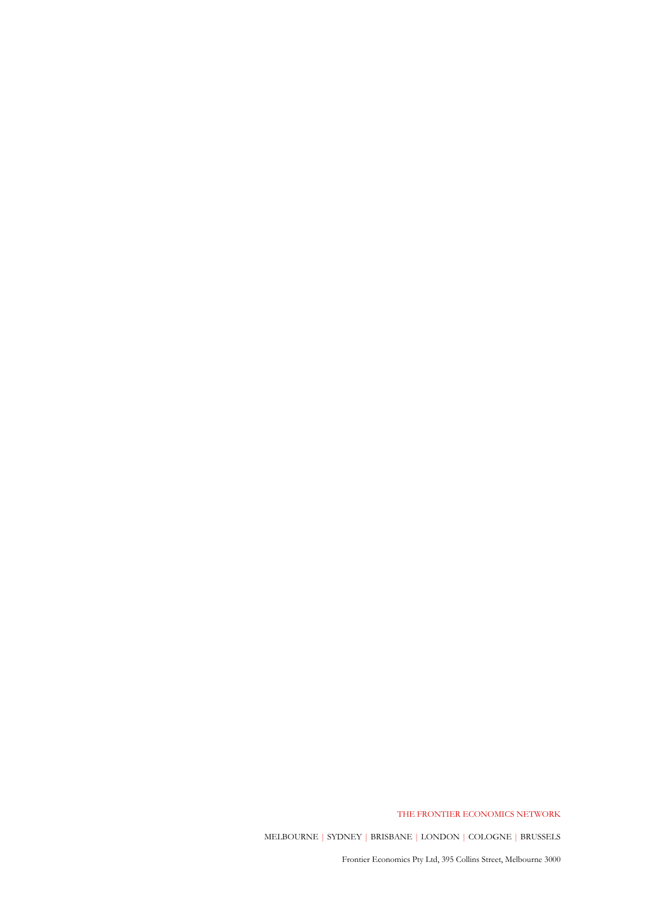THE FRONTIER ECONOMICS NETWORK

MELBOURNE | SYDNEY | BRISBANE | LONDON | COLOGNE | BRUSSELS

Frontier Economics Pty Ltd, 395 Collins Street, Melbourne 3000